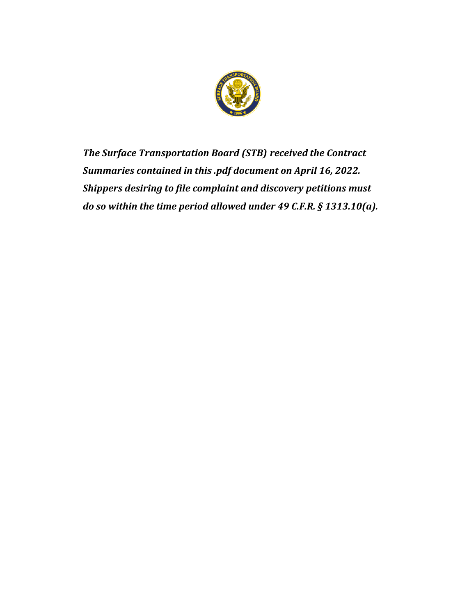

*The Surface Transportation Board (STB) received the Contract Summaries contained in this .pdf document on April 16, 2022. Shippers desiring to file complaint and discovery petitions must do so within the time period allowed under 49 C.F.R. § 1313.10(a).*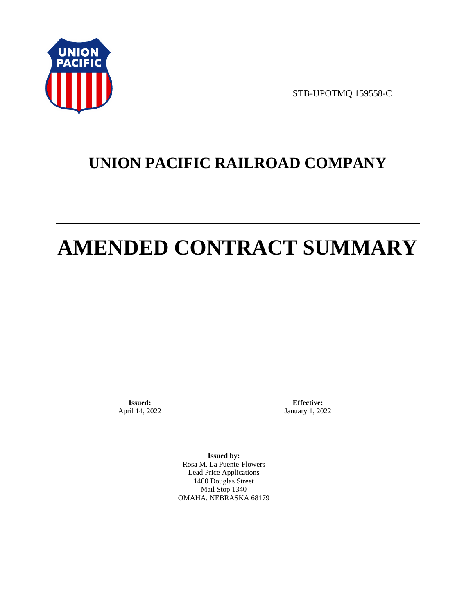

STB-UPOTMQ 159558-C

# **UNION PACIFIC RAILROAD COMPANY**

# **AMENDED CONTRACT SUMMARY**

**Issued:**  April 14, 2022

**Effective:** January 1, 2022

**Issued by:**  Rosa M. La Puente-Flowers Lead Price Applications 1400 Douglas Street Mail Stop 1340 OMAHA, NEBRASKA 68179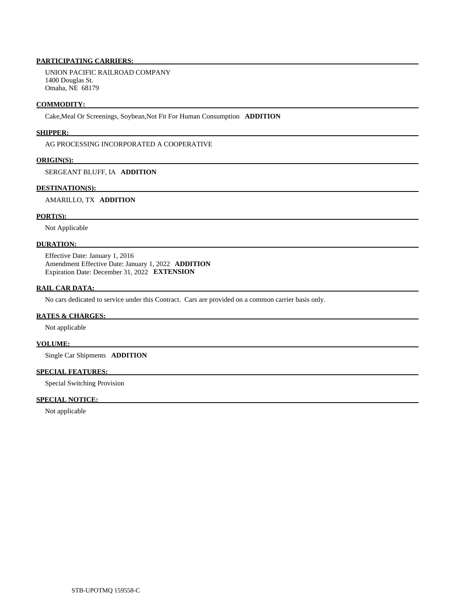# **PARTICIPATING CARRIERS:**

 UNION PACIFIC RAILROAD COMPANY 1400 Douglas St. Omaha, NE 68179

## **COMMODITY:**

Cake,Meal Or Screenings, Soybean,Not Fit For Human Consumption **ADDITION** 

## **SHIPPER:**

AG PROCESSING INCORPORATED A COOPERATIVE

## **ORIGIN(S):**

SERGEANT BLUFF, IA **ADDITION** 

# **DESTINATION(S):**

# AMARILLO, TX **ADDITION**

# **PORT(S):**

Not Applicable

# **DURATION:**

 Effective Date: January 1, 2016 Amendment Effective Date: January 1, 2022 **ADDITION**  Expiration Date: December 31, 2022 **EXTENSION** 

# **RAIL CAR DATA:**

No cars dedicated to service under this Contract. Cars are provided on a common carrier basis only.

### **RATES & CHARGES:**

Not applicable

# **VOLUME:**

Single Car Shipments **ADDITION** 

# **SPECIAL FEATURES:**

Special Switching Provision

# **SPECIAL NOTICE:**

Not applicable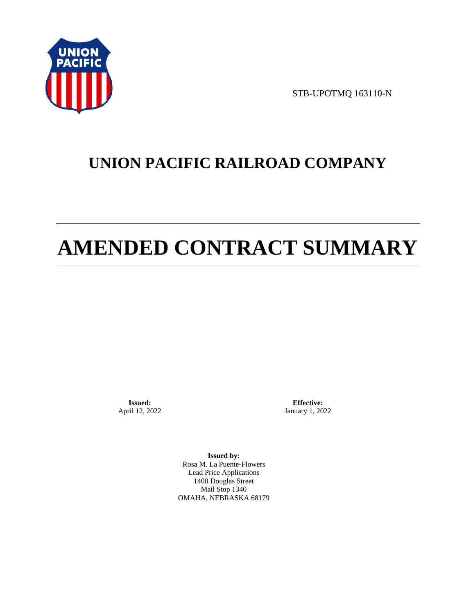

STB-UPOTMQ 163110-N

# **UNION PACIFIC RAILROAD COMPANY**

# **AMENDED CONTRACT SUMMARY**

**Issued:**  April 12, 2022

**Effective:** January 1, 2022

**Issued by:**  Rosa M. La Puente-Flowers Lead Price Applications 1400 Douglas Street Mail Stop 1340 OMAHA, NEBRASKA 68179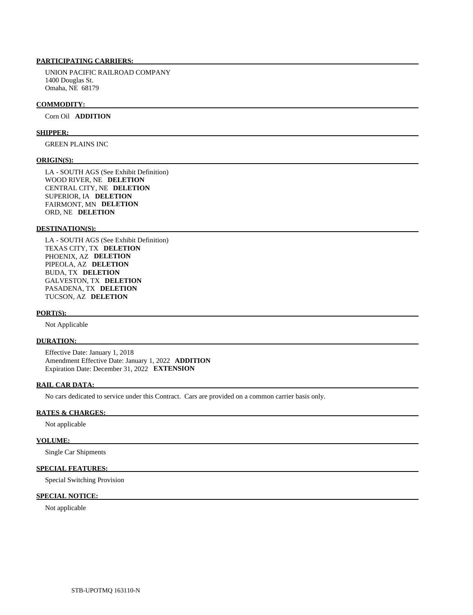# **PARTICIPATING CARRIERS:**

 UNION PACIFIC RAILROAD COMPANY 1400 Douglas St. Omaha, NE 68179

#### **COMMODITY:**

Corn Oil **ADDITION** 

#### **SHIPPER:**

GREEN PLAINS INC

### **ORIGIN(S):**

 LA - SOUTH AGS (See Exhibit Definition) WOOD RIVER, NE **DELETION**  CENTRAL CITY, NE **DELETION**  SUPERIOR, IA **DELETION**  FAIRMONT, MN **DELETION**  ORD, NE **DELETION** 

# **DESTINATION(S):**

 LA - SOUTH AGS (See Exhibit Definition) TEXAS CITY, TX **DELETION**  PHOENIX, AZ **DELETION**  PIPEOLA, AZ **DELETION**  BUDA, TX **DELETION**  GALVESTON, TX **DELETION**  PASADENA, TX **DELETION**  TUCSON, AZ **DELETION** 

#### **PORT(S):**

Not Applicable

# **DURATION:**

 Effective Date: January 1, 2018 Amendment Effective Date: January 1, 2022 **ADDITION**  Expiration Date: December 31, 2022 **EXTENSION** 

# **RAIL CAR DATA:**

No cars dedicated to service under this Contract. Cars are provided on a common carrier basis only.

# **RATES & CHARGES:**

Not applicable

#### **VOLUME:**

Single Car Shipments

# **SPECIAL FEATURES:**

Special Switching Provision

# **SPECIAL NOTICE:**

Not applicable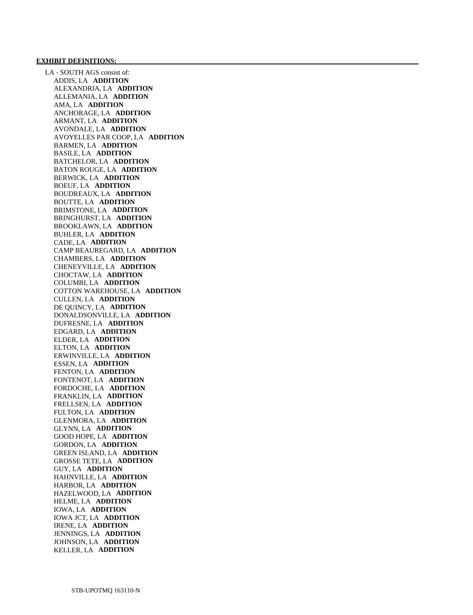# **EXHIBIT DEFINITIONS:**

 LA - SOUTH AGS consist of: ADDIS, LA **ADDITION**  ALEXANDRIA, LA **ADDITION**  ALLEMANIA, LA **ADDITION**  AMA, LA **ADDITION**  ANCHORAGE, LA **ADDITION**  ARMANT, LA **ADDITION**  AVONDALE, LA **ADDITION**  AVOYELLES PAR COOP, LA **ADDITION**  BARMEN, LA **ADDITION**  BASILE, LA **ADDITION**  BATCHELOR, LA **ADDITION**  BATON ROUGE, LA **ADDITION**  BERWICK, LA **ADDITION**  BOEUF, LA **ADDITION**  BOUDREAUX, LA **ADDITION**  BOUTTE, LA **ADDITION**  BRIMSTONE, LA **ADDITION**  BRINGHURST, LA **ADDITION**  BROOKLAWN, LA **ADDITION**  BUHLER, LA **ADDITION**  CADE, LA **ADDITION**  CAMP BEAUREGARD, LA **ADDITION**  CHAMBERS, LA **ADDITION**  CHENEYVILLE, LA **ADDITION**  CHOCTAW, LA **ADDITION**  COLUMBI, LA **ADDITION**  COTTON WAREHOUSE, LA **ADDITION**  CULLEN, LA **ADDITION**  DE QUINCY, LA **ADDITION**  DONALDSONVILLE, LA **ADDITION**  DUFRESNE, LA **ADDITION**  EDGARD, LA **ADDITION**  ELDER, LA **ADDITION**  ELTON, LA **ADDITION**  ERWINVILLE, LA **ADDITION**  ESSEN, LA **ADDITION**  FENTON, LA **ADDITION**  FONTENOT, LA **ADDITION**  FORDOCHE, LA **ADDITION**  FRANKLIN, LA **ADDITION**  FRELLSEN, LA **ADDITION**  FULTON, LA **ADDITION**  GLENMORA, LA **ADDITION**  GLYNN, LA **ADDITION**  GOOD HOPE, LA **ADDITION**  GORDON, LA **ADDITION**  GREEN ISLAND, LA **ADDITION**  GROSSE TETE, LA **ADDITION**  GUY, LA **ADDITION**  HAHNVILLE, LA **ADDITION**  HARBOR, LA **ADDITION**  HAZELWOOD, LA **ADDITION**  HELME, LA **ADDITION**  IOWA, LA **ADDITION**  IOWA JCT, LA **ADDITION**  IRENE, LA **ADDITION**  JENNINGS, LA **ADDITION**  JOHNSON, LA **ADDITION**  KELLER, LA **ADDITION**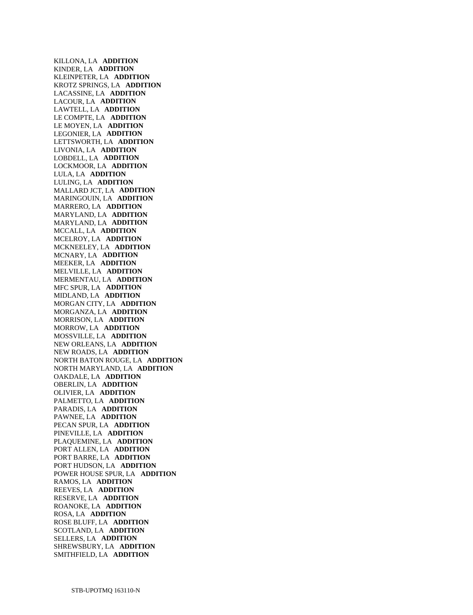KILLONA, LA **ADDITION**  KINDER, LA **ADDITION**  KLEINPETER, LA **ADDITION**  KROTZ SPRINGS, LA **ADDITION**  LACASSINE, LA **ADDITION**  LACOUR, LA **ADDITION**  LAWTELL, LA **ADDITION**  LE COMPTE, LA **ADDITION**  LE MOYEN, LA **ADDITION**  LEGONIER, LA **ADDITION**  LETTSWORTH, LA **ADDITION**  LIVONIA, LA **ADDITION**  LOBDELL, LA **ADDITION**  LOCKMOOR, LA **ADDITION**  LULA, LA **ADDITION**  LULING, LA **ADDITION**  MALLARD JCT, LA **ADDITION**  MARINGOUIN, LA **ADDITION**  MARRERO, LA **ADDITION**  MARYLAND, LA **ADDITION**  MARYLAND, LA **ADDITION**  MCCALL, LA **ADDITION**  MCELROY, LA **ADDITION**  MCKNEELEY, LA **ADDITION**  MCNARY, LA **ADDITION**  MEEKER, LA **ADDITION**  MELVILLE, LA **ADDITION**  MERMENTAU, LA **ADDITION**  MFC SPUR, LA **ADDITION**  MIDLAND, LA **ADDITION**  MORGAN CITY, LA **ADDITION**  MORGANZA, LA **ADDITION**  MORRISON, LA **ADDITION**  MORROW, LA **ADDITION**  MOSSVILLE, LA **ADDITION**  NEW ORLEANS, LA **ADDITION**  NEW ROADS, LA **ADDITION**  NORTH BATON ROUGE, LA **ADDITION**  NORTH MARYLAND, LA **ADDITION**  OAKDALE, LA **ADDITION**  OBERLIN, LA **ADDITION**  OLIVIER, LA **ADDITION**  PALMETTO, LA **ADDITION**  PARADIS, LA **ADDITION**  PAWNEE, LA **ADDITION**  PECAN SPUR, LA **ADDITION**  PINEVILLE, LA **ADDITION**  PLAQUEMINE, LA **ADDITION**  PORT ALLEN, LA **ADDITION**  PORT BARRE, LA **ADDITION**  PORT HUDSON, LA **ADDITION**  POWER HOUSE SPUR, LA **ADDITION**  RAMOS, LA **ADDITION**  REEVES, LA **ADDITION**  RESERVE, LA **ADDITION**  ROANOKE, LA **ADDITION**  ROSA, LA **ADDITION**  ROSE BLUFF, LA **ADDITION**  SCOTLAND, LA **ADDITION**  SELLERS, LA **ADDITION**  SHREWSBURY, LA **ADDITION**  SMITHFIELD, LA **ADDITION**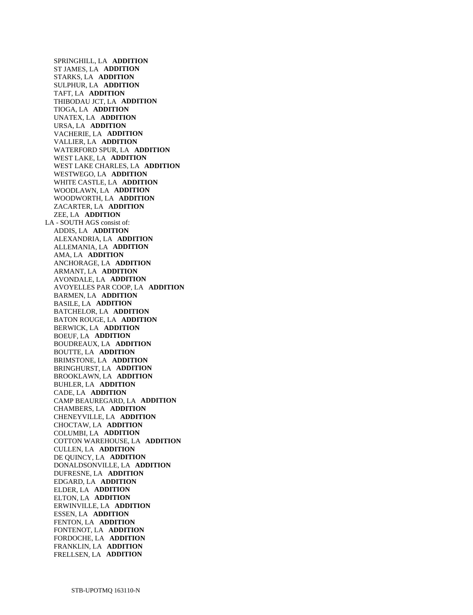SPRINGHILL, LA **ADDITION**  ST JAMES, LA **ADDITION**  STARKS, LA **ADDITION**  SULPHUR, LA **ADDITION**  TAFT, LA **ADDITION**  THIBODAU JCT, LA **ADDITION**  TIOGA, LA **ADDITION**  UNATEX, LA **ADDITION**  URSA, LA **ADDITION**  VACHERIE, LA **ADDITION**  VALLIER, LA **ADDITION**  WATERFORD SPUR, LA **ADDITION**  WEST LAKE, LA **ADDITION**  WEST LAKE CHARLES, LA **ADDITION**  WESTWEGO, LA **ADDITION**  WHITE CASTLE, LA **ADDITION**  WOODLAWN, LA **ADDITION**  WOODWORTH, LA **ADDITION**  ZACARTER, LA **ADDITION**  ZEE, LA **ADDITION**  LA - SOUTH AGS consist of: ADDIS, LA **ADDITION**  ALEXANDRIA, LA **ADDITION**  ALLEMANIA, LA **ADDITION**  AMA, LA **ADDITION**  ANCHORAGE, LA **ADDITION**  ARMANT, LA **ADDITION**  AVONDALE, LA **ADDITION**  AVOYELLES PAR COOP, LA **ADDITION**  BARMEN, LA **ADDITION**  BASILE, LA **ADDITION**  BATCHELOR, LA **ADDITION**  BATON ROUGE, LA **ADDITION**  BERWICK, LA **ADDITION**  BOEUF, LA **ADDITION**  BOUDREAUX, LA **ADDITION**  BOUTTE, LA **ADDITION**  BRIMSTONE, LA **ADDITION**  BRINGHURST, LA **ADDITION**  BROOKLAWN, LA **ADDITION**  BUHLER, LA **ADDITION**  CADE, LA **ADDITION**  CAMP BEAUREGARD, LA **ADDITION**  CHAMBERS, LA **ADDITION**  CHENEYVILLE, LA **ADDITION**  CHOCTAW, LA **ADDITION**  COLUMBI, LA **ADDITION**  COTTON WAREHOUSE, LA **ADDITION**  CULLEN, LA **ADDITION**  DE QUINCY, LA **ADDITION**  DONALDSONVILLE, LA **ADDITION**  DUFRESNE, LA **ADDITION**  EDGARD, LA **ADDITION**  ELDER, LA **ADDITION**  ELTON, LA **ADDITION**  ERWINVILLE, LA **ADDITION**  ESSEN, LA **ADDITION**  FENTON, LA **ADDITION**  FONTENOT, LA **ADDITION**  FORDOCHE, LA **ADDITION**  FRANKLIN, LA **ADDITION**  FRELLSEN, LA **ADDITION**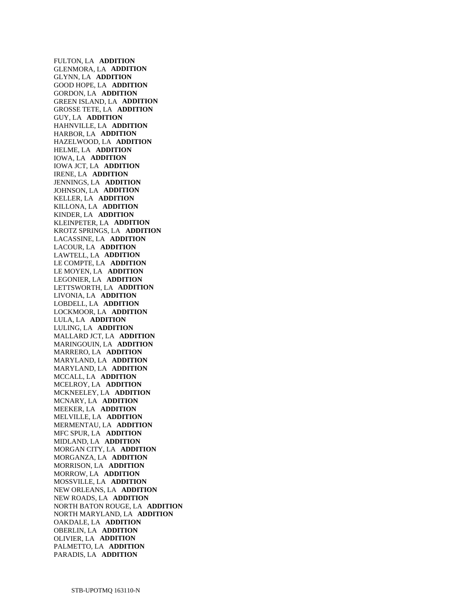FULTON, LA **ADDITION**  GLENMORA, LA **ADDITION**  GLYNN, LA **ADDITION**  GOOD HOPE, LA **ADDITION**  GORDON, LA **ADDITION**  GREEN ISLAND, LA **ADDITION**  GROSSE TETE, LA **ADDITION**  GUY, LA **ADDITION**  HAHNVILLE, LA **ADDITION**  HARBOR, LA **ADDITION**  HAZELWOOD, LA **ADDITION**  HELME, LA **ADDITION**  IOWA, LA **ADDITION**  IOWA JCT, LA **ADDITION**  IRENE, LA **ADDITION**  JENNINGS, LA **ADDITION**  JOHNSON, LA **ADDITION**  KELLER, LA **ADDITION**  KILLONA, LA **ADDITION**  KINDER, LA **ADDITION**  KLEINPETER, LA **ADDITION**  KROTZ SPRINGS, LA **ADDITION**  LACASSINE, LA **ADDITION**  LACOUR, LA **ADDITION**  LAWTELL, LA **ADDITION**  LE COMPTE, LA **ADDITION**  LE MOYEN, LA **ADDITION**  LEGONIER, LA **ADDITION**  LETTSWORTH, LA **ADDITION**  LIVONIA, LA **ADDITION**  LOBDELL, LA **ADDITION**  LOCKMOOR, LA **ADDITION**  LULA, LA **ADDITION**  LULING, LA **ADDITION**  MALLARD JCT, LA **ADDITION**  MARINGOUIN, LA **ADDITION**  MARRERO, LA **ADDITION**  MARYLAND, LA **ADDITION**  MARYLAND, LA **ADDITION**  MCCALL, LA **ADDITION**  MCELROY, LA **ADDITION**  MCKNEELEY, LA **ADDITION**  MCNARY, LA **ADDITION**  MEEKER, LA **ADDITION**  MELVILLE, LA **ADDITION**  MERMENTAU, LA **ADDITION**  MFC SPUR, LA **ADDITION**  MIDLAND, LA **ADDITION**  MORGAN CITY, LA **ADDITION**  MORGANZA, LA **ADDITION**  MORRISON, LA **ADDITION**  MORROW, LA **ADDITION**  MOSSVILLE, LA **ADDITION**  NEW ORLEANS, LA **ADDITION**  NEW ROADS, LA **ADDITION**  NORTH BATON ROUGE, LA **ADDITION**  NORTH MARYLAND, LA **ADDITION**  OAKDALE, LA **ADDITION**  OBERLIN, LA **ADDITION**  OLIVIER, LA **ADDITION**  PALMETTO, LA **ADDITION**  PARADIS, LA **ADDITION**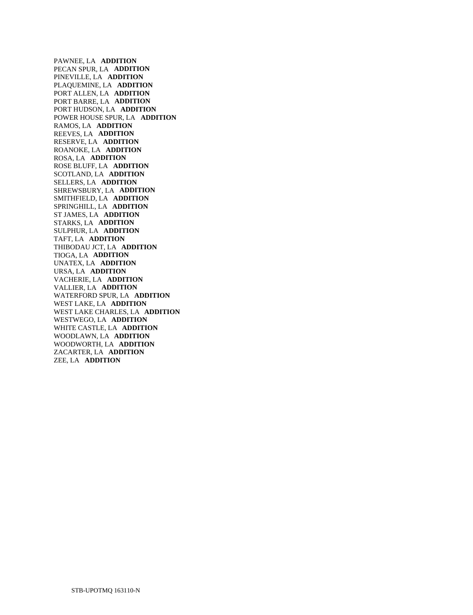PAWNEE, LA **ADDITION**  PECAN SPUR, LA **ADDITION**  PINEVILLE, LA **ADDITION**  PLAQUEMINE, LA **ADDITION**  PORT ALLEN, LA **ADDITION**  PORT BARRE, LA **ADDITION**  PORT HUDSON, LA **ADDITION**  POWER HOUSE SPUR, LA **ADDITION**  RAMOS, LA **ADDITION**  REEVES, LA **ADDITION**  RESERVE, LA **ADDITION**  ROANOKE, LA **ADDITION**  ROSA, LA **ADDITION**  ROSE BLUFF, LA **ADDITION**  SCOTLAND, LA **ADDITION**  SELLERS, LA **ADDITION**  SHREWSBURY, LA **ADDITION**  SMITHFIELD, LA **ADDITION**  SPRINGHILL, LA **ADDITION**  ST JAMES, LA **ADDITION**  STARKS, LA **ADDITION**  SULPHUR, LA **ADDITION**  TAFT, LA **ADDITION**  THIBODAU JCT, LA **ADDITION**  TIOGA, LA **ADDITION**  UNATEX, LA **ADDITION**  URSA, LA **ADDITION**  VACHERIE, LA **ADDITION**  VALLIER, LA **ADDITION**  WATERFORD SPUR, LA **ADDITION**  WEST LAKE, LA **ADDITION**  WEST LAKE CHARLES, LA **ADDITION**  WESTWEGO, LA **ADDITION**  WHITE CASTLE, LA **ADDITION**  WOODLAWN, LA **ADDITION**  WOODWORTH, LA **ADDITION**  ZACARTER, LA **ADDITION**  ZEE, LA **ADDITION**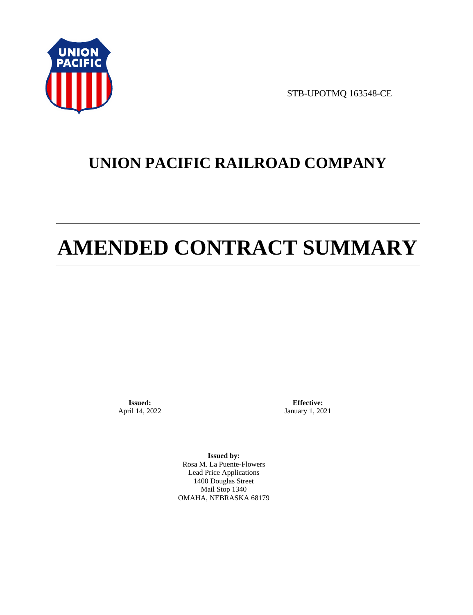

STB-UPOTMQ 163548-CE

# **UNION PACIFIC RAILROAD COMPANY**

# **AMENDED CONTRACT SUMMARY**

**Issued:**  April 14, 2022

**Effective:** January 1, 2021

**Issued by:**  Rosa M. La Puente-Flowers Lead Price Applications 1400 Douglas Street Mail Stop 1340 OMAHA, NEBRASKA 68179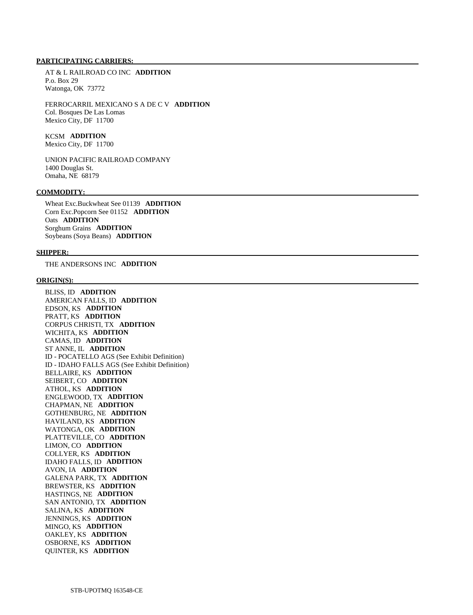### **PARTICIPATING CARRIERS:**

 AT & L RAILROAD CO INC **ADDITION**  P.o. Box 29 Watonga, OK 73772

 FERROCARRIL MEXICANO S A DE C V **ADDITION**  Col. Bosques De Las Lomas Mexico City, DF 11700

 KCSM **ADDITION**  Mexico City, DF 11700

 UNION PACIFIC RAILROAD COMPANY 1400 Douglas St. Omaha, NE 68179

# **COMMODITY:**

 Wheat Exc.Buckwheat See 01139 **ADDITION**  Corn Exc.Popcorn See 01152 **ADDITION**  Oats **ADDITION**  Sorghum Grains **ADDITION**  Soybeans (Soya Beans) **ADDITION** 

### **SHIPPER:**

THE ANDERSONS INC **ADDITION** 

#### **ORIGIN(S):**

 BLISS, ID **ADDITION**  AMERICAN FALLS, ID **ADDITION**  EDSON, KS **ADDITION**  PRATT, KS **ADDITION**  CORPUS CHRISTI, TX **ADDITION**  WICHITA, KS **ADDITION**  CAMAS, ID **ADDITION**  ST ANNE, IL **ADDITION**  ID - POCATELLO AGS (See Exhibit Definition) ID - IDAHO FALLS AGS (See Exhibit Definition) BELLAIRE, KS **ADDITION**  SEIBERT, CO **ADDITION**  ATHOL, KS **ADDITION**  ENGLEWOOD, TX **ADDITION**  CHAPMAN, NE **ADDITION**  GOTHENBURG, NE **ADDITION**  HAVILAND, KS **ADDITION**  WATONGA, OK **ADDITION**  PLATTEVILLE, CO **ADDITION**  LIMON, CO **ADDITION**  COLLYER, KS **ADDITION**  IDAHO FALLS, ID **ADDITION**  AVON, IA **ADDITION**  GALENA PARK, TX **ADDITION**  BREWSTER, KS **ADDITION**  HASTINGS, NE **ADDITION**  SAN ANTONIO, TX **ADDITION**  SALINA, KS **ADDITION**  JENNINGS, KS **ADDITION**  MINGO, KS **ADDITION**  OAKLEY, KS **ADDITION**  OSBORNE, KS **ADDITION**  QUINTER, KS **ADDITION**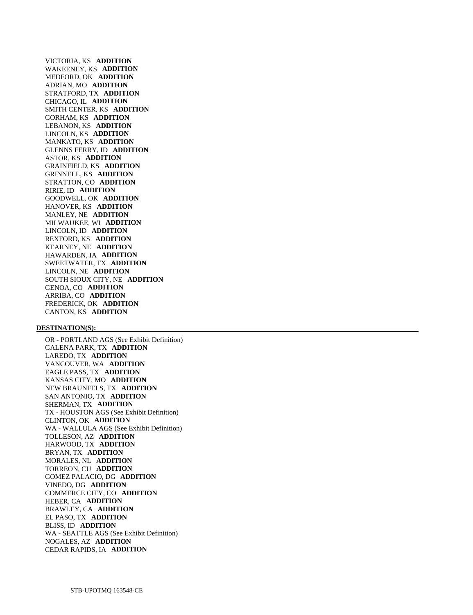VICTORIA, KS **ADDITION**  WAKEENEY, KS **ADDITION**  MEDFORD, OK **ADDITION**  ADRIAN, MO **ADDITION**  STRATFORD, TX **ADDITION**  CHICAGO, IL **ADDITION**  SMITH CENTER, KS **ADDITION**  GORHAM, KS **ADDITION**  LEBANON, KS **ADDITION**  LINCOLN, KS **ADDITION**  MANKATO, KS **ADDITION**  GLENNS FERRY, ID **ADDITION**  ASTOR, KS **ADDITION**  GRAINFIELD, KS **ADDITION**  GRINNELL, KS **ADDITION**  STRATTON, CO **ADDITION**  RIRIE, ID **ADDITION**  GOODWELL, OK **ADDITION**  HANOVER, KS **ADDITION**  MANLEY, NE **ADDITION**  MILWAUKEE, WI **ADDITION**  LINCOLN, ID **ADDITION**  REXFORD, KS **ADDITION**  KEARNEY, NE **ADDITION**  HAWARDEN, IA **ADDITION**  SWEETWATER, TX **ADDITION**  LINCOLN, NE **ADDITION**  SOUTH SIOUX CITY, NE **ADDITION**  GENOA, CO **ADDITION**  ARRIBA, CO **ADDITION**  FREDERICK, OK **ADDITION**  CANTON, KS **ADDITION** 

#### **DESTINATION(S):**

 OR - PORTLAND AGS (See Exhibit Definition) GALENA PARK, TX **ADDITION**  LAREDO, TX **ADDITION**  VANCOUVER, WA **ADDITION**  EAGLE PASS, TX **ADDITION**  KANSAS CITY, MO **ADDITION**  NEW BRAUNFELS, TX **ADDITION**  SAN ANTONIO, TX **ADDITION**  SHERMAN, TX **ADDITION**  TX - HOUSTON AGS (See Exhibit Definition) CLINTON, OK **ADDITION**  WA - WALLULA AGS (See Exhibit Definition) TOLLESON, AZ **ADDITION**  HARWOOD, TX **ADDITION**  BRYAN, TX **ADDITION**  MORALES, NL **ADDITION**  TORREON, CU **ADDITION**  GOMEZ PALACIO, DG **ADDITION**  VINEDO, DG **ADDITION**  COMMERCE CITY, CO **ADDITION**  HEBER, CA **ADDITION**  BRAWLEY, CA **ADDITION**  EL PASO, TX **ADDITION**  BLISS, ID **ADDITION**  WA - SEATTLE AGS (See Exhibit Definition) NOGALES, AZ **ADDITION**  CEDAR RAPIDS, IA **ADDITION**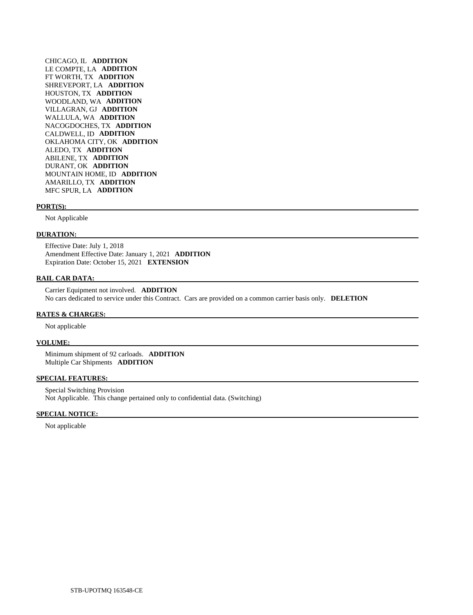CHICAGO, IL **ADDITION**  LE COMPTE, LA **ADDITION**  FT WORTH, TX **ADDITION**  SHREVEPORT, LA **ADDITION**  HOUSTON, TX **ADDITION**  WOODLAND, WA **ADDITION**  VILLAGRAN, GJ **ADDITION**  WALLULA, WA **ADDITION**  NACOGDOCHES, TX **ADDITION**  CALDWELL, ID **ADDITION**  OKLAHOMA CITY, OK **ADDITION**  ALEDO, TX **ADDITION**  ABILENE, TX **ADDITION**  DURANT, OK **ADDITION**  MOUNTAIN HOME, ID **ADDITION**  AMARILLO, TX **ADDITION**  MFC SPUR, LA **ADDITION** 

#### **PORT(S):**

Not Applicable

## **DURATION:**

 Effective Date: July 1, 2018 Amendment Effective Date: January 1, 2021 **ADDITION**  Expiration Date: October 15, 2021 **EXTENSION** 

# **RAIL CAR DATA:**

 Carrier Equipment not involved. **ADDITION**  No cars dedicated to service under this Contract. Cars are provided on a common carrier basis only. **DELETION** 

#### **RATES & CHARGES:**

Not applicable

#### **VOLUME:**

 Minimum shipment of 92 carloads. **ADDITION**  Multiple Car Shipments **ADDITION** 

#### **SPECIAL FEATURES:**

 Special Switching Provision Not Applicable. This change pertained only to confidential data. (Switching)

### **SPECIAL NOTICE:**

Not applicable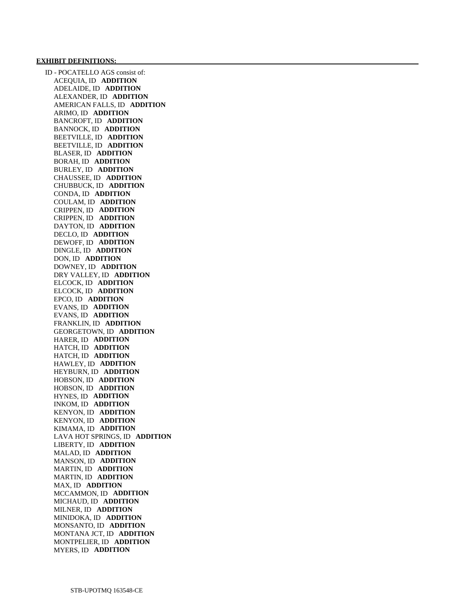#### **EXHIBIT DEFINITIONS:**

 ID - POCATELLO AGS consist of: ACEQUIA, ID **ADDITION**  ADELAIDE, ID **ADDITION**  ALEXANDER, ID **ADDITION**  AMERICAN FALLS, ID **ADDITION**  ARIMO, ID **ADDITION**  BANCROFT, ID **ADDITION**  BANNOCK, ID **ADDITION**  BEETVILLE, ID **ADDITION**  BEETVILLE, ID **ADDITION**  BLASER, ID **ADDITION**  BORAH, ID **ADDITION**  BURLEY, ID **ADDITION**  CHAUSSEE, ID **ADDITION**  CHUBBUCK, ID **ADDITION**  CONDA, ID **ADDITION**  COULAM, ID **ADDITION**  CRIPPEN, ID **ADDITION**  CRIPPEN, ID **ADDITION**  DAYTON, ID **ADDITION**  DECLO, ID **ADDITION**  DEWOFF, ID **ADDITION**  DINGLE, ID **ADDITION**  DON, ID **ADDITION**  DOWNEY, ID **ADDITION**  DRY VALLEY, ID **ADDITION**  ELCOCK, ID **ADDITION**  ELCOCK, ID **ADDITION**  EPCO, ID **ADDITION**  EVANS, ID **ADDITION**  EVANS, ID **ADDITION**  FRANKLIN, ID **ADDITION**  GEORGETOWN, ID **ADDITION**  HARER, ID **ADDITION**  HATCH, ID **ADDITION**  HATCH, ID **ADDITION**  HAWLEY, ID **ADDITION**  HEYBURN, ID **ADDITION**  HOBSON, ID **ADDITION**  HOBSON, ID **ADDITION**  HYNES, ID **ADDITION**  INKOM, ID **ADDITION**  KENYON, ID **ADDITION**  KENYON, ID **ADDITION**  KIMAMA, ID **ADDITION**  LAVA HOT SPRINGS, ID **ADDITION**  LIBERTY, ID **ADDITION**  MALAD, ID **ADDITION**  MANSON, ID **ADDITION**  MARTIN, ID **ADDITION**  MARTIN, ID **ADDITION**  MAX, ID **ADDITION**  MCCAMMON, ID **ADDITION**  MICHAUD, ID **ADDITION**  MILNER, ID **ADDITION**  MINIDOKA, ID **ADDITION**  MONSANTO, ID **ADDITION**  MONTANA JCT, ID **ADDITION**  MONTPELIER, ID **ADDITION**  MYERS, ID **ADDITION**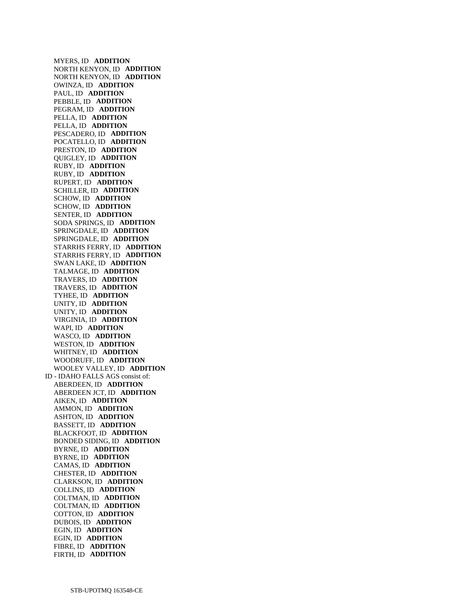MYERS, ID **ADDITION**  NORTH KENYON, ID **ADDITION**  NORTH KENYON, ID **ADDITION**  OWINZA, ID **ADDITION**  PAUL, ID **ADDITION**  PEBBLE, ID **ADDITION**  PEGRAM, ID **ADDITION**  PELLA, ID **ADDITION**  PELLA, ID **ADDITION**  PESCADERO, ID **ADDITION**  POCATELLO, ID **ADDITION**  PRESTON, ID **ADDITION**  QUIGLEY, ID **ADDITION**  RUBY, ID **ADDITION**  RUBY, ID **ADDITION**  RUPERT, ID **ADDITION**  SCHILLER, ID **ADDITION**  SCHOW, ID **ADDITION**  SCHOW, ID **ADDITION**  SENTER, ID **ADDITION**  SODA SPRINGS, ID **ADDITION**  SPRINGDALE, ID **ADDITION**  SPRINGDALE, ID **ADDITION**  STARRHS FERRY, ID **ADDITION**  STARRHS FERRY, ID **ADDITION**  SWAN LAKE, ID **ADDITION**  TALMAGE, ID **ADDITION**  TRAVERS, ID **ADDITION**  TRAVERS, ID **ADDITION**  TYHEE, ID **ADDITION**  UNITY, ID **ADDITION**  UNITY, ID **ADDITION**  VIRGINIA, ID **ADDITION**  WAPI, ID **ADDITION**  WASCO, ID **ADDITION**  WESTON, ID **ADDITION**  WHITNEY, ID **ADDITION**  WOODRUFF, ID **ADDITION**  WOOLEY VALLEY, ID **ADDITION**  ID - IDAHO FALLS AGS consist of: ABERDEEN, ID **ADDITION**  ABERDEEN JCT, ID **ADDITION**  AIKEN, ID **ADDITION**  AMMON, ID **ADDITION**  ASHTON, ID **ADDITION**  BASSETT, ID **ADDITION**  BLACKFOOT, ID **ADDITION**  BONDED SIDING, ID **ADDITION**  BYRNE, ID **ADDITION**  BYRNE, ID **ADDITION**  CAMAS, ID **ADDITION**  CHESTER, ID **ADDITION**  CLARKSON, ID **ADDITION**  COLLINS, ID **ADDITION**  COLTMAN, ID **ADDITION**  COLTMAN, ID **ADDITION**  COTTON, ID **ADDITION**  DUBOIS, ID **ADDITION**  EGIN, ID **ADDITION**  EGIN, ID **ADDITION**  FIBRE, ID **ADDITION**  FIRTH, ID **ADDITION**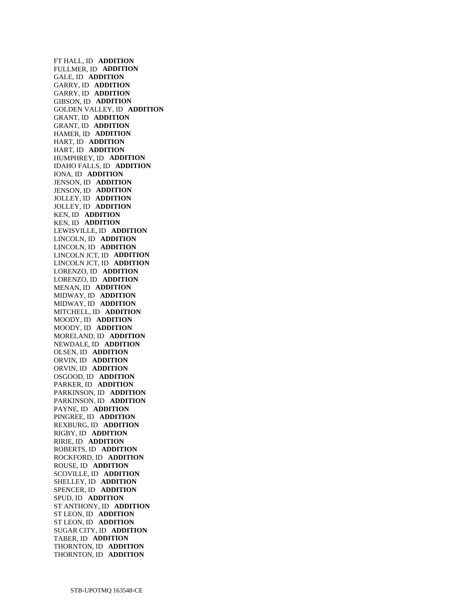FT HALL, ID **ADDITION**  FULLMER, ID **ADDITION**  GALE, ID **ADDITION**  GARRY, ID **ADDITION**  GARRY, ID **ADDITION**  GIBSON, ID **ADDITION**  GOLDEN VALLEY, ID **ADDITION**  GRANT, ID **ADDITION**  GRANT, ID **ADDITION**  HAMER, ID **ADDITION**  HART, ID **ADDITION**  HART, ID **ADDITION**  HUMPHREY, ID **ADDITION**  IDAHO FALLS, ID **ADDITION**  IONA, ID **ADDITION**  JENSON, ID **ADDITION**  JENSON, ID **ADDITION**  JOLLEY, ID **ADDITION**  JOLLEY, ID **ADDITION**  KEN, ID **ADDITION**  KEN, ID **ADDITION**  LEWISVILLE, ID **ADDITION**  LINCOLN, ID **ADDITION**  LINCOLN, ID **ADDITION**  LINCOLN JCT, ID **ADDITION**  LINCOLN JCT, ID **ADDITION**  LORENZO, ID **ADDITION**  LORENZO, ID **ADDITION**  MENAN, ID **ADDITION**  MIDWAY, ID **ADDITION**  MIDWAY, ID **ADDITION**  MITCHELL, ID **ADDITION**  MOODY, ID **ADDITION**  MOODY, ID **ADDITION**  MORELAND, ID **ADDITION**  NEWDALE, ID **ADDITION**  OLSEN, ID **ADDITION**  ORVIN, ID **ADDITION**  ORVIN, ID **ADDITION**  OSGOOD, ID **ADDITION**  PARKER, ID **ADDITION**  PARKINSON, ID **ADDITION**  PARKINSON, ID **ADDITION**  PAYNE, ID **ADDITION**  PINGREE, ID **ADDITION**  REXBURG, ID **ADDITION**  RIGBY, ID **ADDITION**  RIRIE, ID **ADDITION**  ROBERTS, ID **ADDITION**  ROCKFORD, ID **ADDITION**  ROUSE, ID **ADDITION**  SCOVILLE, ID **ADDITION**  SHELLEY, ID **ADDITION**  SPENCER, ID **ADDITION**  SPUD, ID **ADDITION**  ST ANTHONY, ID **ADDITION**  ST LEON, ID **ADDITION**  ST LEON, ID **ADDITION**  SUGAR CITY, ID **ADDITION**  TABER, ID **ADDITION**  THORNTON, ID **ADDITION**  THORNTON, ID **ADDITION**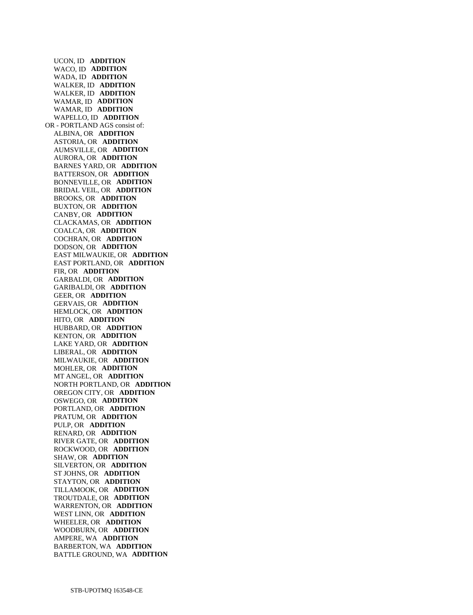UCON, ID **ADDITION**  WACO, ID **ADDITION**  WADA, ID **ADDITION**  WALKER, ID **ADDITION**  WALKER, ID **ADDITION**  WAMAR, ID **ADDITION**  WAMAR, ID **ADDITION**  WAPELLO, ID **ADDITION**  OR - PORTLAND AGS consist of: ALBINA, OR **ADDITION**  ASTORIA, OR **ADDITION**  AUMSVILLE, OR **ADDITION**  AURORA, OR **ADDITION**  BARNES YARD, OR **ADDITION**  BATTERSON, OR **ADDITION**  BONNEVILLE, OR **ADDITION**  BRIDAL VEIL, OR **ADDITION**  BROOKS, OR **ADDITION**  BUXTON, OR **ADDITION**  CANBY, OR **ADDITION**  CLACKAMAS, OR **ADDITION**  COALCA, OR **ADDITION**  COCHRAN, OR **ADDITION**  DODSON, OR **ADDITION**  EAST MILWAUKIE, OR **ADDITION**  EAST PORTLAND, OR **ADDITION**  FIR, OR **ADDITION**  GARBALDI, OR **ADDITION**  GARIBALDI, OR **ADDITION**  GEER, OR **ADDITION**  GERVAIS, OR **ADDITION**  HEMLOCK, OR **ADDITION**  HITO, OR **ADDITION**  HUBBARD, OR **ADDITION**  KENTON, OR **ADDITION**  LAKE YARD, OR **ADDITION**  LIBERAL, OR **ADDITION**  MILWAUKIE, OR **ADDITION**  MOHLER, OR **ADDITION**  MT ANGEL, OR **ADDITION**  NORTH PORTLAND, OR **ADDITION**  OREGON CITY, OR **ADDITION**  OSWEGO, OR **ADDITION**  PORTLAND, OR **ADDITION**  PRATUM, OR **ADDITION**  PULP, OR **ADDITION**  RENARD, OR **ADDITION**  RIVER GATE, OR **ADDITION**  ROCKWOOD, OR **ADDITION**  SHAW, OR **ADDITION**  SILVERTON, OR **ADDITION**  ST JOHNS, OR **ADDITION**  STAYTON, OR **ADDITION**  TILLAMOOK, OR **ADDITION**  TROUTDALE, OR **ADDITION**  WARRENTON, OR **ADDITION**  WEST LINN, OR **ADDITION**  WHEELER, OR **ADDITION**  WOODBURN, OR **ADDITION**  AMPERE, WA **ADDITION**  BARBERTON, WA **ADDITION**  BATTLE GROUND, WA **ADDITION**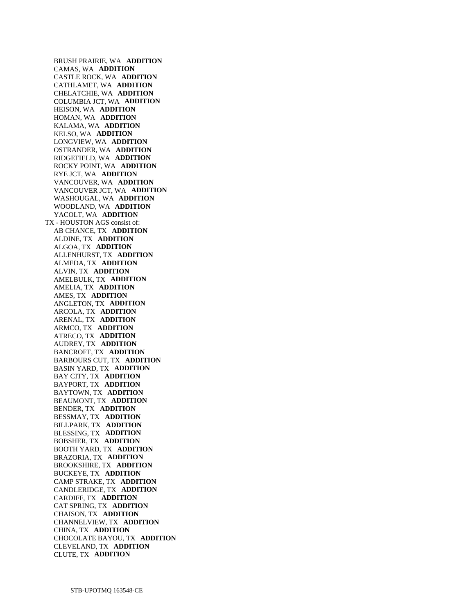BRUSH PRAIRIE, WA **ADDITION**  CAMAS, WA **ADDITION**  CASTLE ROCK, WA **ADDITION**  CATHLAMET, WA **ADDITION**  CHELATCHIE, WA **ADDITION**  COLUMBIA JCT, WA **ADDITION**  HEISON, WA **ADDITION**  HOMAN, WA **ADDITION**  KALAMA, WA **ADDITION**  KELSO, WA **ADDITION**  LONGVIEW, WA **ADDITION**  OSTRANDER, WA **ADDITION**  RIDGEFIELD, WA **ADDITION**  ROCKY POINT, WA **ADDITION**  RYE JCT, WA **ADDITION**  VANCOUVER, WA **ADDITION**  VANCOUVER JCT, WA **ADDITION**  WASHOUGAL, WA **ADDITION**  WOODLAND, WA **ADDITION**  YACOLT, WA **ADDITION**  TX - HOUSTON AGS consist of: AB CHANCE, TX **ADDITION**  ALDINE, TX **ADDITION**  ALGOA, TX **ADDITION**  ALLENHURST, TX **ADDITION**  ALMEDA, TX **ADDITION**  ALVIN, TX **ADDITION**  AMELBULK, TX **ADDITION**  AMELIA, TX **ADDITION**  AMES, TX **ADDITION**  ANGLETON, TX **ADDITION**  ARCOLA, TX **ADDITION**  ARENAL, TX **ADDITION**  ARMCO, TX **ADDITION**  ATRECO, TX **ADDITION**  AUDREY, TX **ADDITION**  BANCROFT, TX **ADDITION**  BARBOURS CUT, TX **ADDITION**  BASIN YARD, TX **ADDITION**  BAY CITY, TX **ADDITION**  BAYPORT, TX **ADDITION**  BAYTOWN, TX **ADDITION**  BEAUMONT, TX **ADDITION**  BENDER, TX **ADDITION**  BESSMAY, TX **ADDITION**  BILLPARK, TX **ADDITION**  BLESSING, TX **ADDITION**  BOBSHER, TX **ADDITION**  BOOTH YARD, TX **ADDITION**  BRAZORIA, TX **ADDITION**  BROOKSHIRE, TX **ADDITION**  BUCKEYE, TX **ADDITION**  CAMP STRAKE, TX **ADDITION**  CANDLERIDGE, TX **ADDITION**  CARDIFF, TX **ADDITION**  CAT SPRING, TX **ADDITION**  CHAISON, TX **ADDITION**  CHANNELVIEW, TX **ADDITION**  CHINA, TX **ADDITION**  CHOCOLATE BAYOU, TX **ADDITION**  CLEVELAND, TX **ADDITION**  CLUTE, TX **ADDITION**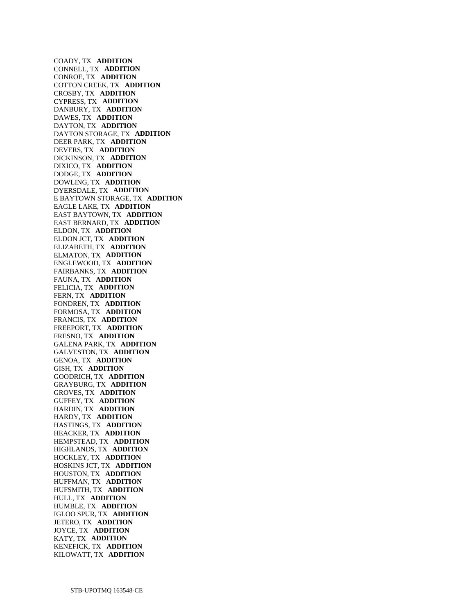COADY, TX **ADDITION**  CONNELL, TX **ADDITION**  CONROE, TX **ADDITION**  COTTON CREEK, TX **ADDITION**  CROSBY, TX **ADDITION**  CYPRESS, TX **ADDITION**  DANBURY, TX **ADDITION**  DAWES, TX **ADDITION**  DAYTON, TX **ADDITION**  DAYTON STORAGE, TX **ADDITION**  DEER PARK, TX **ADDITION**  DEVERS, TX **ADDITION**  DICKINSON, TX **ADDITION**  DIXICO, TX **ADDITION**  DODGE, TX **ADDITION**  DOWLING, TX **ADDITION**  DYERSDALE, TX **ADDITION**  E BAYTOWN STORAGE, TX **ADDITION**  EAGLE LAKE, TX **ADDITION**  EAST BAYTOWN, TX **ADDITION**  EAST BERNARD, TX **ADDITION**  ELDON, TX **ADDITION**  ELDON JCT, TX **ADDITION**  ELIZABETH, TX **ADDITION**  ELMATON, TX **ADDITION**  ENGLEWOOD, TX **ADDITION**  FAIRBANKS, TX **ADDITION**  FAUNA, TX **ADDITION**  FELICIA, TX **ADDITION**  FERN, TX **ADDITION**  FONDREN, TX **ADDITION**  FORMOSA, TX **ADDITION**  FRANCIS, TX **ADDITION**  FREEPORT, TX **ADDITION**  FRESNO, TX **ADDITION**  GALENA PARK, TX **ADDITION**  GALVESTON, TX **ADDITION**  GENOA, TX **ADDITION**  GISH, TX **ADDITION**  GOODRICH, TX **ADDITION**  GRAYBURG, TX **ADDITION**  GROVES, TX **ADDITION**  GUFFEY, TX **ADDITION**  HARDIN, TX **ADDITION**  HARDY, TX **ADDITION**  HASTINGS, TX **ADDITION**  HEACKER, TX **ADDITION**  HEMPSTEAD, TX **ADDITION**  HIGHLANDS, TX **ADDITION**  HOCKLEY, TX **ADDITION**  HOSKINS JCT, TX **ADDITION**  HOUSTON, TX **ADDITION**  HUFFMAN, TX **ADDITION**  HUFSMITH, TX **ADDITION**  HULL, TX **ADDITION**  HUMBLE, TX **ADDITION**  IGLOO SPUR, TX **ADDITION**  JETERO, TX **ADDITION**  JOYCE, TX **ADDITION**  KATY, TX **ADDITION**  KENEFICK, TX **ADDITION**  KILOWATT, TX **ADDITION**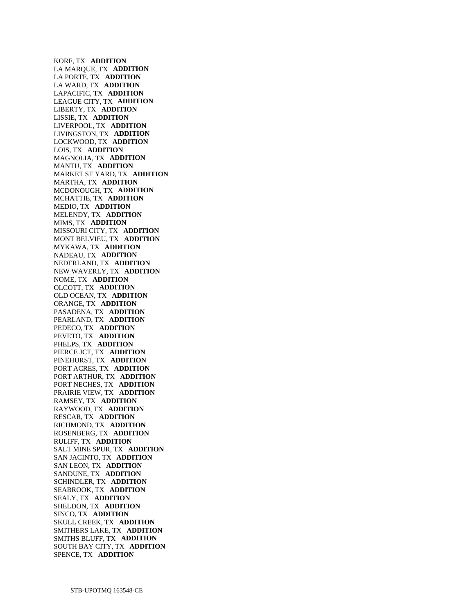KORF, TX **ADDITION**  LA MARQUE, TX **ADDITION**  LA PORTE, TX **ADDITION**  LA WARD, TX **ADDITION**  LAPACIFIC, TX **ADDITION**  LEAGUE CITY, TX **ADDITION**  LIBERTY, TX **ADDITION**  LISSIE, TX **ADDITION**  LIVERPOOL, TX **ADDITION**  LIVINGSTON, TX **ADDITION**  LOCKWOOD, TX **ADDITION**  LOIS, TX **ADDITION**  MAGNOLIA, TX **ADDITION**  MANTU, TX **ADDITION**  MARKET ST YARD, TX **ADDITION**  MARTHA, TX **ADDITION**  MCDONOUGH, TX **ADDITION**  MCHATTIE, TX **ADDITION**  MEDIO, TX **ADDITION**  MELENDY, TX **ADDITION**  MIMS, TX **ADDITION**  MISSOURI CITY, TX **ADDITION**  MONT BELVIEU, TX **ADDITION**  MYKAWA, TX **ADDITION**  NADEAU, TX **ADDITION**  NEDERLAND, TX **ADDITION**  NEW WAVERLY, TX **ADDITION**  NOME, TX **ADDITION**  OLCOTT, TX **ADDITION**  OLD OCEAN, TX **ADDITION**  ORANGE, TX **ADDITION**  PASADENA, TX **ADDITION**  PEARLAND, TX **ADDITION**  PEDECO, TX **ADDITION**  PEVETO, TX **ADDITION**  PHELPS, TX **ADDITION**  PIERCE JCT, TX **ADDITION**  PINEHURST, TX **ADDITION**  PORT ACRES, TX **ADDITION**  PORT ARTHUR, TX **ADDITION**  PORT NECHES, TX **ADDITION**  PRAIRIE VIEW, TX **ADDITION**  RAMSEY, TX **ADDITION**  RAYWOOD, TX **ADDITION**  RESCAR, TX **ADDITION**  RICHMOND, TX **ADDITION**  ROSENBERG, TX **ADDITION**  RULIFF, TX **ADDITION**  SALT MINE SPUR, TX **ADDITION**  SAN JACINTO, TX **ADDITION**  SAN LEON, TX **ADDITION**  SANDUNE, TX **ADDITION**  SCHINDLER, TX **ADDITION**  SEABROOK, TX **ADDITION**  SEALY, TX **ADDITION**  SHELDON, TX **ADDITION**  SINCO, TX **ADDITION**  SKULL CREEK, TX **ADDITION**  SMITHERS LAKE, TX **ADDITION**  SMITHS BLUFF, TX **ADDITION**  SOUTH BAY CITY, TX **ADDITION**  SPENCE, TX **ADDITION**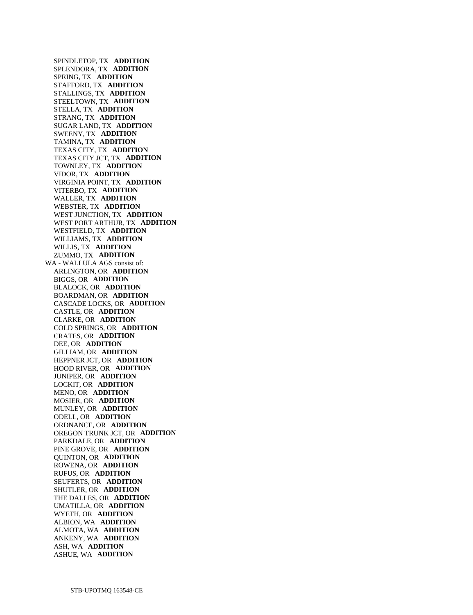SPINDLETOP, TX **ADDITION**  SPLENDORA, TX **ADDITION**  SPRING, TX **ADDITION**  STAFFORD, TX **ADDITION**  STALLINGS, TX **ADDITION**  STEELTOWN, TX **ADDITION**  STELLA, TX **ADDITION**  STRANG, TX **ADDITION**  SUGAR LAND, TX **ADDITION**  SWEENY, TX **ADDITION**  TAMINA, TX **ADDITION**  TEXAS CITY, TX **ADDITION**  TEXAS CITY JCT, TX **ADDITION**  TOWNLEY, TX **ADDITION**  VIDOR, TX **ADDITION**  VIRGINIA POINT, TX **ADDITION**  VITERBO, TX **ADDITION**  WALLER, TX **ADDITION**  WEBSTER, TX **ADDITION**  WEST JUNCTION, TX **ADDITION**  WEST PORT ARTHUR, TX **ADDITION**  WESTFIELD, TX **ADDITION**  WILLIAMS, TX **ADDITION**  WILLIS, TX **ADDITION**  ZUMMO, TX **ADDITION**  WA - WALLULA AGS consist of: ARLINGTON, OR **ADDITION**  BIGGS, OR **ADDITION**  BLALOCK, OR **ADDITION**  BOARDMAN, OR **ADDITION**  CASCADE LOCKS, OR **ADDITION**  CASTLE, OR **ADDITION**  CLARKE, OR **ADDITION**  COLD SPRINGS, OR **ADDITION**  CRATES, OR **ADDITION**  DEE, OR **ADDITION**  GILLIAM, OR **ADDITION**  HEPPNER JCT, OR **ADDITION**  HOOD RIVER, OR **ADDITION**  JUNIPER, OR **ADDITION**  LOCKIT, OR **ADDITION**  MENO, OR **ADDITION**  MOSIER, OR **ADDITION**  MUNLEY, OR **ADDITION**  ODELL, OR **ADDITION**  ORDNANCE, OR **ADDITION**  OREGON TRUNK JCT, OR **ADDITION**  PARKDALE, OR **ADDITION**  PINE GROVE, OR **ADDITION**  QUINTON, OR **ADDITION**  ROWENA, OR **ADDITION**  RUFUS, OR **ADDITION**  SEUFERTS, OR **ADDITION**  SHUTLER, OR **ADDITION**  THE DALLES, OR **ADDITION**  UMATILLA, OR **ADDITION**  WYETH, OR **ADDITION**  ALBION, WA **ADDITION**  ALMOTA, WA **ADDITION**  ANKENY, WA **ADDITION**  ASH, WA **ADDITION**  ASHUE, WA **ADDITION**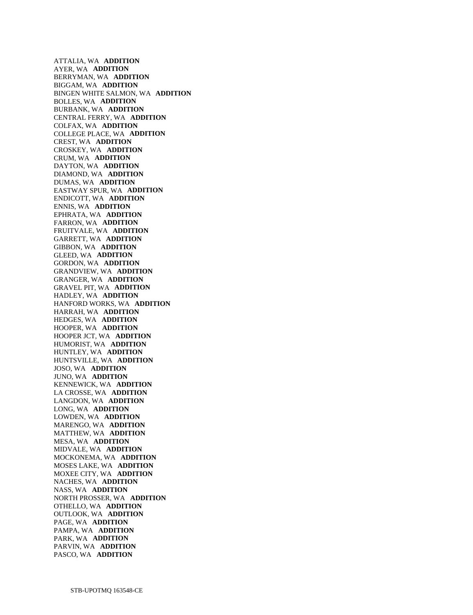ATTALIA, WA **ADDITION**  AYER, WA **ADDITION**  BERRYMAN, WA **ADDITION**  BIGGAM, WA **ADDITION**  BINGEN WHITE SALMON, WA **ADDITION**  BOLLES, WA **ADDITION**  BURBANK, WA **ADDITION**  CENTRAL FERRY, WA **ADDITION**  COLFAX, WA **ADDITION**  COLLEGE PLACE, WA **ADDITION**  CREST, WA **ADDITION**  CROSKEY, WA **ADDITION**  CRUM, WA **ADDITION**  DAYTON, WA **ADDITION**  DIAMOND, WA **ADDITION**  DUMAS, WA **ADDITION**  EASTWAY SPUR, WA **ADDITION**  ENDICOTT, WA **ADDITION**  ENNIS, WA **ADDITION**  EPHRATA, WA **ADDITION**  FARRON, WA **ADDITION**  FRUITVALE, WA **ADDITION**  GARRETT, WA **ADDITION**  GIBBON, WA **ADDITION**  GLEED, WA **ADDITION**  GORDON, WA **ADDITION**  GRANDVIEW, WA **ADDITION**  GRANGER, WA **ADDITION**  GRAVEL PIT, WA **ADDITION**  HADLEY, WA **ADDITION**  HANFORD WORKS, WA **ADDITION**  HARRAH, WA **ADDITION**  HEDGES, WA **ADDITION**  HOOPER, WA **ADDITION**  HOOPER JCT, WA **ADDITION**  HUMORIST, WA **ADDITION**  HUNTLEY, WA **ADDITION**  HUNTSVILLE, WA **ADDITION**  JOSO, WA **ADDITION**  JUNO, WA **ADDITION**  KENNEWICK, WA **ADDITION**  LA CROSSE, WA **ADDITION**  LANGDON, WA **ADDITION**  LONG, WA **ADDITION**  LOWDEN, WA **ADDITION**  MARENGO, WA **ADDITION**  MATTHEW, WA **ADDITION**  MESA, WA **ADDITION**  MIDVALE, WA **ADDITION**  MOCKONEMA, WA **ADDITION**  MOSES LAKE, WA **ADDITION**  MOXEE CITY, WA **ADDITION**  NACHES, WA **ADDITION**  NASS, WA **ADDITION**  NORTH PROSSER, WA **ADDITION**  OTHELLO, WA **ADDITION**  OUTLOOK, WA **ADDITION**  PAGE, WA **ADDITION**  PAMPA, WA **ADDITION**  PARK, WA **ADDITION**  PARVIN, WA **ADDITION**  PASCO, WA **ADDITION**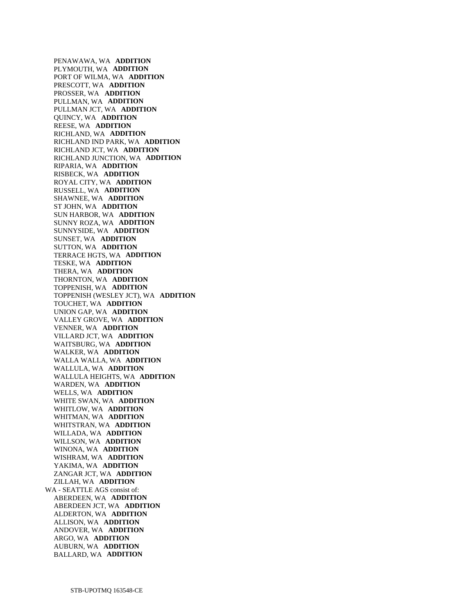PENAWAWA, WA **ADDITION**  PLYMOUTH, WA **ADDITION**  PORT OF WILMA, WA **ADDITION**  PRESCOTT, WA **ADDITION**  PROSSER, WA **ADDITION**  PULLMAN, WA **ADDITION**  PULLMAN JCT, WA **ADDITION**  QUINCY, WA **ADDITION**  REESE, WA **ADDITION**  RICHLAND, WA **ADDITION**  RICHLAND IND PARK, WA **ADDITION**  RICHLAND JCT, WA **ADDITION**  RICHLAND JUNCTION, WA **ADDITION**  RIPARIA, WA **ADDITION**  RISBECK, WA **ADDITION**  ROYAL CITY, WA **ADDITION**  RUSSELL, WA **ADDITION**  SHAWNEE, WA **ADDITION**  ST JOHN, WA **ADDITION**  SUN HARBOR, WA **ADDITION**  SUNNY ROZA, WA **ADDITION**  SUNNYSIDE, WA **ADDITION**  SUNSET, WA **ADDITION**  SUTTON, WA **ADDITION**  TERRACE HGTS, WA **ADDITION**  TESKE, WA **ADDITION**  THERA, WA **ADDITION**  THORNTON, WA **ADDITION**  TOPPENISH, WA **ADDITION**  TOPPENISH (WESLEY JCT), WA **ADDITION**  TOUCHET, WA **ADDITION**  UNION GAP, WA **ADDITION**  VALLEY GROVE, WA **ADDITION**  VENNER, WA **ADDITION**  VILLARD JCT, WA **ADDITION**  WAITSBURG, WA **ADDITION**  WALKER, WA **ADDITION**  WALLA WALLA, WA **ADDITION**  WALLULA, WA **ADDITION**  WALLULA HEIGHTS, WA **ADDITION**  WARDEN, WA **ADDITION**  WELLS, WA **ADDITION**  WHITE SWAN, WA **ADDITION**  WHITLOW, WA **ADDITION**  WHITMAN, WA **ADDITION**  WHITSTRAN, WA **ADDITION**  WILLADA, WA **ADDITION**  WILLSON, WA **ADDITION**  WINONA, WA **ADDITION**  WISHRAM, WA **ADDITION**  YAKIMA, WA **ADDITION**  ZANGAR JCT, WA **ADDITION**  ZILLAH, WA **ADDITION**  WA - SEATTLE AGS consist of: ABERDEEN, WA **ADDITION**  ABERDEEN JCT, WA **ADDITION**  ALDERTON, WA **ADDITION**  ALLISON, WA **ADDITION**  ANDOVER, WA **ADDITION**  ARGO, WA **ADDITION**  AUBURN, WA **ADDITION**  BALLARD, WA **ADDITION**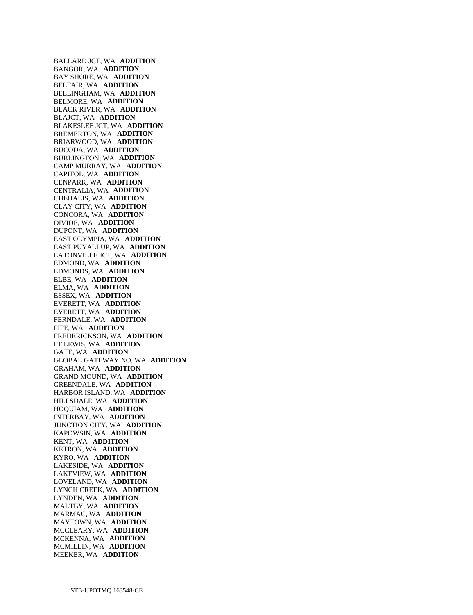BALLARD JCT, WA **ADDITION**  BANGOR, WA **ADDITION**  BAY SHORE, WA **ADDITION**  BELFAIR, WA **ADDITION**  BELLINGHAM, WA **ADDITION**  BELMORE, WA **ADDITION**  BLACK RIVER, WA **ADDITION**  BLAJCT, WA **ADDITION**  BLAKESLEE JCT, WA **ADDITION**  BREMERTON, WA **ADDITION**  BRIARWOOD, WA **ADDITION**  BUCODA, WA **ADDITION**  BURLINGTON, WA **ADDITION**  CAMP MURRAY, WA **ADDITION**  CAPITOL, WA **ADDITION**  CENPARK, WA **ADDITION**  CENTRALIA, WA **ADDITION**  CHEHALIS, WA **ADDITION**  CLAY CITY, WA **ADDITION**  CONCORA, WA **ADDITION**  DIVIDE, WA **ADDITION**  DUPONT, WA **ADDITION**  EAST OLYMPIA, WA **ADDITION**  EAST PUYALLUP, WA **ADDITION**  EATONVILLE JCT, WA **ADDITION**  EDMOND, WA **ADDITION**  EDMONDS, WA **ADDITION**  ELBE, WA **ADDITION**  ELMA, WA **ADDITION**  ESSEX, WA **ADDITION**  EVERETT, WA **ADDITION**  EVERETT, WA **ADDITION**  FERNDALE, WA **ADDITION**  FIFE, WA **ADDITION**  FREDERICKSON, WA **ADDITION**  FT LEWIS, WA **ADDITION**  GATE, WA **ADDITION**  GLOBAL GATEWAY NO, WA **ADDITION**  GRAHAM, WA **ADDITION**  GRAND MOUND, WA **ADDITION**  GREENDALE, WA **ADDITION**  HARBOR ISLAND, WA **ADDITION**  HILLSDALE, WA **ADDITION**  HOQUIAM, WA **ADDITION**  INTERBAY, WA **ADDITION**  JUNCTION CITY, WA **ADDITION**  KAPOWSIN, WA **ADDITION**  KENT, WA **ADDITION**  KETRON, WA **ADDITION**  KYRO, WA **ADDITION**  LAKESIDE, WA **ADDITION**  LAKEVIEW, WA **ADDITION**  LOVELAND, WA **ADDITION**  LYNCH CREEK, WA **ADDITION**  LYNDEN, WA **ADDITION**  MALTBY, WA **ADDITION**  MARMAC, WA **ADDITION**  MAYTOWN, WA **ADDITION**  MCCLEARY, WA **ADDITION**  MCKENNA, WA **ADDITION**  MCMILLIN, WA **ADDITION**  MEEKER, WA **ADDITION**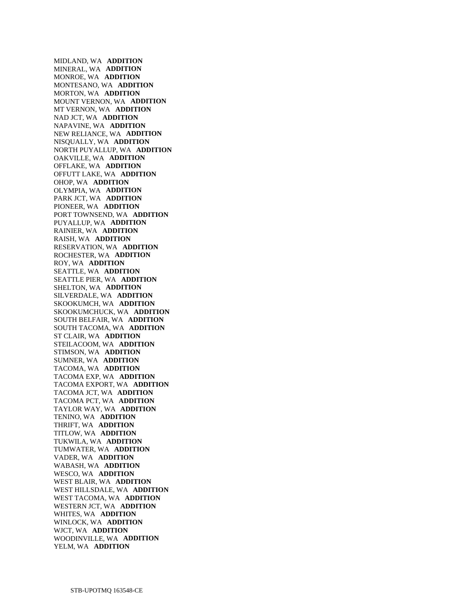MIDLAND, WA **ADDITION**  MINERAL, WA **ADDITION**  MONROE, WA **ADDITION**  MONTESANO, WA **ADDITION**  MORTON, WA **ADDITION**  MOUNT VERNON, WA **ADDITION**  MT VERNON, WA **ADDITION**  NAD JCT, WA **ADDITION**  NAPAVINE, WA **ADDITION**  NEW RELIANCE, WA **ADDITION**  NISQUALLY, WA **ADDITION**  NORTH PUYALLUP, WA **ADDITION**  OAKVILLE, WA **ADDITION**  OFFLAKE, WA **ADDITION**  OFFUTT LAKE, WA **ADDITION**  OHOP, WA **ADDITION**  OLYMPIA, WA **ADDITION**  PARK JCT, WA **ADDITION**  PIONEER, WA **ADDITION**  PORT TOWNSEND, WA **ADDITION**  PUYALLUP, WA **ADDITION**  RAINIER, WA **ADDITION**  RAISH, WA **ADDITION**  RESERVATION, WA **ADDITION**  ROCHESTER, WA **ADDITION**  ROY, WA **ADDITION**  SEATTLE, WA **ADDITION**  SEATTLE PIER, WA **ADDITION**  SHELTON, WA **ADDITION**  SILVERDALE, WA **ADDITION**  SKOOKUMCH, WA **ADDITION**  SKOOKUMCHUCK, WA **ADDITION**  SOUTH BELFAIR, WA **ADDITION**  SOUTH TACOMA, WA **ADDITION**  ST CLAIR, WA **ADDITION**  STEILACOOM, WA **ADDITION**  STIMSON, WA **ADDITION**  SUMNER, WA **ADDITION**  TACOMA, WA **ADDITION**  TACOMA EXP, WA **ADDITION**  TACOMA EXPORT, WA **ADDITION**  TACOMA JCT, WA **ADDITION**  TACOMA PCT, WA **ADDITION**  TAYLOR WAY, WA **ADDITION**  TENINO, WA **ADDITION**  THRIFT, WA **ADDITION**  TITLOW, WA **ADDITION**  TUKWILA, WA **ADDITION**  TUMWATER, WA **ADDITION**  VADER, WA **ADDITION**  WABASH, WA **ADDITION**  WESCO, WA **ADDITION**  WEST BLAIR, WA **ADDITION**  WEST HILLSDALE, WA **ADDITION**  WEST TACOMA, WA **ADDITION**  WESTERN JCT, WA **ADDITION**  WHITES, WA **ADDITION**  WINLOCK, WA **ADDITION**  WJCT, WA **ADDITION**  WOODINVILLE, WA **ADDITION**  YELM, WA **ADDITION**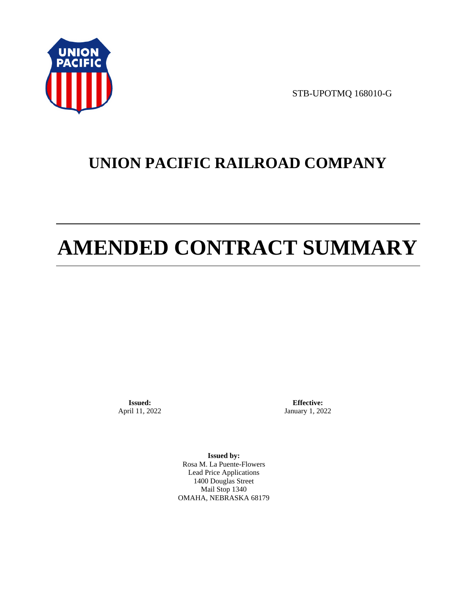

STB-UPOTMQ 168010-G

# **UNION PACIFIC RAILROAD COMPANY**

# **AMENDED CONTRACT SUMMARY**

**Issued:**  April 11, 2022

**Effective:** January 1, 2022

**Issued by:**  Rosa M. La Puente-Flowers Lead Price Applications 1400 Douglas Street Mail Stop 1340 OMAHA, NEBRASKA 68179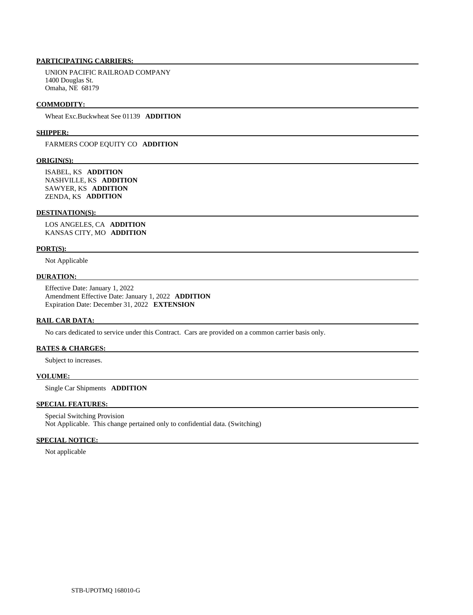# **PARTICIPATING CARRIERS:**

 UNION PACIFIC RAILROAD COMPANY 1400 Douglas St. Omaha, NE 68179

#### **COMMODITY:**

Wheat Exc.Buckwheat See 01139 **ADDITION** 

#### **SHIPPER:**

FARMERS COOP EQUITY CO **ADDITION** 

#### **ORIGIN(S):**

 ISABEL, KS **ADDITION**  NASHVILLE, KS **ADDITION**  SAWYER, KS **ADDITION**  ZENDA, KS **ADDITION** 

#### **DESTINATION(S):**

 LOS ANGELES, CA **ADDITION**  KANSAS CITY, MO **ADDITION** 

#### **PORT(S):**

Not Applicable

### **DURATION:**

 Effective Date: January 1, 2022 Amendment Effective Date: January 1, 2022 **ADDITION**  Expiration Date: December 31, 2022 **EXTENSION** 

# **RAIL CAR DATA:**

No cars dedicated to service under this Contract. Cars are provided on a common carrier basis only.

# **RATES & CHARGES:**

Subject to increases.

#### **VOLUME:**

Single Car Shipments **ADDITION** 

# **SPECIAL FEATURES:**

 Special Switching Provision Not Applicable. This change pertained only to confidential data. (Switching)

# **SPECIAL NOTICE:**

Not applicable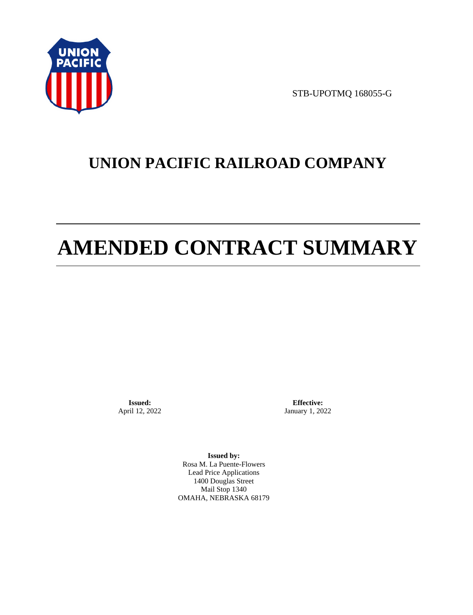

STB-UPOTMQ 168055-G

# **UNION PACIFIC RAILROAD COMPANY**

# **AMENDED CONTRACT SUMMARY**

**Issued:**  April 12, 2022

**Effective:** January 1, 2022

**Issued by:**  Rosa M. La Puente-Flowers Lead Price Applications 1400 Douglas Street Mail Stop 1340 OMAHA, NEBRASKA 68179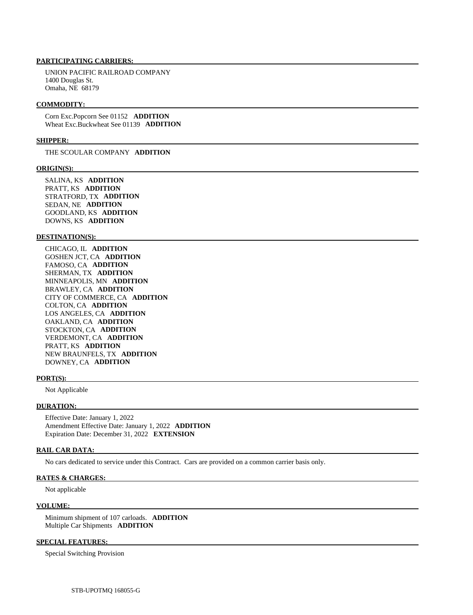# **PARTICIPATING CARRIERS:**

 UNION PACIFIC RAILROAD COMPANY 1400 Douglas St. Omaha, NE 68179

#### **COMMODITY:**

 Corn Exc.Popcorn See 01152 **ADDITION**  Wheat Exc.Buckwheat See 01139 **ADDITION** 

### **SHIPPER:**

THE SCOULAR COMPANY **ADDITION** 

#### **ORIGIN(S):**

 SALINA, KS **ADDITION**  PRATT, KS **ADDITION**  STRATFORD, TX **ADDITION**  SEDAN, NE **ADDITION**  GOODLAND, KS **ADDITION**  DOWNS, KS **ADDITION** 

### **DESTINATION(S):**

 CHICAGO, IL **ADDITION**  GOSHEN JCT, CA **ADDITION**  FAMOSO, CA **ADDITION**  SHERMAN, TX **ADDITION**  MINNEAPOLIS, MN **ADDITION**  BRAWLEY, CA **ADDITION**  CITY OF COMMERCE, CA **ADDITION**  COLTON, CA **ADDITION**  LOS ANGELES, CA **ADDITION**  OAKLAND, CA **ADDITION**  STOCKTON, CA **ADDITION**  VERDEMONT, CA **ADDITION**  PRATT, KS **ADDITION**  NEW BRAUNFELS, TX **ADDITION**  DOWNEY, CA **ADDITION** 

#### **PORT(S):**

Not Applicable

#### **DURATION:**

 Effective Date: January 1, 2022 Amendment Effective Date: January 1, 2022 **ADDITION**  Expiration Date: December 31, 2022 **EXTENSION** 

# **RAIL CAR DATA:**

No cars dedicated to service under this Contract. Cars are provided on a common carrier basis only.

# **RATES & CHARGES:**

Not applicable

#### **VOLUME:**

 Minimum shipment of 107 carloads. **ADDITION**  Multiple Car Shipments **ADDITION** 

# **SPECIAL FEATURES:**

Special Switching Provision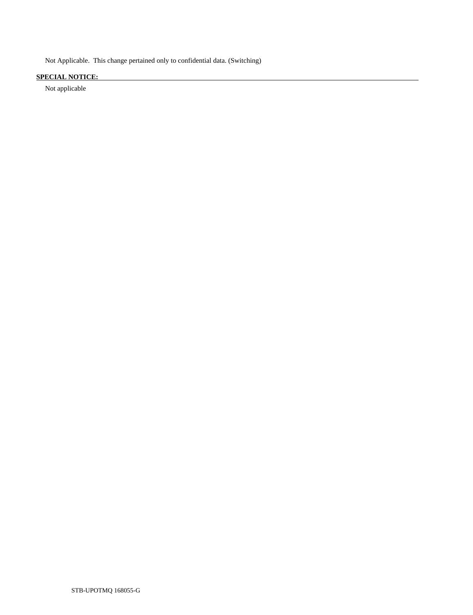Not Applicable. This change pertained only to confidential data. (Switching)

# **SPECIAL NOTICE:**

Not applicable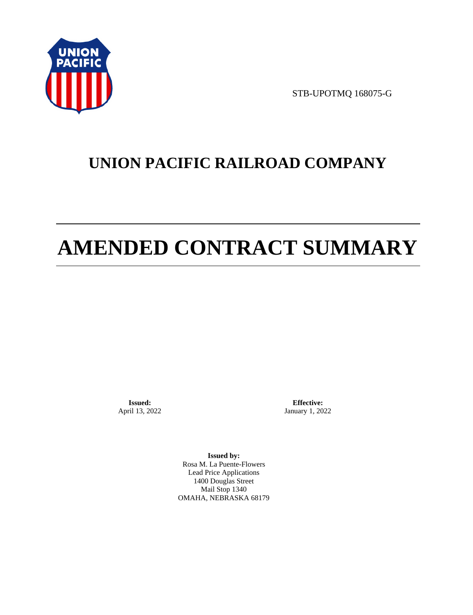

STB-UPOTMQ 168075-G

# **UNION PACIFIC RAILROAD COMPANY**

# **AMENDED CONTRACT SUMMARY**

**Issued:**  April 13, 2022

**Effective:** January 1, 2022

**Issued by:**  Rosa M. La Puente-Flowers Lead Price Applications 1400 Douglas Street Mail Stop 1340 OMAHA, NEBRASKA 68179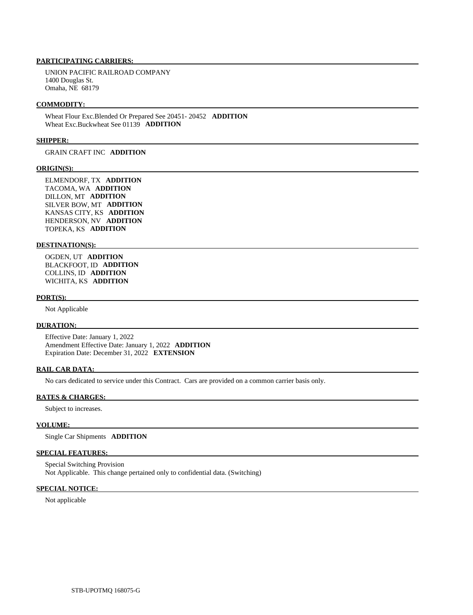# **PARTICIPATING CARRIERS:**

 UNION PACIFIC RAILROAD COMPANY 1400 Douglas St. Omaha, NE 68179

#### **COMMODITY:**

 Wheat Flour Exc.Blended Or Prepared See 20451- 20452 **ADDITION**  Wheat Exc.Buckwheat See 01139 **ADDITION** 

## **SHIPPER:**

GRAIN CRAFT INC **ADDITION** 

#### **ORIGIN(S):**

 ELMENDORF, TX **ADDITION**  TACOMA, WA **ADDITION**  DILLON, MT **ADDITION**  SILVER BOW, MT **ADDITION**  KANSAS CITY, KS **ADDITION**  HENDERSON, NV **ADDITION**  TOPEKA, KS **ADDITION** 

## **DESTINATION(S):**

 OGDEN, UT **ADDITION**  BLACKFOOT, ID **ADDITION**  COLLINS, ID **ADDITION**  WICHITA, KS **ADDITION** 

#### **PORT(S):**

Not Applicable

### **DURATION:**

 Effective Date: January 1, 2022 Amendment Effective Date: January 1, 2022 **ADDITION**  Expiration Date: December 31, 2022 **EXTENSION** 

# **RAIL CAR DATA:**

No cars dedicated to service under this Contract. Cars are provided on a common carrier basis only.

#### **RATES & CHARGES:**

Subject to increases.

# **VOLUME:**

Single Car Shipments **ADDITION** 

# **SPECIAL FEATURES:**

 Special Switching Provision Not Applicable. This change pertained only to confidential data. (Switching)

# **SPECIAL NOTICE:**

Not applicable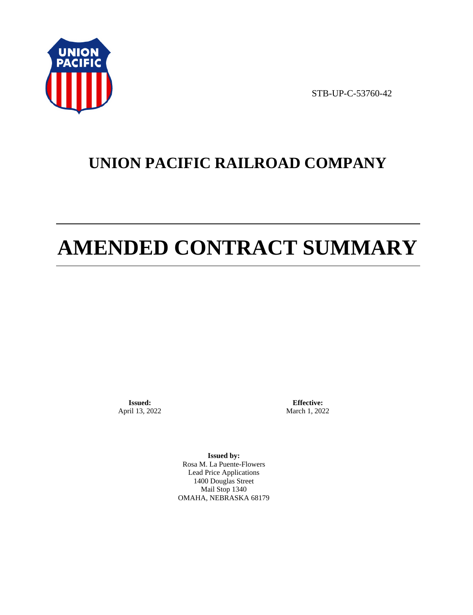

STB-UP-C-53760-42

# **UNION PACIFIC RAILROAD COMPANY**

# **AMENDED CONTRACT SUMMARY**

**Issued:**  April 13, 2022

**Effective:** March 1, 2022

**Issued by:**  Rosa M. La Puente-Flowers Lead Price Applications 1400 Douglas Street Mail Stop 1340 OMAHA, NEBRASKA 68179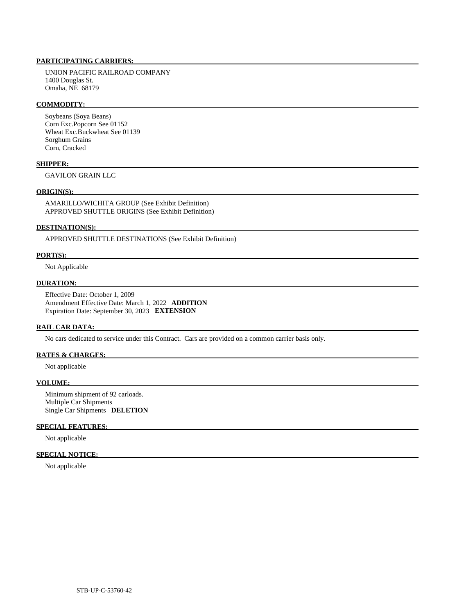# **PARTICIPATING CARRIERS:**

 UNION PACIFIC RAILROAD COMPANY 1400 Douglas St. Omaha, NE 68179

# **COMMODITY:**

 Soybeans (Soya Beans) Corn Exc.Popcorn See 01152 Wheat Exc.Buckwheat See 01139 Sorghum Grains Corn, Cracked

# **SHIPPER:**

GAVILON GRAIN LLC

# **ORIGIN(S):**

 AMARILLO/WICHITA GROUP (See Exhibit Definition) APPROVED SHUTTLE ORIGINS (See Exhibit Definition)

#### **DESTINATION(S):**

APPROVED SHUTTLE DESTINATIONS (See Exhibit Definition)

# **PORT(S):**

Not Applicable

# **DURATION:**

 Effective Date: October 1, 2009 Amendment Effective Date: March 1, 2022 **ADDITION**  Expiration Date: September 30, 2023 **EXTENSION** 

# **RAIL CAR DATA:**

No cars dedicated to service under this Contract. Cars are provided on a common carrier basis only.

# **RATES & CHARGES:**

Not applicable

#### **VOLUME:**

 Minimum shipment of 92 carloads. Multiple Car Shipments Single Car Shipments **DELETION** 

# **SPECIAL FEATURES:**

Not applicable

# **SPECIAL NOTICE:**

Not applicable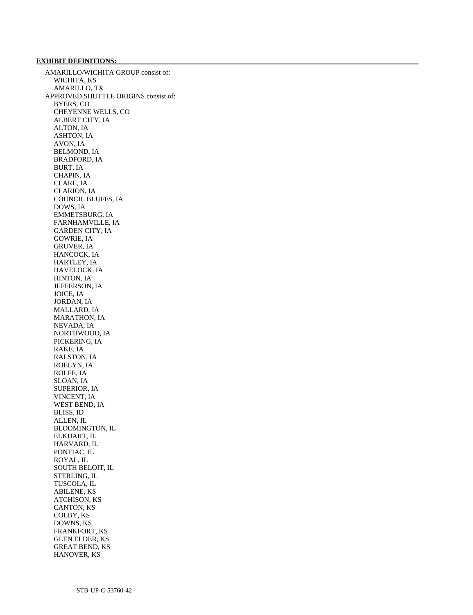# **EXHIBIT DEFINITIONS:**

 AMARILLO/WICHITA GROUP consist of: WICHITA, KS AMARILLO, TX APPROVED SHUTTLE ORIGINS consist of: BYERS, CO CHEYENNE WELLS, CO ALBERT CITY, IA ALTON, IA ASHTON, IA AVON, IA BELMOND, IA BRADFORD, IA BURT, IA CHAPIN, IA CLARE, IA CLARION, IA COUNCIL BLUFFS, IA DOWS, IA EMMETSBURG, IA FARNHAMVILLE, IA GARDEN CITY, IA GOWRIE, IA GRUVER, IA HANCOCK, IA HARTLEY, IA HAVELOCK, IA HINTON, IA JEFFERSON, IA JOICE, IA JORDAN, IA MALLARD, IA MARATHON, IA NEVADA, IA NORTHWOOD, IA PICKERING, IA RAKE, IA RALSTON, IA ROELYN, IA ROLFE, IA SLOAN, IA SUPERIOR, IA VINCENT, IA WEST BEND, IA BLISS, ID ALLEN, IL BLOOMINGTON, IL ELKHART, IL HARVARD, IL PONTIAC, IL ROYAL, IL SOUTH BELOIT, IL STERLING, IL TUSCOLA, IL ABILENE, KS ATCHISON, KS CANTON, KS COLBY, KS DOWNS, KS FRANKFORT, KS GLEN ELDER, KS GREAT BEND, KS HANOVER, KS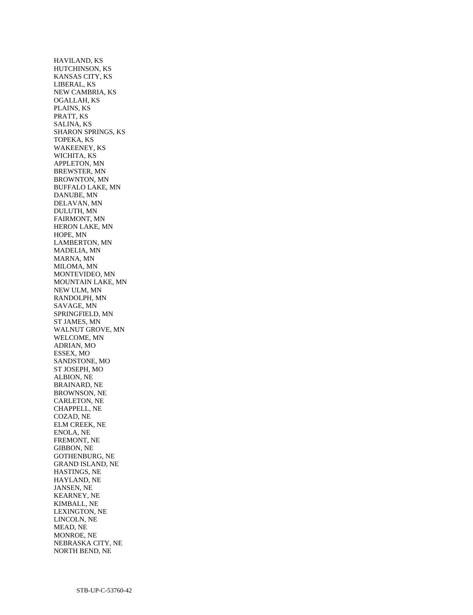HAVILAND, KS HUTCHINSON, KS KANSAS CITY, KS LIBERAL, KS NEW CAMBRIA, KS OGALLAH, KS PLAINS, KS PRATT, KS SALINA, KS SHARON SPRINGS, KS TOPEKA, KS WAKEENEY, KS WICHITA, KS APPLETON, MN BREWSTER, MN BROWNTON, MN BUFFALO LAKE, MN DANUBE, MN DELAVAN, MN DULUTH, MN FAIRMONT, MN HERON LAKE, MN HOPE, MN LAMBERTON, MN MADELIA, MN MARNA, MN MILOMA, MN MONTEVIDEO, MN MOUNTAIN LAKE, MN NEW ULM, MN RANDOLPH, MN SAVAGE, MN SPRINGFIELD, MN ST JAMES, MN WALNUT GROVE, MN WELCOME, MN ADRIAN, MO ESSEX, MO SANDSTONE, MO ST JOSEPH, MO ALBION, NE BRAINARD, NE BROWNSON, NE CARLETON, NE CHAPPELL, NE COZAD, NE ELM CREEK, NE ENOLA, NE FREMONT, NE GIBBON, NE GOTHENBURG, NE GRAND ISLAND, NE HASTINGS, NE HAYLAND, NE JANSEN, NE KEARNEY, NE KIMBALL, NE LEXINGTON, NE LINCOLN, NE MEAD, NE MONROE, NE NEBRASKA CITY, NE NORTH BEND, NE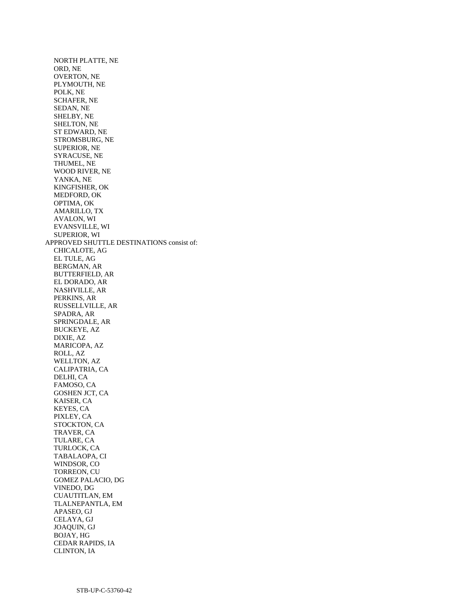NORTH PLATTE, NE ORD, NE OVERTON, NE PLYMOUTH, NE POLK, NE SCHAFER, NE SEDAN, NE SHELBY, NE SHELTON, NE ST EDWARD, NE STROMSBURG, NE SUPERIOR, NE SYRACUSE, NE THUMEL, NE WOOD RIVER, NE YANKA, NE KINGFISHER, OK MEDFORD, OK OPTIMA, OK AMARILLO, TX AVALON, WI EVANSVILLE, WI SUPERIOR, WI APPROVED SHUTTLE DESTINATIONS consist of: CHICALOTE, AG EL TULE, AG BERGMAN, AR BUTTERFIELD, AR EL DORADO, AR NASHVILLE, AR PERKINS, AR RUSSELLVILLE, AR SPADRA, AR SPRINGDALE, AR BUCKEYE, AZ DIXIE, AZ MARICOPA, AZ ROLL, AZ WELLTON, AZ CALIPATRIA, CA DELHI, CA FAMOSO, CA GOSHEN JCT, CA KAISER, CA KEYES, CA PIXLEY, CA STOCKTON, CA TRAVER, CA TULARE, CA TURLOCK, CA TABALAOPA, CI WINDSOR, CO TORREON, CU GOMEZ PALACIO, DG VINEDO, DG CUAUTITLAN, EM TLALNEPANTLA, EM APASEO, GJ CELAYA, GJ JOAQUIN, GJ BOJAY, HG CEDAR RAPIDS, IA CLINTON, IA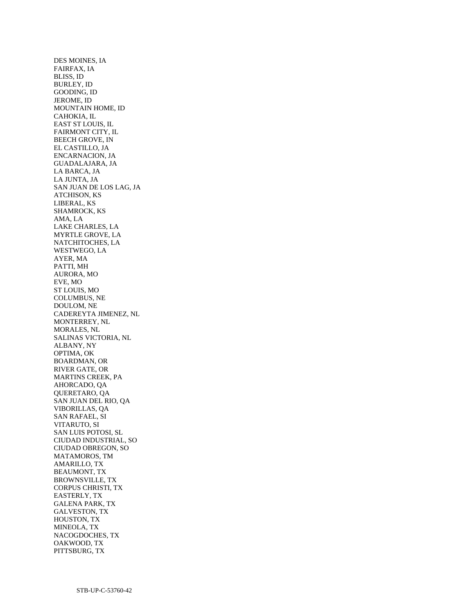DES MOINES, IA FAIRFAX, IA BLISS, ID BURLEY, ID GOODING, ID JEROME, ID MOUNTAIN HOME, ID CAHOKIA, IL EAST ST LOUIS, IL FAIRMONT CITY, IL BEECH GROVE, IN EL CASTILLO, JA ENCARNACION, JA GUADALAJARA, JA LA BARCA, JA LA JUNTA, JA SAN JUAN DE LOS LAG, JA ATCHISON, KS LIBERAL, KS SHAMROCK, KS AMA, LA LAKE CHARLES, LA MYRTLE GROVE, LA NATCHITOCHES, LA WESTWEGO, LA AYER, MA PATTI, MH AURORA, MO EVE, MO ST LOUIS, MO COLUMBUS, NE DOULOM, NE CADEREYTA JIMENEZ, NL MONTERREY, NL MORALES, NL SALINAS VICTORIA, NL ALBANY, NY OPTIMA, OK BOARDMAN, OR RIVER GATE, OR MARTINS CREEK, PA AHORCADO, QA QUERETARO, QA SAN JUAN DEL RIO, QA VIBORILLAS, QA SAN RAFAEL, SI VITARUTO, SI SAN LUIS POTOSI, SL CIUDAD INDUSTRIAL, SO CIUDAD OBREGON, SO MATAMOROS, TM AMARILLO, TX BEAUMONT, TX BROWNSVILLE, TX CORPUS CHRISTI, TX EASTERLY, TX GALENA PARK, TX GALVESTON, TX HOUSTON, TX MINEOLA, TX NACOGDOCHES, TX OAKWOOD, TX PITTSBURG, TX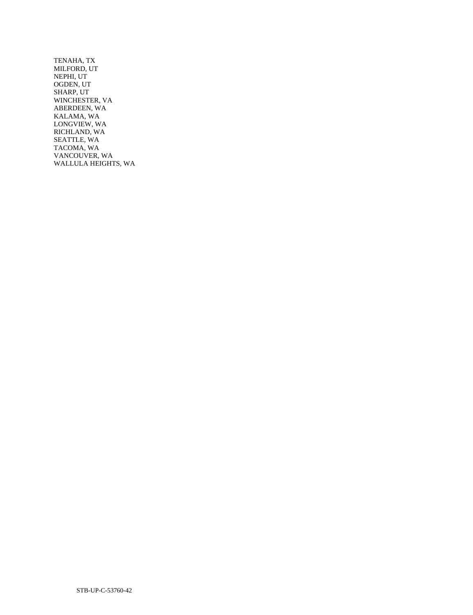TENAHA, TX MILFORD, UT NEPHI, UT OGDEN, UT SHARP, UT WINCHESTER, VA ABERDEEN, WA KALAMA, WA LONGVIEW, WA RICHLAND, WA SEATTLE, WA TACOMA, WA VANCOUVER, WA WALLULA HEIGHTS, WA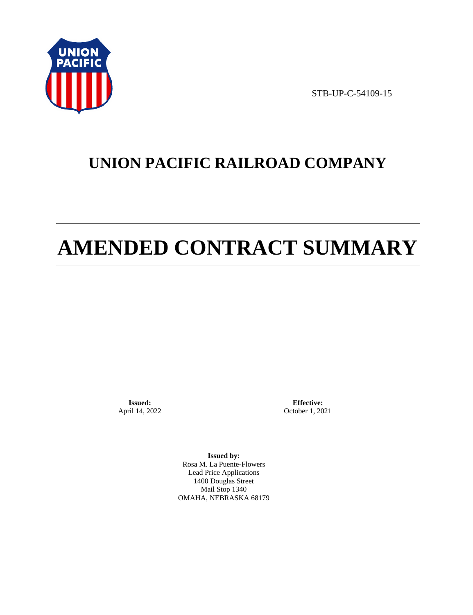

STB-UP-C-54109-15

# **UNION PACIFIC RAILROAD COMPANY**

# **AMENDED CONTRACT SUMMARY**

**Issued:**  April 14, 2022

**Effective:** October 1, 2021

**Issued by:**  Rosa M. La Puente-Flowers Lead Price Applications 1400 Douglas Street Mail Stop 1340 OMAHA, NEBRASKA 68179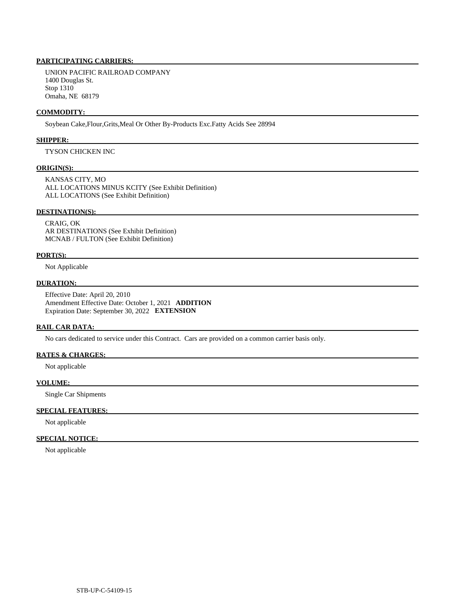# **PARTICIPATING CARRIERS:**

 UNION PACIFIC RAILROAD COMPANY 1400 Douglas St. Stop 1310 Omaha, NE 68179

#### **COMMODITY:**

Soybean Cake,Flour,Grits,Meal Or Other By-Products Exc.Fatty Acids See 28994

## **SHIPPER:**

TYSON CHICKEN INC

#### **ORIGIN(S):**

 KANSAS CITY, MO ALL LOCATIONS MINUS KCITY (See Exhibit Definition) ALL LOCATIONS (See Exhibit Definition)

# **DESTINATION(S):**

 CRAIG, OK AR DESTINATIONS (See Exhibit Definition) MCNAB / FULTON (See Exhibit Definition)

#### **PORT(S):**

Not Applicable

# **DURATION:**

 Effective Date: April 20, 2010 Amendment Effective Date: October 1, 2021 **ADDITION**  Expiration Date: September 30, 2022 **EXTENSION** 

# **RAIL CAR DATA:**

No cars dedicated to service under this Contract. Cars are provided on a common carrier basis only.

# **RATES & CHARGES:**

Not applicable

#### **VOLUME:**

Single Car Shipments

## **SPECIAL FEATURES:**

Not applicable

# **SPECIAL NOTICE:**

Not applicable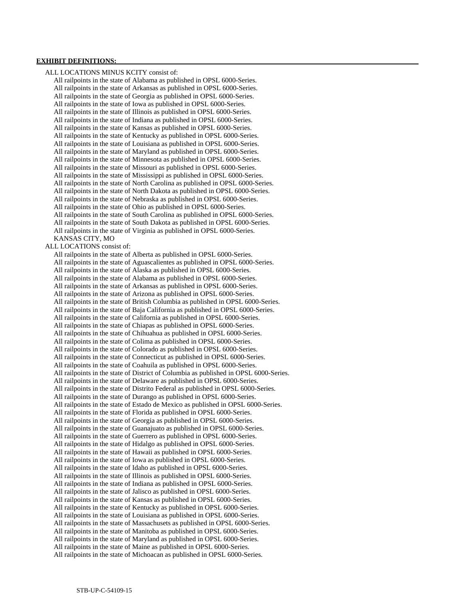## **EXHIBIT DEFINITIONS:**

 ALL LOCATIONS MINUS KCITY consist of: All railpoints in the state of Alabama as published in OPSL 6000-Series. All railpoints in the state of Arkansas as published in OPSL 6000-Series. All railpoints in the state of Georgia as published in OPSL 6000-Series. All railpoints in the state of Iowa as published in OPSL 6000-Series. All railpoints in the state of Illinois as published in OPSL 6000-Series. All railpoints in the state of Indiana as published in OPSL 6000-Series. All railpoints in the state of Kansas as published in OPSL 6000-Series. All railpoints in the state of Kentucky as published in OPSL 6000-Series. All railpoints in the state of Louisiana as published in OPSL 6000-Series. All railpoints in the state of Maryland as published in OPSL 6000-Series. All railpoints in the state of Minnesota as published in OPSL 6000-Series. All railpoints in the state of Missouri as published in OPSL 6000-Series. All railpoints in the state of Mississippi as published in OPSL 6000-Series. All railpoints in the state of North Carolina as published in OPSL 6000-Series. All railpoints in the state of North Dakota as published in OPSL 6000-Series. All railpoints in the state of Nebraska as published in OPSL 6000-Series. All railpoints in the state of Ohio as published in OPSL 6000-Series. All railpoints in the state of South Carolina as published in OPSL 6000-Series. All railpoints in the state of South Dakota as published in OPSL 6000-Series. All railpoints in the state of Virginia as published in OPSL 6000-Series. KANSAS CITY, MO ALL LOCATIONS consist of: All railpoints in the state of Alberta as published in OPSL 6000-Series. All railpoints in the state of Aguascalientes as published in OPSL 6000-Series. All railpoints in the state of Alaska as published in OPSL 6000-Series. All railpoints in the state of Alabama as published in OPSL 6000-Series. All railpoints in the state of Arkansas as published in OPSL 6000-Series. All railpoints in the state of Arizona as published in OPSL 6000-Series. All railpoints in the state of British Columbia as published in OPSL 6000-Series. All railpoints in the state of Baja California as published in OPSL 6000-Series. All railpoints in the state of California as published in OPSL 6000-Series. All railpoints in the state of Chiapas as published in OPSL 6000-Series. All railpoints in the state of Chihuahua as published in OPSL 6000-Series. All railpoints in the state of Colima as published in OPSL 6000-Series. All railpoints in the state of Colorado as published in OPSL 6000-Series. All railpoints in the state of Connecticut as published in OPSL 6000-Series. All railpoints in the state of Coahuila as published in OPSL 6000-Series. All railpoints in the state of District of Columbia as published in OPSL 6000-Series. All railpoints in the state of Delaware as published in OPSL 6000-Series. All railpoints in the state of Distrito Federal as published in OPSL 6000-Series. All railpoints in the state of Durango as published in OPSL 6000-Series. All railpoints in the state of Estado de Mexico as published in OPSL 6000-Series. All railpoints in the state of Florida as published in OPSL 6000-Series. All railpoints in the state of Georgia as published in OPSL 6000-Series. All railpoints in the state of Guanajuato as published in OPSL 6000-Series. All railpoints in the state of Guerrero as published in OPSL 6000-Series. All railpoints in the state of Hidalgo as published in OPSL 6000-Series. All railpoints in the state of Hawaii as published in OPSL 6000-Series. All railpoints in the state of Iowa as published in OPSL 6000-Series. All railpoints in the state of Idaho as published in OPSL 6000-Series. All railpoints in the state of Illinois as published in OPSL 6000-Series. All railpoints in the state of Indiana as published in OPSL 6000-Series. All railpoints in the state of Jalisco as published in OPSL 6000-Series. All railpoints in the state of Kansas as published in OPSL 6000-Series. All railpoints in the state of Kentucky as published in OPSL 6000-Series. All railpoints in the state of Louisiana as published in OPSL 6000-Series. All railpoints in the state of Massachusets as published in OPSL 6000-Series. All railpoints in the state of Manitoba as published in OPSL 6000-Series. All railpoints in the state of Maryland as published in OPSL 6000-Series. All railpoints in the state of Maine as published in OPSL 6000-Series. All railpoints in the state of Michoacan as published in OPSL 6000-Series.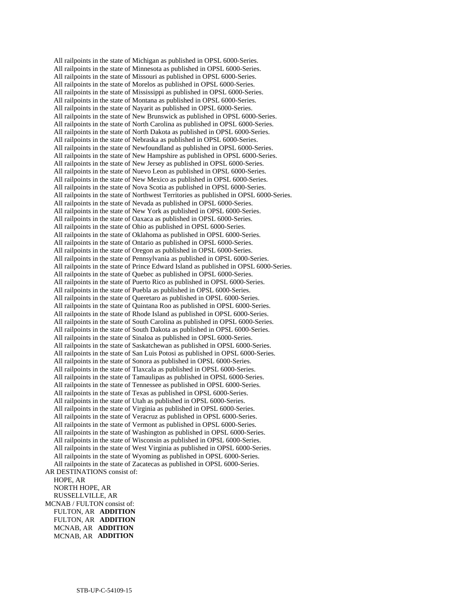All railpoints in the state of Michigan as published in OPSL 6000-Series. All railpoints in the state of Minnesota as published in OPSL 6000-Series. All railpoints in the state of Missouri as published in OPSL 6000-Series. All railpoints in the state of Morelos as published in OPSL 6000-Series. All railpoints in the state of Mississippi as published in OPSL 6000-Series. All railpoints in the state of Montana as published in OPSL 6000-Series. All railpoints in the state of Nayarit as published in OPSL 6000-Series. All railpoints in the state of New Brunswick as published in OPSL 6000-Series. All railpoints in the state of North Carolina as published in OPSL 6000-Series. All railpoints in the state of North Dakota as published in OPSL 6000-Series. All railpoints in the state of Nebraska as published in OPSL 6000-Series. All railpoints in the state of Newfoundland as published in OPSL 6000-Series. All railpoints in the state of New Hampshire as published in OPSL 6000-Series. All railpoints in the state of New Jersey as published in OPSL 6000-Series. All railpoints in the state of Nuevo Leon as published in OPSL 6000-Series. All railpoints in the state of New Mexico as published in OPSL 6000-Series. All railpoints in the state of Nova Scotia as published in OPSL 6000-Series. All railpoints in the state of Northwest Territories as published in OPSL 6000-Series. All railpoints in the state of Nevada as published in OPSL 6000-Series. All railpoints in the state of New York as published in OPSL 6000-Series. All railpoints in the state of Oaxaca as published in OPSL 6000-Series. All railpoints in the state of Ohio as published in OPSL 6000-Series. All railpoints in the state of Oklahoma as published in OPSL 6000-Series. All railpoints in the state of Ontario as published in OPSL 6000-Series. All railpoints in the state of Oregon as published in OPSL 6000-Series. All railpoints in the state of Pennsylvania as published in OPSL 6000-Series. All railpoints in the state of Prince Edward Island as published in OPSL 6000-Series. All railpoints in the state of Quebec as published in OPSL 6000-Series. All railpoints in the state of Puerto Rico as published in OPSL 6000-Series. All railpoints in the state of Puebla as published in OPSL 6000-Series. All railpoints in the state of Queretaro as published in OPSL 6000-Series. All railpoints in the state of Quintana Roo as published in OPSL 6000-Series. All railpoints in the state of Rhode Island as published in OPSL 6000-Series. All railpoints in the state of South Carolina as published in OPSL 6000-Series. All railpoints in the state of South Dakota as published in OPSL 6000-Series. All railpoints in the state of Sinaloa as published in OPSL 6000-Series. All railpoints in the state of Saskatchewan as published in OPSL 6000-Series. All railpoints in the state of San Luis Potosi as published in OPSL 6000-Series. All railpoints in the state of Sonora as published in OPSL 6000-Series. All railpoints in the state of Tlaxcala as published in OPSL 6000-Series. All railpoints in the state of Tamaulipas as published in OPSL 6000-Series. All railpoints in the state of Tennessee as published in OPSL 6000-Series. All railpoints in the state of Texas as published in OPSL 6000-Series. All railpoints in the state of Utah as published in OPSL 6000-Series. All railpoints in the state of Virginia as published in OPSL 6000-Series. All railpoints in the state of Veracruz as published in OPSL 6000-Series. All railpoints in the state of Vermont as published in OPSL 6000-Series. All railpoints in the state of Washington as published in OPSL 6000-Series. All railpoints in the state of Wisconsin as published in OPSL 6000-Series. All railpoints in the state of West Virginia as published in OPSL 6000-Series. All railpoints in the state of Wyoming as published in OPSL 6000-Series. All railpoints in the state of Zacatecas as published in OPSL 6000-Series. AR DESTINATIONS consist of: HOPE, AR NORTH HOPE, AR RUSSELLVILLE, AR MCNAB / FULTON consist of: FULTON, AR **ADDITION**  FULTON, AR **ADDITION**  MCNAB, AR **ADDITION**  MCNAB, AR **ADDITION**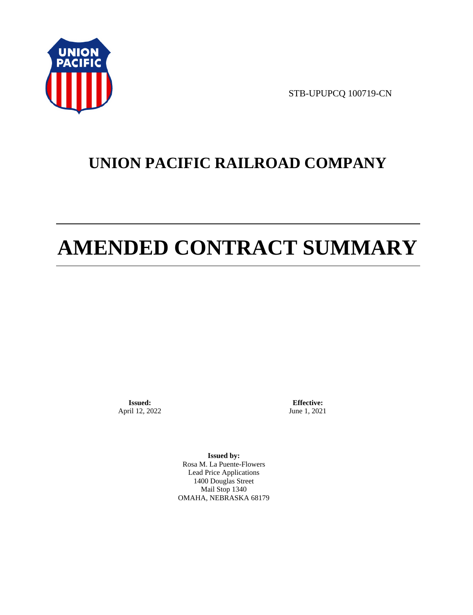

STB-UPUPCQ 100719-CN

# **UNION PACIFIC RAILROAD COMPANY**

# **AMENDED CONTRACT SUMMARY**

**Issued:**  April 12, 2022

**Effective:** June 1, 2021

**Issued by:**  Rosa M. La Puente-Flowers Lead Price Applications 1400 Douglas Street Mail Stop 1340 OMAHA, NEBRASKA 68179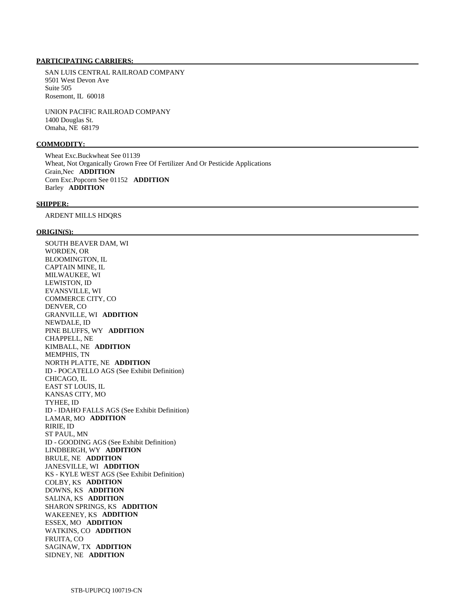### **PARTICIPATING CARRIERS:**

 SAN LUIS CENTRAL RAILROAD COMPANY 9501 West Devon Ave Suite 505 Rosemont, IL 60018

 UNION PACIFIC RAILROAD COMPANY 1400 Douglas St. Omaha, NE 68179

# **COMMODITY:**

 Wheat Exc.Buckwheat See 01139 Wheat, Not Organically Grown Free Of Fertilizer And Or Pesticide Applications Grain,Nec **ADDITION**  Corn Exc.Popcorn See 01152 **ADDITION**  Barley **ADDITION** 

#### **SHIPPER:**

ARDENT MILLS HDQRS

#### **ORIGIN(S):**

 SOUTH BEAVER DAM, WI WORDEN, OR BLOOMINGTON, IL CAPTAIN MINE, IL MILWAUKEE, WI LEWISTON, ID EVANSVILLE, WI COMMERCE CITY, CO DENVER, CO GRANVILLE, WI **ADDITION**  NEWDALE, ID PINE BLUFFS, WY **ADDITION**  CHAPPELL, NE KIMBALL, NE **ADDITION**  MEMPHIS, TN NORTH PLATTE, NE **ADDITION**  ID - POCATELLO AGS (See Exhibit Definition) CHICAGO, IL EAST ST LOUIS, IL KANSAS CITY, MO TYHEE, ID ID - IDAHO FALLS AGS (See Exhibit Definition) LAMAR, MO **ADDITION**  RIRIE, ID ST PAUL, MN ID - GOODING AGS (See Exhibit Definition) LINDBERGH, WY **ADDITION**  BRULE, NE **ADDITION**  JANESVILLE, WI **ADDITION**  KS - KYLE WEST AGS (See Exhibit Definition) COLBY, KS **ADDITION**  DOWNS, KS **ADDITION**  SALINA, KS **ADDITION**  SHARON SPRINGS, KS **ADDITION**  WAKEENEY, KS **ADDITION**  ESSEX, MO **ADDITION**  WATKINS, CO **ADDITION**  FRUITA, CO SAGINAW, TX **ADDITION**  SIDNEY, NE **ADDITION**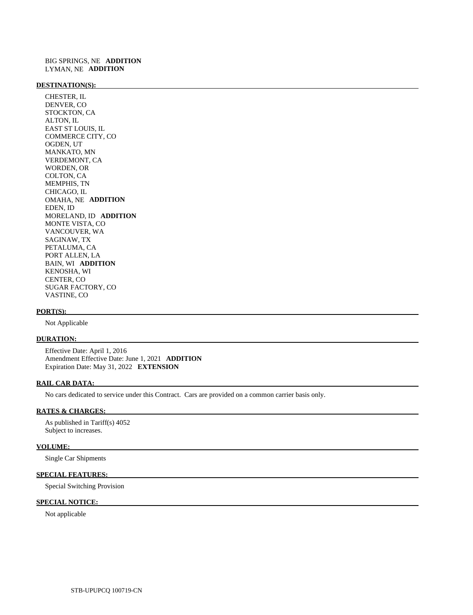#### **DESTINATION(S):**

 CHESTER, IL DENVER, CO STOCKTON, CA ALTON, IL EAST ST LOUIS, IL COMMERCE CITY, CO OGDEN, UT MANKATO, MN VERDEMONT, CA WORDEN, OR COLTON, CA MEMPHIS, TN CHICAGO, IL OMAHA, NE **ADDITION**  EDEN, ID MORELAND, ID **ADDITION**  MONTE VISTA, CO VANCOUVER, WA SAGINAW, TX PETALUMA, CA PORT ALLEN, LA BAIN, WI **ADDITION**  KENOSHA, WI CENTER, CO SUGAR FACTORY, CO VASTINE, CO

#### **PORT(S):**

Not Applicable

### **DURATION:**

 Effective Date: April 1, 2016 Amendment Effective Date: June 1, 2021 **ADDITION**  Expiration Date: May 31, 2022 **EXTENSION** 

#### **RAIL CAR DATA:**

No cars dedicated to service under this Contract. Cars are provided on a common carrier basis only.

## **RATES & CHARGES:**

 As published in Tariff(s) 4052 Subject to increases.

#### **VOLUME:**

Single Car Shipments

# **SPECIAL FEATURES:**

Special Switching Provision

# **SPECIAL NOTICE:**

Not applicable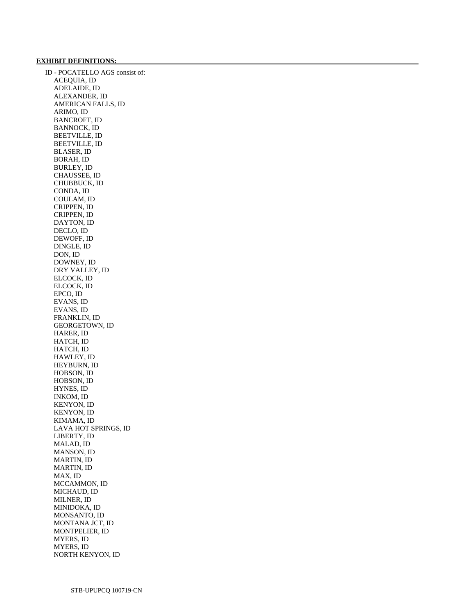### **EXHIBIT DEFINITIONS:**

 ID - POCATELLO AGS consist of: ACEQUIA, ID ADELAIDE, ID ALEXANDER, ID AMERICAN FALLS, ID ARIMO, ID BANCROFT, ID BANNOCK, ID BEETVILLE, ID BEETVILLE, ID BLASER, ID BORAH, ID BURLEY, ID CHAUSSEE, ID CHUBBUCK, ID CONDA, ID COULAM, ID CRIPPEN, ID CRIPPEN, ID DAYTON, ID DECLO, ID DEWOFF, ID DINGLE, ID DON, ID DOWNEY, ID DRY VALLEY, ID ELCOCK, ID ELCOCK, ID EPCO, ID EVANS, ID EVANS, ID FRANKLIN, ID GEORGETOWN, ID HARER, ID HATCH, ID HATCH, ID HAWLEY, ID HEYBURN, ID HOBSON, ID HOBSON, ID HYNES, ID INKOM, ID KENYON, ID KENYON, ID KIMAMA, ID LAVA HOT SPRINGS, ID LIBERTY, ID MALAD, ID MANSON, ID MARTIN, ID MARTIN, ID MAX, ID MCCAMMON, ID MICHAUD, ID MILNER, ID MINIDOKA, ID MONSANTO, ID MONTANA JCT, ID MONTPELIER, ID MYERS, ID MYERS, ID NORTH KENYON, ID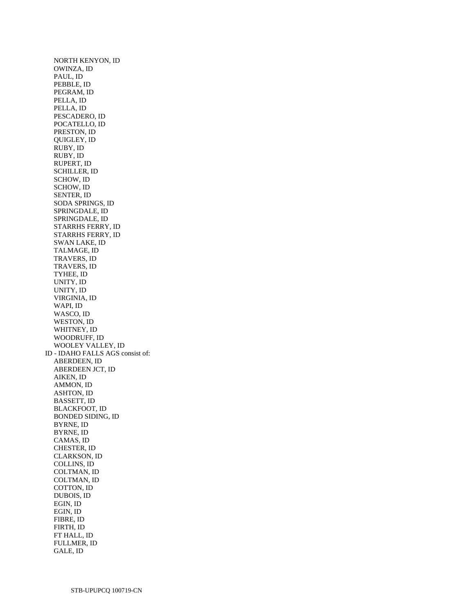NORTH KENYON, ID OWINZA, ID PAUL, ID PEBBLE, ID PEGRAM, ID PELLA, ID PELLA, ID PESCADERO, ID POCATELLO, ID PRESTON, ID QUIGLEY, ID RUBY, ID RUBY, ID RUPERT, ID SCHILLER, ID SCHOW, ID SCHOW, ID SENTER, ID SODA SPRINGS, ID SPRINGDALE, ID SPRINGDALE, ID STARRHS FERRY, ID STARRHS FERRY, ID SWAN LAKE, ID TALMAGE, ID TRAVERS, ID TRAVERS, ID TYHEE, ID UNITY, ID UNITY, ID VIRGINIA, ID WAPI, ID WASCO, ID WESTON, ID WHITNEY, ID WOODRUFF, ID WOOLEY VALLEY, ID ID - IDAHO FALLS AGS consist of: ABERDEEN, ID ABERDEEN JCT, ID AIKEN, ID AMMON, ID ASHTON, ID BASSETT, ID BLACKFOOT, ID BONDED SIDING, ID BYRNE, ID BYRNE, ID CAMAS, ID CHESTER, ID CLARKSON, ID COLLINS, ID COLTMAN, ID COLTMAN, ID COTTON, ID DUBOIS, ID EGIN, ID EGIN, ID FIBRE, ID FIRTH, ID FT HALL, ID FULLMER, ID GALE, ID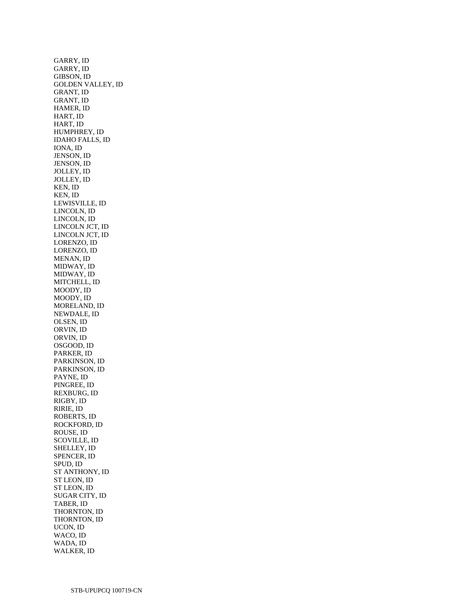GARRY, ID GARRY, ID GIBSON, ID GOLDEN VALLEY, ID GRANT, ID GRANT, ID HAMER, ID HART, ID HART, ID HUMPHREY, ID IDAHO FALLS, ID IONA, ID JENSON, ID JENSON, ID JOLLEY, ID JOLLEY, ID KEN, ID KEN, ID LEWISVILLE, ID LINCOLN, ID LINCOLN, ID LINCOLN JCT, ID LINCOLN JCT, ID LORENZO, ID LORENZO, ID MENAN, ID MIDWAY, ID MIDWAY, ID MITCHELL, ID MOODY, ID MOODY, ID MORELAND, ID NEWDALE, ID OLSEN, ID ORVIN, ID ORVIN, ID OSGOOD, ID PARKER, ID PARKINSON, ID PARKINSON, ID PAYNE, ID PINGREE, ID REXBURG, ID RIGBY, ID RIRIE, ID ROBERTS, ID ROCKFORD, ID ROUSE, ID SCOVILLE, ID SHELLEY, ID SPENCER, ID SPUD, ID ST ANTHONY, ID ST LEON, ID ST LEON, ID SUGAR CITY, ID TABER, ID THORNTON, ID THORNTON, ID UCON, ID WACO, ID WADA, ID WALKER, ID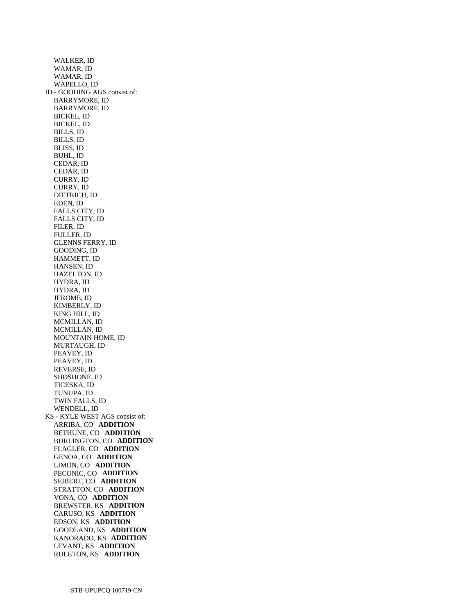WALKER, ID WAMAR, ID WAMAR, ID WAPELLO, ID ID - GOODING AGS consist of: BARRYMORE, ID BARRYMORE, ID BICKEL, ID BICKEL, ID BILLS, ID BILLS, ID BLISS, ID BUHL, ID CEDAR, ID CEDAR, ID CURRY, ID CURRY, ID DIETRICH, ID EDEN, ID FALLS CITY, ID FALLS CITY, ID FILER, ID FULLER, ID GLENNS FERRY, ID GOODING, ID HAMMETT, ID HANSEN, ID HAZELTON, ID HYDRA, ID HYDRA, ID JEROME, ID KIMBERLY, ID KING HILL, ID MCMILLAN, ID MCMILLAN, ID MOUNTAIN HOME, ID MURTAUGH, ID PEAVEY, ID PEAVEY, ID REVERSE, ID SHOSHONE, ID TICESKA, ID TUNUPA, ID TWIN FALLS, ID WENDELL, ID KS - KYLE WEST AGS consist of: ARRIBA, CO **ADDITION**  BETHUNE, CO **ADDITION**  BURLINGTON, CO **ADDITION**  FLAGLER, CO **ADDITION**  GENOA, CO **ADDITION**  LIMON, CO **ADDITION**  PECONIC, CO **ADDITION**  SEIBERT, CO **ADDITION**  STRATTON, CO **ADDITION**  VONA, CO **ADDITION**  BREWSTER, KS **ADDITION**  CARUSO, KS **ADDITION**  EDSON, KS **ADDITION**  GOODLAND, KS **ADDITION**  KANORADO, KS **ADDITION**  LEVANT, KS **ADDITION**  RULETON, KS **ADDITION**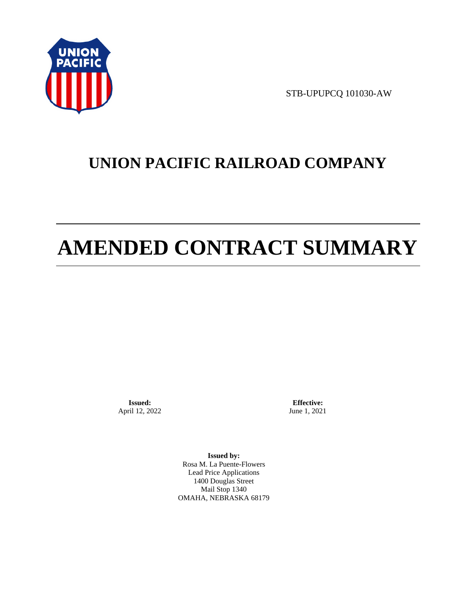

STB-UPUPCQ 101030-AW

# **UNION PACIFIC RAILROAD COMPANY**

# **AMENDED CONTRACT SUMMARY**

**Issued:**  April 12, 2022

**Effective:** June 1, 2021

**Issued by:**  Rosa M. La Puente-Flowers Lead Price Applications 1400 Douglas Street Mail Stop 1340 OMAHA, NEBRASKA 68179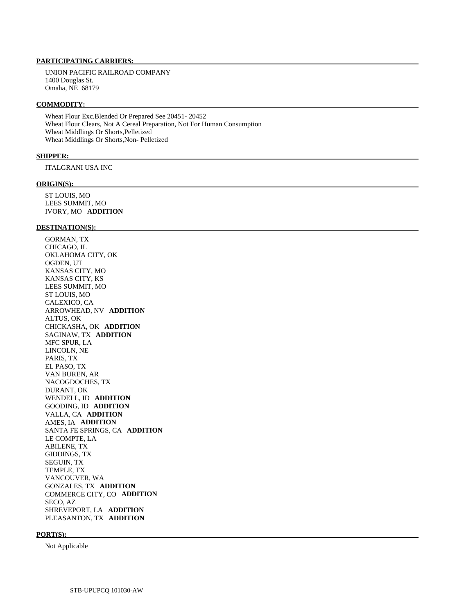## **PARTICIPATING CARRIERS:**

 UNION PACIFIC RAILROAD COMPANY 1400 Douglas St. Omaha, NE 68179

#### **COMMODITY:**

 Wheat Flour Exc.Blended Or Prepared See 20451- 20452 Wheat Flour Clears, Not A Cereal Preparation, Not For Human Consumption Wheat Middlings Or Shorts,Pelletized Wheat Middlings Or Shorts,Non- Pelletized

#### **SHIPPER:**

ITALGRANI USA INC

#### **ORIGIN(S):**

 ST LOUIS, MO LEES SUMMIT, MO IVORY, MO **ADDITION** 

#### **DESTINATION(S):**

 GORMAN, TX CHICAGO, IL OKLAHOMA CITY, OK OGDEN, UT KANSAS CITY, MO KANSAS CITY, KS LEES SUMMIT, MO ST LOUIS, MO CALEXICO, CA ARROWHEAD, NV **ADDITION**  ALTUS, OK CHICKASHA, OK **ADDITION**  SAGINAW, TX **ADDITION**  MFC SPUR, LA LINCOLN, NE PARIS, TX EL PASO, TX VAN BUREN, AR NACOGDOCHES, TX DURANT, OK WENDELL, ID **ADDITION**  GOODING, ID **ADDITION**  VALLA, CA **ADDITION**  AMES, IA **ADDITION**  SANTA FE SPRINGS, CA **ADDITION**  LE COMPTE, LA ABILENE, TX GIDDINGS, TX SEGUIN, TX TEMPLE, TX VANCOUVER, WA GONZALES, TX **ADDITION**  COMMERCE CITY, CO **ADDITION**  SECO, AZ SHREVEPORT, LA **ADDITION**  PLEASANTON, TX **ADDITION** 

#### **PORT(S):**

Not Applicable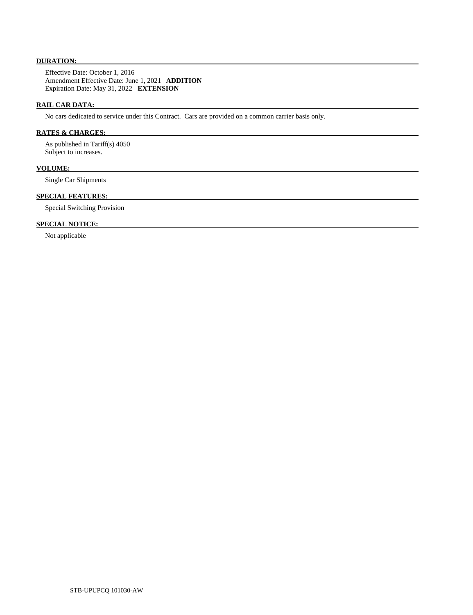# **DURATION:**

 Effective Date: October 1, 2016 Amendment Effective Date: June 1, 2021 **ADDITION**  Expiration Date: May 31, 2022 **EXTENSION** 

# **RAIL CAR DATA:**

No cars dedicated to service under this Contract. Cars are provided on a common carrier basis only.

# **RATES & CHARGES:**

 As published in Tariff(s) 4050 Subject to increases.

# **VOLUME:**

Single Car Shipments

# **SPECIAL FEATURES:**

Special Switching Provision

## **SPECIAL NOTICE:**

Not applicable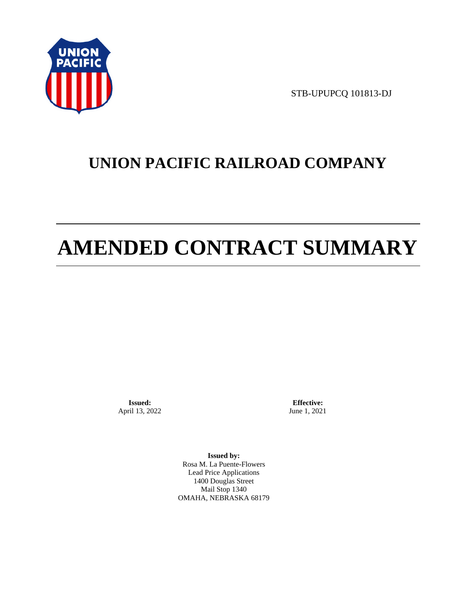

STB-UPUPCQ 101813-DJ

# **UNION PACIFIC RAILROAD COMPANY**

# **AMENDED CONTRACT SUMMARY**

**Issued:**  April 13, 2022

**Effective:** June 1, 2021

**Issued by:**  Rosa M. La Puente-Flowers Lead Price Applications 1400 Douglas Street Mail Stop 1340 OMAHA, NEBRASKA 68179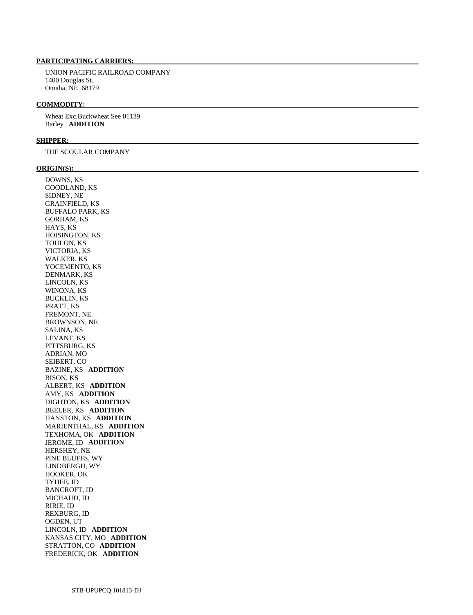# **PARTICIPATING CARRIERS:**

 UNION PACIFIC RAILROAD COMPANY 1400 Douglas St. Omaha, NE 68179

#### **COMMODITY:**

 Wheat Exc.Buckwheat See 01139 Barley **ADDITION** 

#### **SHIPPER:**

THE SCOULAR COMPANY

#### **ORIGIN(S):**

 DOWNS, KS GOODLAND, KS SIDNEY, NE GRAINFIELD, KS BUFFALO PARK, KS GORHAM, KS HAYS, KS HOISINGTON, KS TOULON, KS VICTORIA, KS WALKER, KS YOCEMENTO, KS DENMARK, KS LINCOLN, KS WINONA, KS BUCKLIN, KS PRATT, KS FREMONT, NE BROWNSON, NE SALINA, KS LEVANT, KS PITTSBURG, KS ADRIAN, MO SEIBERT, CO BAZINE, KS **ADDITION**  BISON, KS ALBERT, KS **ADDITION**  AMY, KS **ADDITION**  DIGHTON, KS **ADDITION**  BEELER, KS **ADDITION**  HANSTON, KS **ADDITION**  MARIENTHAL, KS **ADDITION**  TEXHOMA, OK **ADDITION**  JEROME, ID **ADDITION**  HERSHEY, NE PINE BLUFFS, WY LINDBERGH, WY HOOKER, OK TYHEE, ID BANCROFT, ID MICHAUD, ID RIRIE, ID REXBURG, ID OGDEN, UT LINCOLN, ID **ADDITION**  KANSAS CITY, MO **ADDITION**  STRATTON, CO **ADDITION**  FREDERICK, OK **ADDITION**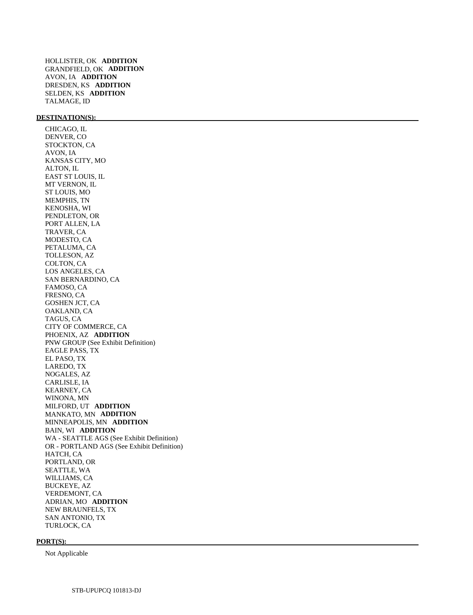HOLLISTER, OK **ADDITION**  GRANDFIELD, OK **ADDITION**  AVON, IA **ADDITION**  DRESDEN, KS **ADDITION**  SELDEN, KS **ADDITION**  TALMAGE, ID

# **DESTINATION(S):**

 CHICAGO, IL DENVER, CO STOCKTON, CA AVON, IA KANSAS CITY, MO ALTON, IL EAST ST LOUIS, IL MT VERNON, IL ST LOUIS, MO MEMPHIS, TN KENOSHA, WI PENDLETON, OR PORT ALLEN, LA TRAVER, CA MODESTO, CA PETALUMA, CA TOLLESON, AZ COLTON, CA LOS ANGELES, CA SAN BERNARDINO, CA FAMOSO, CA FRESNO, CA GOSHEN JCT, CA OAKLAND, CA TAGUS, CA CITY OF COMMERCE, CA PHOENIX, AZ **ADDITION**  PNW GROUP (See Exhibit Definition) EAGLE PASS, TX EL PASO, TX LAREDO, TX NOGALES, AZ CARLISLE, IA KEARNEY, CA WINONA, MN MILFORD, UT **ADDITION**  MANKATO, MN **ADDITION**  MINNEAPOLIS, MN **ADDITION**  BAIN, WI **ADDITION**  WA - SEATTLE AGS (See Exhibit Definition) OR - PORTLAND AGS (See Exhibit Definition) HATCH, CA PORTLAND, OR SEATTLE, WA WILLIAMS, CA BUCKEYE, AZ VERDEMONT, CA ADRIAN, MO **ADDITION**  NEW BRAUNFELS, TX SAN ANTONIO, TX TURLOCK, CA

#### **PORT(S):**

Not Applicable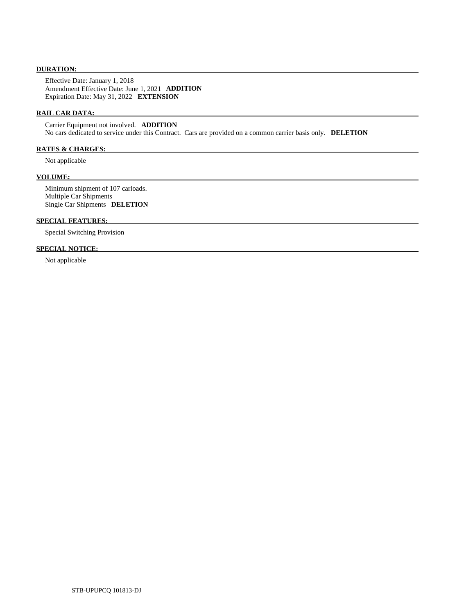## **DURATION:**

 Effective Date: January 1, 2018 Amendment Effective Date: June 1, 2021 **ADDITION**  Expiration Date: May 31, 2022 **EXTENSION** 

## **RAIL CAR DATA:**

 Carrier Equipment not involved. **ADDITION**  No cars dedicated to service under this Contract. Cars are provided on a common carrier basis only. **DELETION** 

# **RATES & CHARGES:**

Not applicable

#### **VOLUME:**

 Minimum shipment of 107 carloads. Multiple Car Shipments Single Car Shipments **DELETION** 

# **SPECIAL FEATURES:**

Special Switching Provision

# **SPECIAL NOTICE:**

Not applicable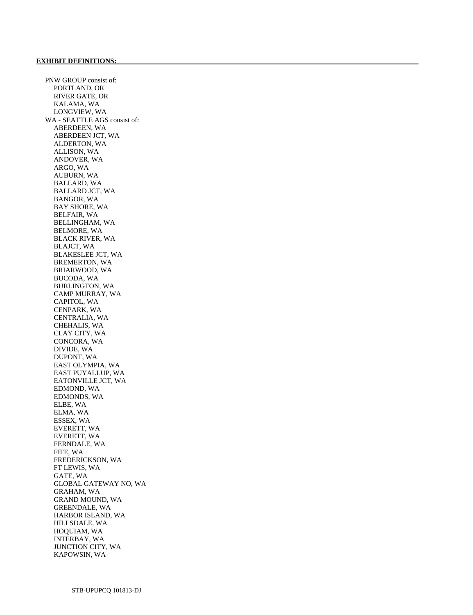PNW GROUP consist of: PORTLAND, OR RIVER GATE, OR KALAMA, WA LONGVIEW, WA WA - SEATTLE AGS consist of: ABERDEEN, WA ABERDEEN JCT, WA ALDERTON, WA ALLISON, WA ANDOVER, WA ARGO, WA AUBURN, WA BALLARD, WA BALLARD JCT, WA BANGOR, WA BAY SHORE, WA BELFAIR, WA BELLINGHAM, WA BELMORE, WA BLACK RIVER, WA BLAJCT, WA BLAKESLEE JCT, WA BREMERTON, WA BRIARWOOD, WA BUCODA, WA BURLINGTON, WA CAMP MURRAY, WA CAPITOL, WA CENPARK, WA CENTRALIA, WA CHEHALIS, WA CLAY CITY, WA CONCORA, WA DIVIDE, WA DUPONT, WA EAST OLYMPIA, WA EAST PUYALLUP, WA EATONVILLE JCT, WA EDMOND, WA EDMONDS, WA ELBE, WA ELMA, WA ESSEX, WA EVERETT, WA EVERETT, WA FERNDALE, WA FIFE, WA FREDERICKSON, WA FT LEWIS, WA GATE, WA GLOBAL GATEWAY NO, WA GRAHAM, WA GRAND MOUND, WA GREENDALE, WA HARBOR ISLAND, WA HILLSDALE, WA HOQUIAM, WA INTERBAY, WA JUNCTION CITY, WA KAPOWSIN, WA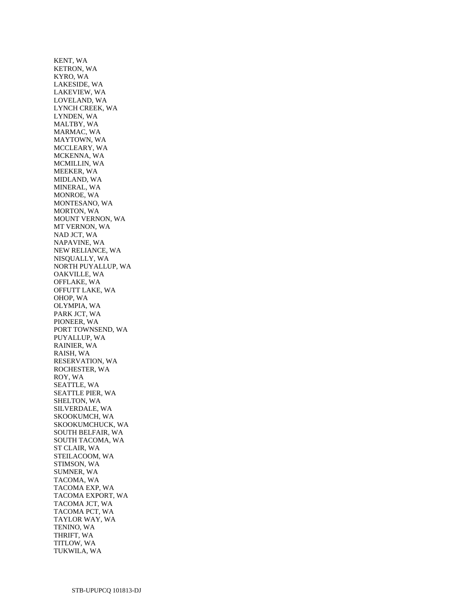KENT, WA KETRON, WA KYRO, WA LAKESIDE, WA LAKEVIEW, WA LOVELAND, WA LYNCH CREEK, WA LYNDEN, WA MALTBY, WA MARMAC, WA MAYTOWN, WA MCCLEARY, WA MCKENNA, WA MCMILLIN, WA MEEKER, WA MIDLAND, WA MINERAL, WA MONROE, WA MONTESANO, WA MORTON, WA MOUNT VERNON, WA MT VERNON, WA NAD JCT, WA NAPAVINE, WA NEW RELIANCE, WA NISQUALLY, WA NORTH PUYALLUP, WA OAKVILLE, WA OFFLAKE, WA OFFUTT LAKE, WA OHOP, WA OLYMPIA, WA PARK JCT, WA PIONEER, WA PORT TOWNSEND, WA PUYALLUP, WA RAINIER, WA RAISH, WA RESERVATION, WA ROCHESTER, WA ROY, WA SEATTLE, WA SEATTLE PIER, WA SHELTON, WA SILVERDALE, WA SKOOKUMCH, WA SKOOKUMCHUCK, WA SOUTH BELFAIR, WA SOUTH TACOMA, WA ST CLAIR, WA STEILACOOM, WA STIMSON, WA SUMNER, WA TACOMA, WA TACOMA EXP, WA TACOMA EXPORT, WA TACOMA JCT, WA TACOMA PCT, WA TAYLOR WAY, WA TENINO, WA THRIFT, WA TITLOW, WA TUKWILA, WA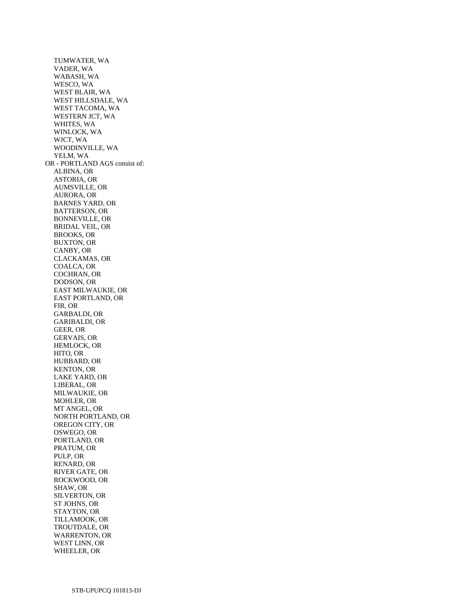TUMWATER, WA VADER, WA WABASH, WA WESCO, WA WEST BLAIR, WA WEST HILLSDALE, WA WEST TACOMA, WA WESTERN JCT, WA WHITES, WA WINLOCK, WA WJCT, WA WOODINVILLE, WA YELM, WA OR - PORTLAND AGS consist of: ALBINA, OR ASTORIA, OR AUMSVILLE, OR AURORA, OR BARNES YARD, OR BATTERSON, OR BONNEVILLE, OR BRIDAL VEIL, OR BROOKS, OR BUXTON, OR CANBY, OR CLACKAMAS, OR COALCA, OR COCHRAN, OR DODSON, OR EAST MILWAUKIE, OR EAST PORTLAND, OR FIR, OR GARBALDI, OR GARIBALDI, OR GEER, OR GERVAIS, OR HEMLOCK, OR HITO, OR HUBBARD, OR KENTON, OR LAKE YARD, OR LIBERAL, OR MILWAUKIE, OR MOHLER, OR MT ANGEL, OR NORTH PORTLAND, OR OREGON CITY, OR OSWEGO, OR PORTLAND, OR PRATUM, OR PULP, OR RENARD, OR RIVER GATE, OR ROCKWOOD, OR SHAW, OR SILVERTON, OR ST JOHNS, OR STAYTON, OR TILLAMOOK, OR TROUTDALE, OR WARRENTON, OR WEST LINN, OR WHEELER, OR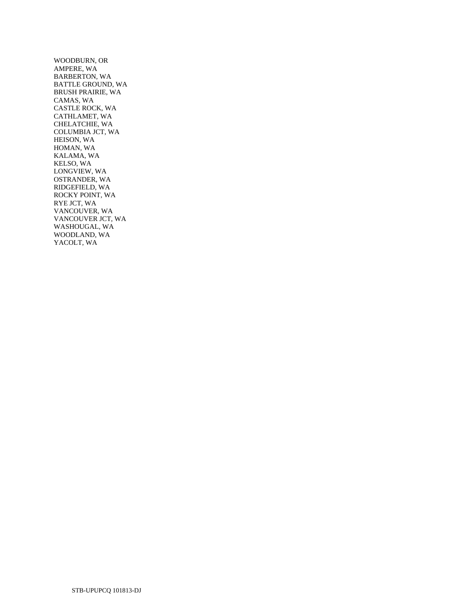WOODBURN, OR AMPERE, WA BARBERTON, WA BATTLE GROUND, WA BRUSH PRAIRIE, WA CAMAS, WA CASTLE ROCK, WA CATHLAMET, WA CHELATCHIE, WA COLUMBIA JCT, WA HEISON, WA HOMAN, WA KALAMA, WA KELSO, WA LONGVIEW, WA OSTRANDER, WA RIDGEFIELD, WA ROCKY POINT, WA RYE JCT, WA VANCOUVER, WA VANCOUVER JCT, WA WASHOUGAL, WA WOODLAND, WA YACOLT, WA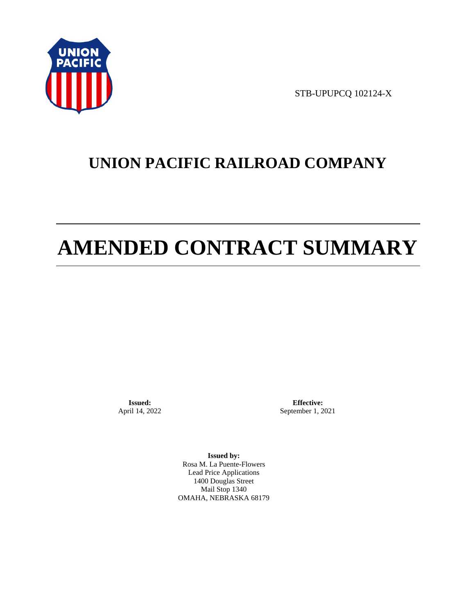

STB-UPUPCQ 102124-X

# **UNION PACIFIC RAILROAD COMPANY**

# **AMENDED CONTRACT SUMMARY**

**Issued:**  April 14, 2022

**Effective:** September 1, 2021

**Issued by:**  Rosa M. La Puente-Flowers Lead Price Applications 1400 Douglas Street Mail Stop 1340 OMAHA, NEBRASKA 68179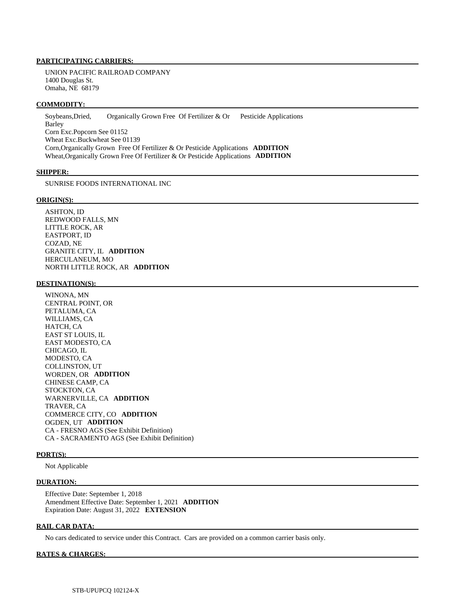#### **PARTICIPATING CARRIERS:**

 UNION PACIFIC RAILROAD COMPANY 1400 Douglas St. Omaha, NE 68179

#### **COMMODITY:**

 Soybeans,Dried, Organically Grown Free Of Fertilizer & Or Pesticide Applications Barley Corn Exc.Popcorn See 01152 Wheat Exc.Buckwheat See 01139 Corn,Organically Grown Free Of Fertilizer & Or Pesticide Applications **ADDITION**  Wheat,Organically Grown Free Of Fertilizer & Or Pesticide Applications **ADDITION** 

#### **SHIPPER:**

SUNRISE FOODS INTERNATIONAL INC

#### **ORIGIN(S):**

 ASHTON, ID REDWOOD FALLS, MN LITTLE ROCK, AR EASTPORT, ID COZAD, NE GRANITE CITY, IL **ADDITION**  HERCULANEUM, MO NORTH LITTLE ROCK, AR **ADDITION** 

#### **DESTINATION(S):**

 WINONA, MN CENTRAL POINT, OR PETALUMA, CA WILLIAMS, CA HATCH, CA EAST ST LOUIS, IL EAST MODESTO, CA CHICAGO, IL MODESTO, CA COLLINSTON, UT WORDEN, OR **ADDITION**  CHINESE CAMP, CA STOCKTON, CA WARNERVILLE, CA **ADDITION**  TRAVER, CA COMMERCE CITY, CO **ADDITION**  OGDEN, UT **ADDITION**  CA - FRESNO AGS (See Exhibit Definition) CA - SACRAMENTO AGS (See Exhibit Definition)

#### **PORT(S):**

Not Applicable

#### **DURATION:**

 Effective Date: September 1, 2018 Amendment Effective Date: September 1, 2021 **ADDITION**  Expiration Date: August 31, 2022 **EXTENSION** 

#### **RAIL CAR DATA:**

No cars dedicated to service under this Contract. Cars are provided on a common carrier basis only.

#### **RATES & CHARGES:**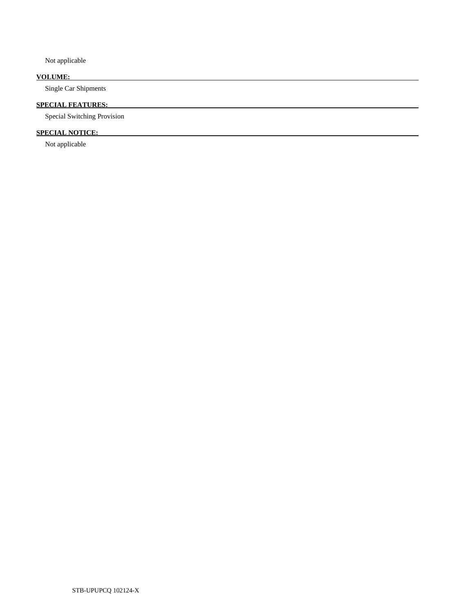Not applicable

# **VOLUME:**

Single Car Shipments

# **SPECIAL FEATURES:**

Special Switching Provision

# **SPECIAL NOTICE:**

Not applicable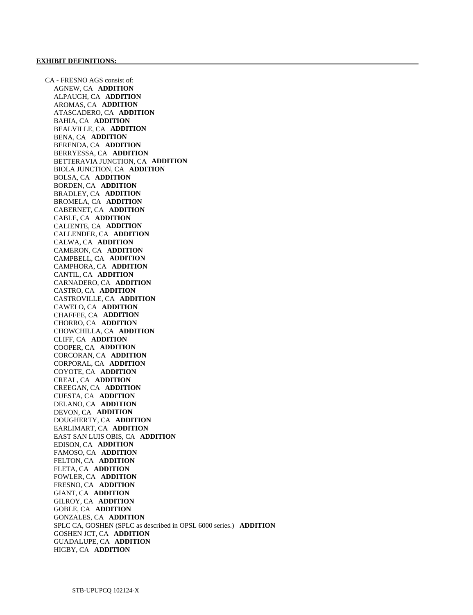CA - FRESNO AGS consist of: AGNEW, CA **ADDITION**  ALPAUGH, CA **ADDITION**  AROMAS, CA **ADDITION**  ATASCADERO, CA **ADDITION**  BAHIA, CA **ADDITION**  BEALVILLE, CA **ADDITION**  BENA, CA **ADDITION**  BERENDA, CA **ADDITION**  BERRYESSA, CA **ADDITION**  BETTERAVIA JUNCTION, CA **ADDITION**  BIOLA JUNCTION, CA **ADDITION**  BOLSA, CA **ADDITION**  BORDEN, CA **ADDITION**  BRADLEY, CA **ADDITION**  BROMELA, CA **ADDITION**  CABERNET, CA **ADDITION**  CABLE, CA **ADDITION**  CALIENTE, CA **ADDITION**  CALLENDER, CA **ADDITION**  CALWA, CA **ADDITION**  CAMERON, CA **ADDITION**  CAMPBELL, CA **ADDITION**  CAMPHORA, CA **ADDITION**  CANTIL, CA **ADDITION**  CARNADERO, CA **ADDITION**  CASTRO, CA **ADDITION**  CASTROVILLE, CA **ADDITION**  CAWELO, CA **ADDITION**  CHAFFEE, CA **ADDITION**  CHORRO, CA **ADDITION**  CHOWCHILLA, CA **ADDITION**  CLIFF, CA **ADDITION**  COOPER, CA **ADDITION**  CORCORAN, CA **ADDITION**  CORPORAL, CA **ADDITION**  COYOTE, CA **ADDITION**  CREAL, CA **ADDITION**  CREEGAN, CA **ADDITION**  CUESTA, CA **ADDITION**  DELANO, CA **ADDITION**  DEVON, CA **ADDITION**  DOUGHERTY, CA **ADDITION**  EARLIMART, CA **ADDITION**  EAST SAN LUIS OBIS, CA **ADDITION**  EDISON, CA **ADDITION**  FAMOSO, CA **ADDITION**  FELTON, CA **ADDITION**  FLETA, CA **ADDITION**  FOWLER, CA **ADDITION**  FRESNO, CA **ADDITION**  GIANT, CA **ADDITION**  GILROY, CA **ADDITION**  GOBLE, CA **ADDITION**  GONZALES, CA **ADDITION**  SPLC CA, GOSHEN (SPLC as described in OPSL 6000 series.) **ADDITION**  GOSHEN JCT, CA **ADDITION**  GUADALUPE, CA **ADDITION**  HIGBY, CA **ADDITION**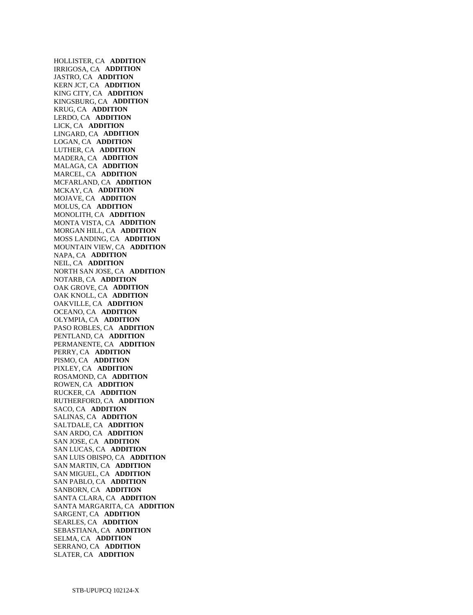HOLLISTER, CA **ADDITION**  IRRIGOSA, CA **ADDITION**  JASTRO, CA **ADDITION**  KERN JCT, CA **ADDITION**  KING CITY, CA **ADDITION**  KINGSBURG, CA **ADDITION**  KRUG, CA **ADDITION**  LERDO, CA **ADDITION**  LICK, CA **ADDITION**  LINGARD, CA **ADDITION**  LOGAN, CA **ADDITION**  LUTHER, CA **ADDITION**  MADERA, CA **ADDITION**  MALAGA, CA **ADDITION**  MARCEL, CA **ADDITION**  MCFARLAND, CA **ADDITION**  MCKAY, CA **ADDITION**  MOJAVE, CA **ADDITION**  MOLUS, CA **ADDITION**  MONOLITH, CA **ADDITION**  MONTA VISTA, CA **ADDITION**  MORGAN HILL, CA **ADDITION**  MOSS LANDING, CA **ADDITION**  MOUNTAIN VIEW, CA **ADDITION**  NAPA, CA **ADDITION**  NEIL, CA **ADDITION**  NORTH SAN JOSE, CA **ADDITION**  NOTARB, CA **ADDITION**  OAK GROVE, CA **ADDITION**  OAK KNOLL, CA **ADDITION**  OAKVILLE, CA **ADDITION**  OCEANO, CA **ADDITION**  OLYMPIA, CA **ADDITION**  PASO ROBLES, CA **ADDITION**  PENTLAND, CA **ADDITION**  PERMANENTE, CA **ADDITION**  PERRY, CA **ADDITION**  PISMO, CA **ADDITION**  PIXLEY, CA **ADDITION**  ROSAMOND, CA **ADDITION**  ROWEN, CA **ADDITION**  RUCKER, CA **ADDITION**  RUTHERFORD, CA **ADDITION**  SACO, CA **ADDITION**  SALINAS, CA **ADDITION**  SALTDALE, CA **ADDITION**  SAN ARDO, CA **ADDITION**  SAN JOSE, CA **ADDITION**  SAN LUCAS, CA **ADDITION**  SAN LUIS OBISPO, CA **ADDITION**  SAN MARTIN, CA **ADDITION**  SAN MIGUEL, CA **ADDITION**  SAN PABLO, CA **ADDITION**  SANBORN, CA **ADDITION**  SANTA CLARA, CA **ADDITION**  SANTA MARGARITA, CA **ADDITION**  SARGENT, CA **ADDITION**  SEARLES, CA **ADDITION**  SEBASTIANA, CA **ADDITION**  SELMA, CA **ADDITION**  SERRANO, CA **ADDITION**  SLATER, CA **ADDITION**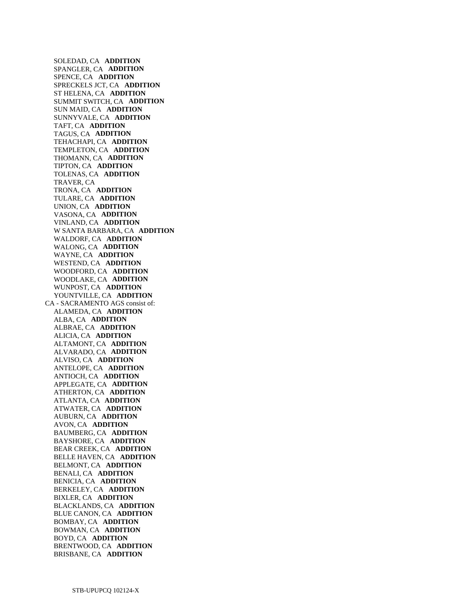SOLEDAD, CA **ADDITION**  SPANGLER, CA **ADDITION**  SPENCE, CA **ADDITION**  SPRECKELS JCT, CA **ADDITION**  ST HELENA, CA **ADDITION**  SUMMIT SWITCH, CA **ADDITION**  SUN MAID, CA **ADDITION**  SUNNYVALE, CA **ADDITION**  TAFT, CA **ADDITION**  TAGUS, CA **ADDITION**  TEHACHAPI, CA **ADDITION**  TEMPLETON, CA **ADDITION**  THOMANN, CA **ADDITION**  TIPTON, CA **ADDITION**  TOLENAS, CA **ADDITION**  TRAVER, CA TRONA, CA **ADDITION**  TULARE, CA **ADDITION**  UNION, CA **ADDITION**  VASONA, CA **ADDITION**  VINLAND, CA **ADDITION**  W SANTA BARBARA, CA **ADDITION**  WALDORF, CA **ADDITION**  WALONG, CA **ADDITION**  WAYNE, CA **ADDITION**  WESTEND, CA **ADDITION**  WOODFORD, CA **ADDITION**  WOODLAKE, CA **ADDITION**  WUNPOST, CA **ADDITION**  YOUNTVILLE, CA **ADDITION**  CA - SACRAMENTO AGS consist of: ALAMEDA, CA **ADDITION**  ALBA, CA **ADDITION**  ALBRAE, CA **ADDITION**  ALICIA, CA **ADDITION**  ALTAMONT, CA **ADDITION**  ALVARADO, CA **ADDITION**  ALVISO, CA **ADDITION**  ANTELOPE, CA **ADDITION**  ANTIOCH, CA **ADDITION**  APPLEGATE, CA **ADDITION**  ATHERTON, CA **ADDITION**  ATLANTA, CA **ADDITION**  ATWATER, CA **ADDITION**  AUBURN, CA **ADDITION**  AVON, CA **ADDITION**  BAUMBERG, CA **ADDITION**  BAYSHORE, CA **ADDITION**  BEAR CREEK, CA **ADDITION**  BELLE HAVEN, CA **ADDITION**  BELMONT, CA **ADDITION**  BENALI, CA **ADDITION**  BENICIA, CA **ADDITION**  BERKELEY, CA **ADDITION**  BIXLER, CA **ADDITION**  BLACKLANDS, CA **ADDITION**  BLUE CANON, CA **ADDITION**  BOMBAY, CA **ADDITION**  BOWMAN, CA **ADDITION**  BOYD, CA **ADDITION**  BRENTWOOD, CA **ADDITION**  BRISBANE, CA **ADDITION**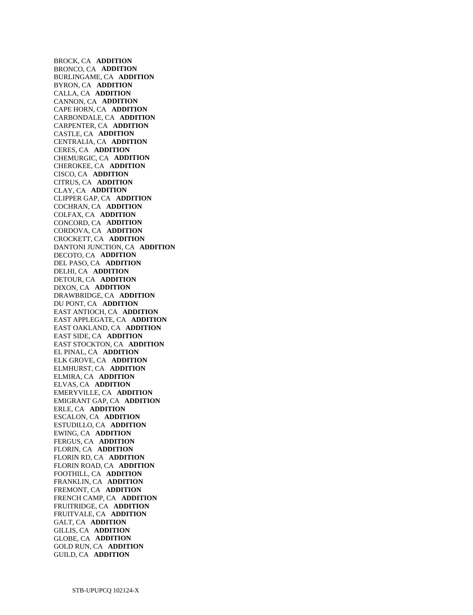BROCK, CA **ADDITION**  BRONCO, CA **ADDITION**  BURLINGAME, CA **ADDITION**  BYRON, CA **ADDITION**  CALLA, CA **ADDITION**  CANNON, CA **ADDITION**  CAPE HORN, CA **ADDITION**  CARBONDALE, CA **ADDITION**  CARPENTER, CA **ADDITION**  CASTLE, CA **ADDITION**  CENTRALIA, CA **ADDITION**  CERES, CA **ADDITION**  CHEMURGIC, CA **ADDITION**  CHEROKEE, CA **ADDITION**  CISCO, CA **ADDITION**  CITRUS, CA **ADDITION**  CLAY, CA **ADDITION**  CLIPPER GAP, CA **ADDITION**  COCHRAN, CA **ADDITION**  COLFAX, CA **ADDITION**  CONCORD, CA **ADDITION**  CORDOVA, CA **ADDITION**  CROCKETT, CA **ADDITION**  DANTONI JUNCTION, CA **ADDITION**  DECOTO, CA **ADDITION**  DEL PASO, CA **ADDITION**  DELHI, CA **ADDITION**  DETOUR, CA **ADDITION**  DIXON, CA **ADDITION**  DRAWBRIDGE, CA **ADDITION**  DU PONT, CA **ADDITION**  EAST ANTIOCH, CA **ADDITION**  EAST APPLEGATE, CA **ADDITION**  EAST OAKLAND, CA **ADDITION**  EAST SIDE, CA **ADDITION**  EAST STOCKTON, CA **ADDITION**  EL PINAL, CA **ADDITION**  ELK GROVE, CA **ADDITION**  ELMHURST, CA **ADDITION**  ELMIRA, CA **ADDITION**  ELVAS, CA **ADDITION**  EMERYVILLE, CA **ADDITION**  EMIGRANT GAP, CA **ADDITION**  ERLE, CA **ADDITION**  ESCALON, CA **ADDITION**  ESTUDILLO, CA **ADDITION**  EWING, CA **ADDITION**  FERGUS, CA **ADDITION**  FLORIN, CA **ADDITION**  FLORIN RD, CA **ADDITION**  FLORIN ROAD, CA **ADDITION**  FOOTHILL, CA **ADDITION**  FRANKLIN, CA **ADDITION**  FREMONT, CA **ADDITION**  FRENCH CAMP, CA **ADDITION**  FRUITRIDGE, CA **ADDITION**  FRUITVALE, CA **ADDITION**  GALT, CA **ADDITION**  GILLIS, CA **ADDITION**  GLOBE, CA **ADDITION**  GOLD RUN, CA **ADDITION**  GUILD, CA **ADDITION**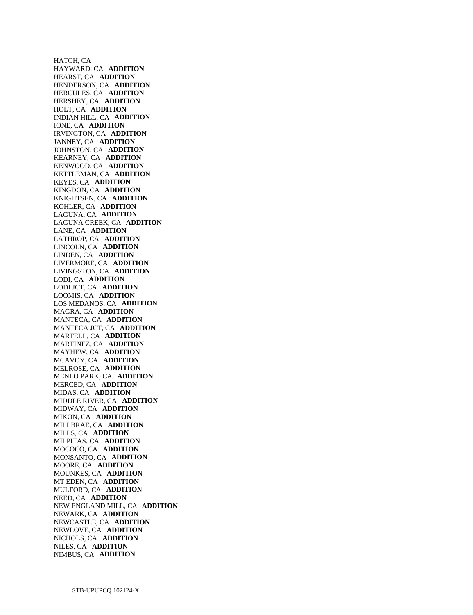HATCH, CA HAYWARD, CA **ADDITION**  HEARST, CA **ADDITION**  HENDERSON, CA **ADDITION**  HERCULES, CA **ADDITION**  HERSHEY, CA **ADDITION**  HOLT, CA **ADDITION**  INDIAN HILL, CA **ADDITION**  IONE, CA **ADDITION**  IRVINGTON, CA **ADDITION**  JANNEY, CA **ADDITION**  JOHNSTON, CA **ADDITION**  KEARNEY, CA **ADDITION**  KENWOOD, CA **ADDITION**  KETTLEMAN, CA **ADDITION**  KEYES, CA **ADDITION**  KINGDON, CA **ADDITION**  KNIGHTSEN, CA **ADDITION**  KOHLER, CA **ADDITION**  LAGUNA, CA **ADDITION**  LAGUNA CREEK, CA **ADDITION**  LANE, CA **ADDITION**  LATHROP, CA **ADDITION**  LINCOLN, CA **ADDITION**  LINDEN, CA **ADDITION**  LIVERMORE, CA **ADDITION**  LIVINGSTON, CA **ADDITION**  LODI, CA **ADDITION**  LODI JCT, CA **ADDITION**  LOOMIS, CA **ADDITION**  LOS MEDANOS, CA **ADDITION**  MAGRA, CA **ADDITION**  MANTECA, CA **ADDITION**  MANTECA JCT, CA **ADDITION**  MARTELL, CA **ADDITION**  MARTINEZ, CA **ADDITION**  MAYHEW, CA **ADDITION**  MCAVOY, CA **ADDITION**  MELROSE, CA **ADDITION**  MENLO PARK, CA **ADDITION**  MERCED, CA **ADDITION**  MIDAS, CA **ADDITION**  MIDDLE RIVER, CA **ADDITION**  MIDWAY, CA **ADDITION**  MIKON, CA **ADDITION**  MILLBRAE, CA **ADDITION**  MILLS, CA **ADDITION**  MILPITAS, CA **ADDITION**  MOCOCO, CA **ADDITION**  MONSANTO, CA **ADDITION**  MOORE, CA **ADDITION**  MOUNKES, CA **ADDITION**  MT EDEN, CA **ADDITION**  MULFORD, CA **ADDITION**  NEED, CA **ADDITION**  NEW ENGLAND MILL, CA **ADDITION**  NEWARK, CA **ADDITION**  NEWCASTLE, CA **ADDITION**  NEWLOVE, CA **ADDITION**  NICHOLS, CA **ADDITION**  NILES, CA **ADDITION**  NIMBUS, CA **ADDITION**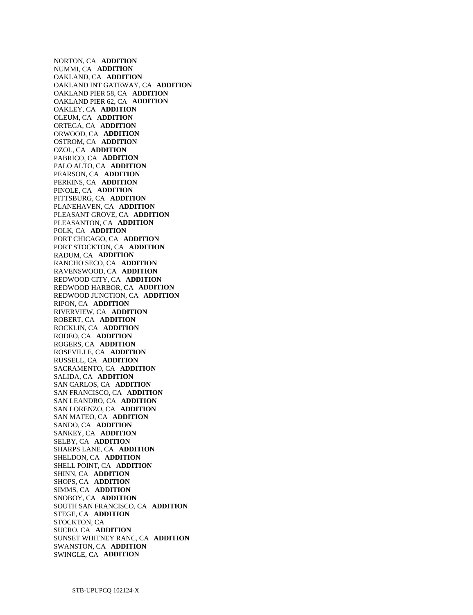NORTON, CA **ADDITION**  NUMMI, CA **ADDITION**  OAKLAND, CA **ADDITION**  OAKLAND INT GATEWAY, CA **ADDITION**  OAKLAND PIER 58, CA **ADDITION**  OAKLAND PIER 62, CA **ADDITION**  OAKLEY, CA **ADDITION**  OLEUM, CA **ADDITION**  ORTEGA, CA **ADDITION**  ORWOOD, CA **ADDITION**  OSTROM, CA **ADDITION**  OZOL, CA **ADDITION**  PABRICO, CA **ADDITION**  PALO ALTO, CA **ADDITION**  PEARSON, CA **ADDITION**  PERKINS, CA **ADDITION**  PINOLE, CA **ADDITION**  PITTSBURG, CA **ADDITION**  PLANEHAVEN, CA **ADDITION**  PLEASANT GROVE, CA **ADDITION**  PLEASANTON, CA **ADDITION**  POLK, CA **ADDITION**  PORT CHICAGO, CA **ADDITION**  PORT STOCKTON, CA **ADDITION**  RADUM, CA **ADDITION**  RANCHO SECO, CA **ADDITION**  RAVENSWOOD, CA **ADDITION**  REDWOOD CITY, CA **ADDITION**  REDWOOD HARBOR, CA **ADDITION**  REDWOOD JUNCTION, CA **ADDITION**  RIPON, CA **ADDITION**  RIVERVIEW, CA **ADDITION**  ROBERT, CA **ADDITION**  ROCKLIN, CA **ADDITION**  RODEO, CA **ADDITION**  ROGERS, CA **ADDITION**  ROSEVILLE, CA **ADDITION**  RUSSELL, CA **ADDITION**  SACRAMENTO, CA **ADDITION**  SALIDA, CA **ADDITION**  SAN CARLOS, CA **ADDITION**  SAN FRANCISCO, CA **ADDITION**  SAN LEANDRO, CA **ADDITION**  SAN LORENZO, CA **ADDITION**  SAN MATEO, CA **ADDITION**  SANDO, CA **ADDITION**  SANKEY, CA **ADDITION**  SELBY, CA **ADDITION**  SHARPS LANE, CA **ADDITION**  SHELDON, CA **ADDITION**  SHELL POINT, CA **ADDITION**  SHINN, CA **ADDITION**  SHOPS, CA **ADDITION**  SIMMS, CA **ADDITION**  SNOBOY, CA **ADDITION**  SOUTH SAN FRANCISCO, CA **ADDITION**  STEGE, CA **ADDITION**  STOCKTON, CA SUCRO, CA **ADDITION**  SUNSET WHITNEY RANC, CA **ADDITION**  SWANSTON, CA **ADDITION**  SWINGLE, CA **ADDITION**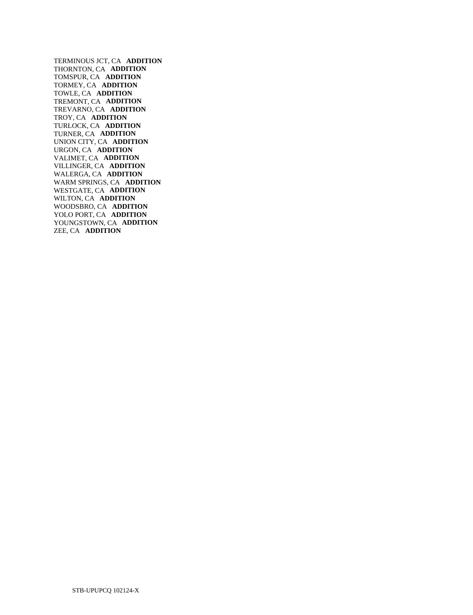TERMINOUS JCT, CA **ADDITION**  THORNTON, CA **ADDITION**  TOMSPUR, CA **ADDITION**  TORMEY, CA **ADDITION**  TOWLE, CA **ADDITION**  TREMONT, CA **ADDITION**  TREVARNO, CA **ADDITION**  TROY, CA **ADDITION**  TURLOCK, CA **ADDITION**  TURNER, CA **ADDITION**  UNION CITY, CA **ADDITION**  URGON, CA **ADDITION**  VALIMET, CA **ADDITION**  VILLINGER, CA **ADDITION**  WALERGA, CA **ADDITION**  WARM SPRINGS, CA **ADDITION**  WESTGATE, CA **ADDITION**  WILTON, CA **ADDITION**  WOODSBRO, CA **ADDITION**  YOLO PORT, CA **ADDITION**  YOUNGSTOWN, CA **ADDITION**  ZEE, CA **ADDITION**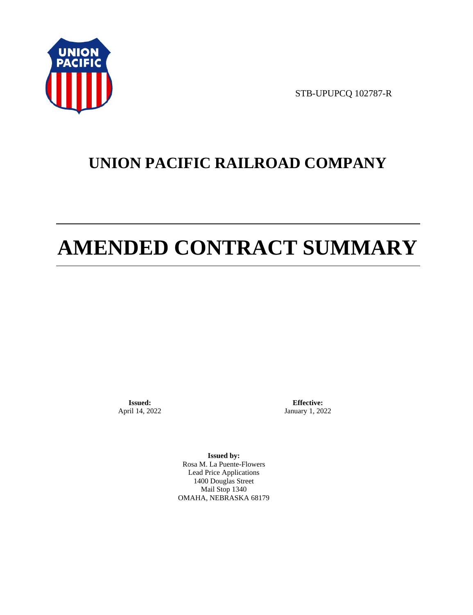

STB-UPUPCQ 102787-R

# **UNION PACIFIC RAILROAD COMPANY**

# **AMENDED CONTRACT SUMMARY**

**Issued:**  April 14, 2022

**Effective:** January 1, 2022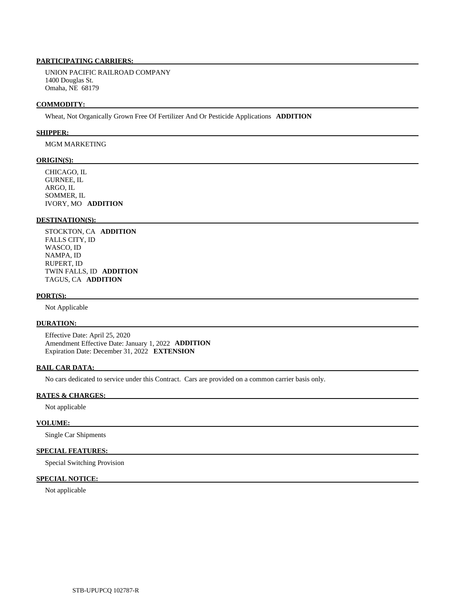UNION PACIFIC RAILROAD COMPANY 1400 Douglas St. Omaha, NE 68179

#### **COMMODITY:**

Wheat, Not Organically Grown Free Of Fertilizer And Or Pesticide Applications **ADDITION** 

#### **SHIPPER:**

# MGM MARKETING

#### **ORIGIN(S):**

 CHICAGO, IL GURNEE, IL ARGO, IL SOMMER, IL IVORY, MO **ADDITION** 

# **DESTINATION(S):**

 STOCKTON, CA **ADDITION**  FALLS CITY, ID WASCO, ID NAMPA, ID RUPERT, ID TWIN FALLS, ID **ADDITION**  TAGUS, CA **ADDITION** 

#### **PORT(S):**

Not Applicable

## **DURATION:**

 Effective Date: April 25, 2020 Amendment Effective Date: January 1, 2022 **ADDITION**  Expiration Date: December 31, 2022 **EXTENSION** 

# **RAIL CAR DATA:**

No cars dedicated to service under this Contract. Cars are provided on a common carrier basis only.

#### **RATES & CHARGES:**

Not applicable

## **VOLUME:**

Single Car Shipments

# **SPECIAL FEATURES:**

Special Switching Provision

# **SPECIAL NOTICE:**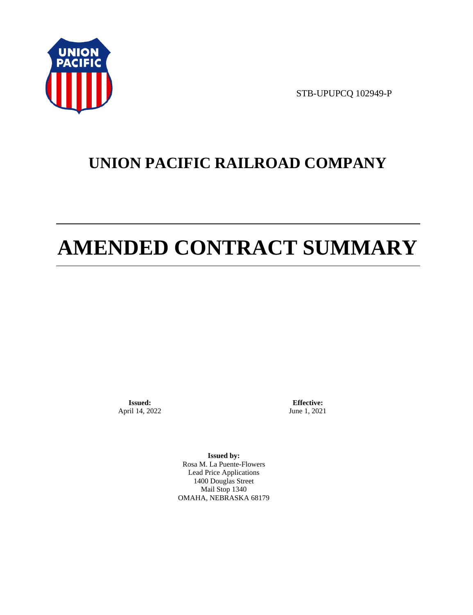

STB-UPUPCQ 102949-P

# **UNION PACIFIC RAILROAD COMPANY**

# **AMENDED CONTRACT SUMMARY**

**Issued:**  April 14, 2022

**Effective:** June 1, 2021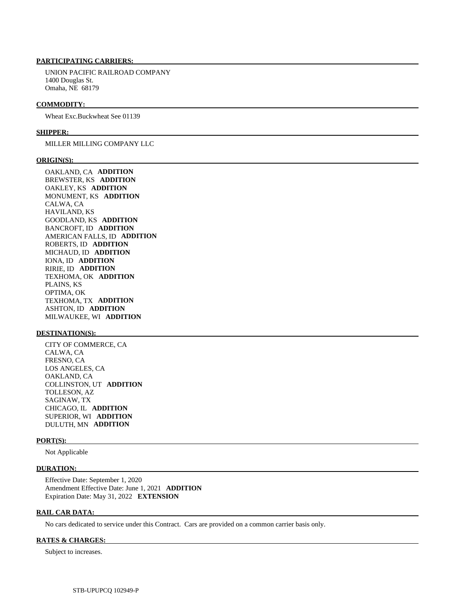UNION PACIFIC RAILROAD COMPANY 1400 Douglas St. Omaha, NE 68179

#### **COMMODITY:**

Wheat Exc.Buckwheat See 01139

#### **SHIPPER:**

#### MILLER MILLING COMPANY LLC

#### **ORIGIN(S):**

 OAKLAND, CA **ADDITION**  BREWSTER, KS **ADDITION**  OAKLEY, KS **ADDITION**  MONUMENT, KS **ADDITION**  CALWA, CA HAVILAND, KS GOODLAND, KS **ADDITION**  BANCROFT, ID **ADDITION**  AMERICAN FALLS, ID **ADDITION**  ROBERTS, ID **ADDITION**  MICHAUD, ID **ADDITION**  IONA, ID **ADDITION**  RIRIE, ID **ADDITION**  TEXHOMA, OK **ADDITION**  PLAINS, KS OPTIMA, OK TEXHOMA, TX **ADDITION**  ASHTON, ID **ADDITION**  MILWAUKEE, WI **ADDITION** 

#### **DESTINATION(S):**

 CITY OF COMMERCE, CA CALWA, CA FRESNO, CA LOS ANGELES, CA OAKLAND, CA COLLINSTON, UT **ADDITION**  TOLLESON, AZ SAGINAW, TX CHICAGO, IL **ADDITION**  SUPERIOR, WI **ADDITION**  DULUTH, MN **ADDITION** 

#### **PORT(S):**

Not Applicable

#### **DURATION:**

 Effective Date: September 1, 2020 Amendment Effective Date: June 1, 2021 **ADDITION**  Expiration Date: May 31, 2022 **EXTENSION** 

## **RAIL CAR DATA:**

No cars dedicated to service under this Contract. Cars are provided on a common carrier basis only.

#### **RATES & CHARGES:**

Subject to increases.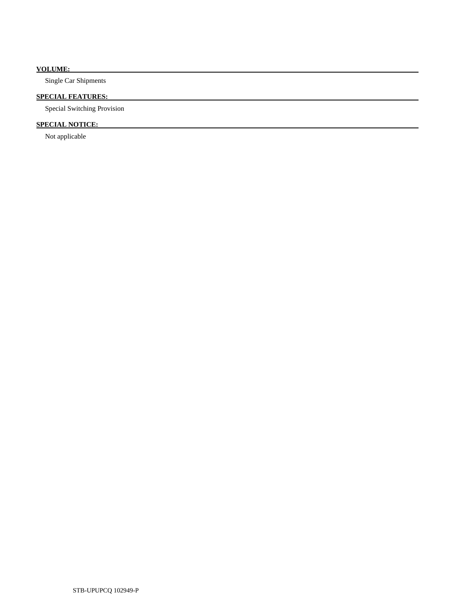# **VOLUME:**

Single Car Shipments

# **SPECIAL FEATURES:**

Special Switching Provision

# **SPECIAL NOTICE:**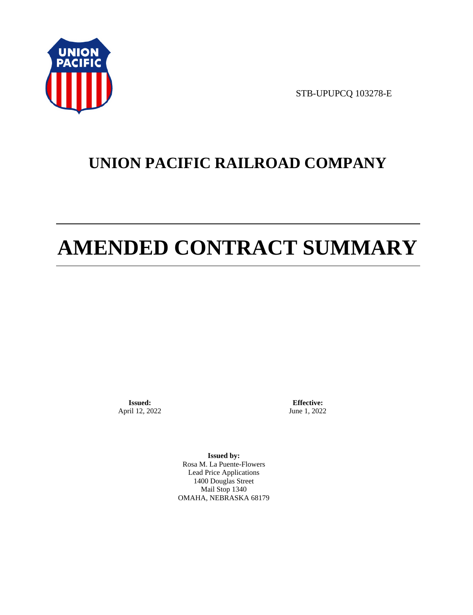

STB-UPUPCQ 103278-E

# **UNION PACIFIC RAILROAD COMPANY**

# **AMENDED CONTRACT SUMMARY**

**Issued:**  April 12, 2022

**Effective:** June 1, 2022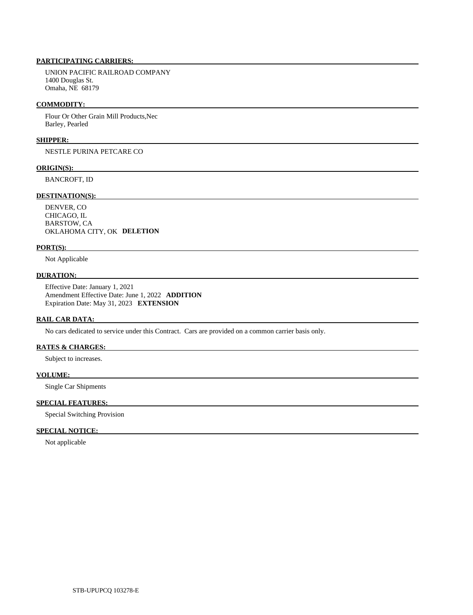UNION PACIFIC RAILROAD COMPANY 1400 Douglas St. Omaha, NE 68179

#### **COMMODITY:**

 Flour Or Other Grain Mill Products,Nec Barley, Pearled

## **SHIPPER:**

NESTLE PURINA PETCARE CO

#### **ORIGIN(S):**

BANCROFT, ID

### **DESTINATION(S):**

 DENVER, CO CHICAGO, IL BARSTOW, CA OKLAHOMA CITY, OK **DELETION** 

#### **PORT(S):**

Not Applicable

## **DURATION:**

 Effective Date: January 1, 2021 Amendment Effective Date: June 1, 2022 **ADDITION**  Expiration Date: May 31, 2023 **EXTENSION** 

#### **RAIL CAR DATA:**

No cars dedicated to service under this Contract. Cars are provided on a common carrier basis only.

# **RATES & CHARGES:**

Subject to increases.

#### **VOLUME:**

Single Car Shipments

# **SPECIAL FEATURES:**

Special Switching Provision

## **SPECIAL NOTICE:**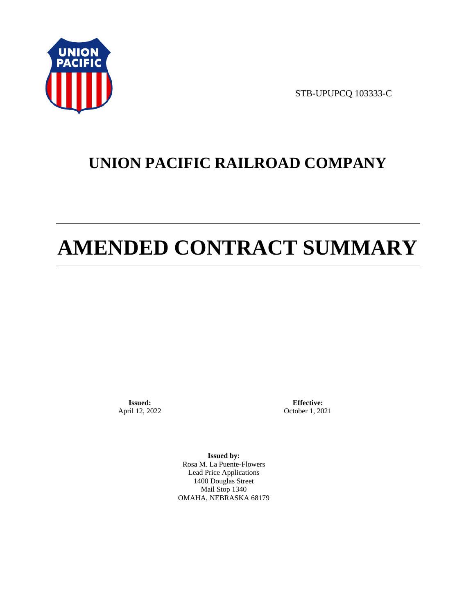

STB-UPUPCQ 103333-C

# **UNION PACIFIC RAILROAD COMPANY**

# **AMENDED CONTRACT SUMMARY**

**Issued:**  April 12, 2022

**Effective:** October 1, 2021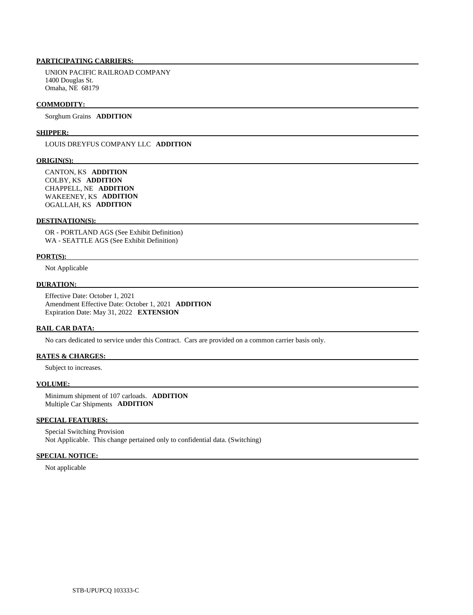UNION PACIFIC RAILROAD COMPANY 1400 Douglas St. Omaha, NE 68179

#### **COMMODITY:**

Sorghum Grains **ADDITION** 

#### **SHIPPER:**

LOUIS DREYFUS COMPANY LLC **ADDITION** 

#### **ORIGIN(S):**

 CANTON, KS **ADDITION**  COLBY, KS **ADDITION**  CHAPPELL, NE **ADDITION**  WAKEENEY, KS **ADDITION**  OGALLAH, KS **ADDITION** 

### **DESTINATION(S):**

 OR - PORTLAND AGS (See Exhibit Definition) WA - SEATTLE AGS (See Exhibit Definition)

#### **PORT(S):**

Not Applicable

# **DURATION:**

 Effective Date: October 1, 2021 Amendment Effective Date: October 1, 2021 **ADDITION**  Expiration Date: May 31, 2022 **EXTENSION** 

#### **RAIL CAR DATA:**

No cars dedicated to service under this Contract. Cars are provided on a common carrier basis only.

#### **RATES & CHARGES:**

Subject to increases.

#### **VOLUME:**

 Minimum shipment of 107 carloads. **ADDITION**  Multiple Car Shipments **ADDITION** 

# **SPECIAL FEATURES:**

 Special Switching Provision Not Applicable. This change pertained only to confidential data. (Switching)

#### **SPECIAL NOTICE:**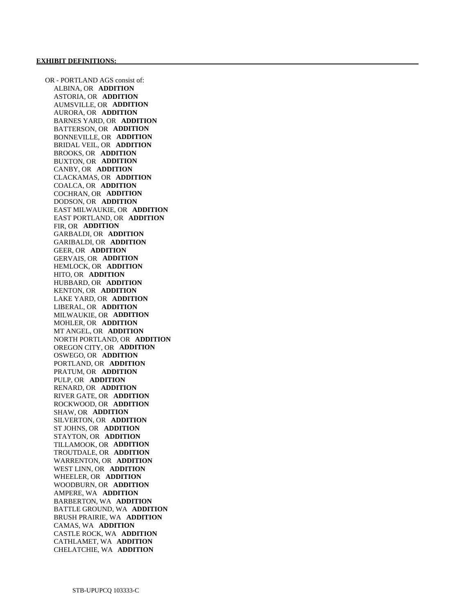OR - PORTLAND AGS consist of: ALBINA, OR **ADDITION**  ASTORIA, OR **ADDITION**  AUMSVILLE, OR **ADDITION**  AURORA, OR **ADDITION**  BARNES YARD, OR **ADDITION**  BATTERSON, OR **ADDITION**  BONNEVILLE, OR **ADDITION**  BRIDAL VEIL, OR **ADDITION**  BROOKS, OR **ADDITION**  BUXTON, OR **ADDITION**  CANBY, OR **ADDITION**  CLACKAMAS, OR **ADDITION**  COALCA, OR **ADDITION**  COCHRAN, OR **ADDITION**  DODSON, OR **ADDITION**  EAST MILWAUKIE, OR **ADDITION**  EAST PORTLAND, OR **ADDITION**  FIR, OR **ADDITION**  GARBALDI, OR **ADDITION**  GARIBALDI, OR **ADDITION**  GEER, OR **ADDITION**  GERVAIS, OR **ADDITION**  HEMLOCK, OR **ADDITION**  HITO, OR **ADDITION**  HUBBARD, OR **ADDITION**  KENTON, OR **ADDITION**  LAKE YARD, OR **ADDITION**  LIBERAL, OR **ADDITION**  MILWAUKIE, OR **ADDITION**  MOHLER, OR **ADDITION**  MT ANGEL, OR **ADDITION**  NORTH PORTLAND, OR **ADDITION**  OREGON CITY, OR **ADDITION**  OSWEGO, OR **ADDITION**  PORTLAND, OR **ADDITION**  PRATUM, OR **ADDITION**  PULP, OR **ADDITION**  RENARD, OR **ADDITION**  RIVER GATE, OR **ADDITION**  ROCKWOOD, OR **ADDITION**  SHAW, OR **ADDITION**  SILVERTON, OR **ADDITION**  ST JOHNS, OR **ADDITION**  STAYTON, OR **ADDITION**  TILLAMOOK, OR **ADDITION**  TROUTDALE, OR **ADDITION**  WARRENTON, OR **ADDITION**  WEST LINN, OR **ADDITION**  WHEELER, OR **ADDITION**  WOODBURN, OR **ADDITION**  AMPERE, WA **ADDITION**  BARBERTON, WA **ADDITION**  BATTLE GROUND, WA **ADDITION**  BRUSH PRAIRIE, WA **ADDITION**  CAMAS, WA **ADDITION**  CASTLE ROCK, WA **ADDITION**  CATHLAMET, WA **ADDITION**  CHELATCHIE, WA **ADDITION**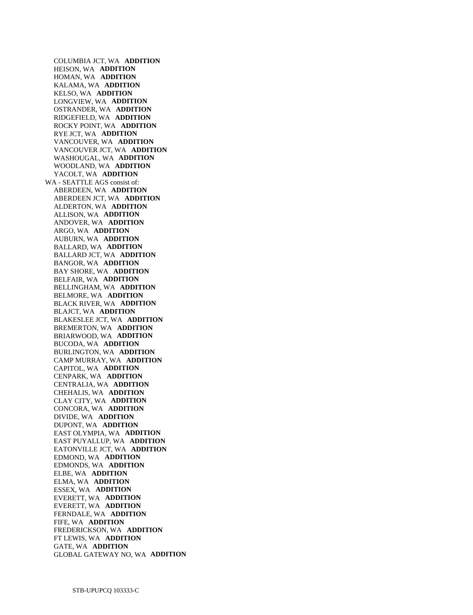COLUMBIA JCT, WA **ADDITION**  HEISON, WA **ADDITION**  HOMAN, WA **ADDITION**  KALAMA, WA **ADDITION**  KELSO, WA **ADDITION**  LONGVIEW, WA **ADDITION**  OSTRANDER, WA **ADDITION**  RIDGEFIELD, WA **ADDITION**  ROCKY POINT, WA **ADDITION**  RYE JCT, WA **ADDITION**  VANCOUVER, WA **ADDITION**  VANCOUVER JCT, WA **ADDITION**  WASHOUGAL, WA **ADDITION**  WOODLAND, WA **ADDITION**  YACOLT, WA **ADDITION**  WA - SEATTLE AGS consist of: ABERDEEN, WA **ADDITION**  ABERDEEN JCT, WA **ADDITION**  ALDERTON, WA **ADDITION**  ALLISON, WA **ADDITION**  ANDOVER, WA **ADDITION**  ARGO, WA **ADDITION**  AUBURN, WA **ADDITION**  BALLARD, WA **ADDITION**  BALLARD JCT, WA **ADDITION**  BANGOR, WA **ADDITION**  BAY SHORE, WA **ADDITION**  BELFAIR, WA **ADDITION**  BELLINGHAM, WA **ADDITION**  BELMORE, WA **ADDITION**  BLACK RIVER, WA **ADDITION**  BLAJCT, WA **ADDITION**  BLAKESLEE JCT, WA **ADDITION**  BREMERTON, WA **ADDITION**  BRIARWOOD, WA **ADDITION**  BUCODA, WA **ADDITION**  BURLINGTON, WA **ADDITION**  CAMP MURRAY, WA **ADDITION**  CAPITOL, WA **ADDITION**  CENPARK, WA **ADDITION**  CENTRALIA, WA **ADDITION**  CHEHALIS, WA **ADDITION**  CLAY CITY, WA **ADDITION**  CONCORA, WA **ADDITION**  DIVIDE, WA **ADDITION**  DUPONT, WA **ADDITION**  EAST OLYMPIA, WA **ADDITION**  EAST PUYALLUP, WA **ADDITION**  EATONVILLE JCT, WA **ADDITION**  EDMOND, WA **ADDITION**  EDMONDS, WA **ADDITION**  ELBE, WA **ADDITION**  ELMA, WA **ADDITION**  ESSEX, WA **ADDITION**  EVERETT, WA **ADDITION**  EVERETT, WA **ADDITION**  FERNDALE, WA **ADDITION**  FIFE, WA **ADDITION**  FREDERICKSON, WA **ADDITION**  FT LEWIS, WA **ADDITION**  GATE, WA **ADDITION**  GLOBAL GATEWAY NO, WA **ADDITION**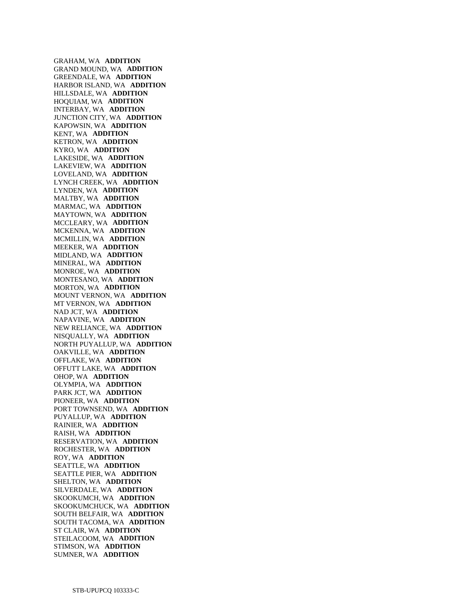GRAHAM, WA **ADDITION**  GRAND MOUND, WA **ADDITION**  GREENDALE, WA **ADDITION**  HARBOR ISLAND, WA **ADDITION**  HILLSDALE, WA **ADDITION**  HOQUIAM, WA **ADDITION**  INTERBAY, WA **ADDITION**  JUNCTION CITY, WA **ADDITION**  KAPOWSIN, WA **ADDITION**  KENT, WA **ADDITION**  KETRON, WA **ADDITION**  KYRO, WA **ADDITION**  LAKESIDE, WA **ADDITION**  LAKEVIEW, WA **ADDITION**  LOVELAND, WA **ADDITION**  LYNCH CREEK, WA **ADDITION**  LYNDEN, WA **ADDITION**  MALTBY, WA **ADDITION**  MARMAC, WA **ADDITION**  MAYTOWN, WA **ADDITION**  MCCLEARY, WA **ADDITION**  MCKENNA, WA **ADDITION**  MCMILLIN, WA **ADDITION**  MEEKER, WA **ADDITION**  MIDLAND, WA **ADDITION**  MINERAL, WA **ADDITION**  MONROE, WA **ADDITION**  MONTESANO, WA **ADDITION**  MORTON, WA **ADDITION**  MOUNT VERNON, WA **ADDITION**  MT VERNON, WA **ADDITION**  NAD JCT, WA **ADDITION**  NAPAVINE, WA **ADDITION**  NEW RELIANCE, WA **ADDITION**  NISQUALLY, WA **ADDITION**  NORTH PUYALLUP, WA **ADDITION**  OAKVILLE, WA **ADDITION**  OFFLAKE, WA **ADDITION**  OFFUTT LAKE, WA **ADDITION**  OHOP, WA **ADDITION**  OLYMPIA, WA **ADDITION**  PARK JCT, WA **ADDITION**  PIONEER, WA **ADDITION**  PORT TOWNSEND, WA **ADDITION**  PUYALLUP, WA **ADDITION**  RAINIER, WA **ADDITION**  RAISH, WA **ADDITION**  RESERVATION, WA **ADDITION**  ROCHESTER, WA **ADDITION**  ROY, WA **ADDITION**  SEATTLE, WA **ADDITION**  SEATTLE PIER, WA **ADDITION**  SHELTON, WA **ADDITION**  SILVERDALE, WA **ADDITION**  SKOOKUMCH, WA **ADDITION**  SKOOKUMCHUCK, WA **ADDITION**  SOUTH BELFAIR, WA **ADDITION**  SOUTH TACOMA, WA **ADDITION**  ST CLAIR, WA **ADDITION**  STEILACOOM, WA **ADDITION**  STIMSON, WA **ADDITION**  SUMNER, WA **ADDITION**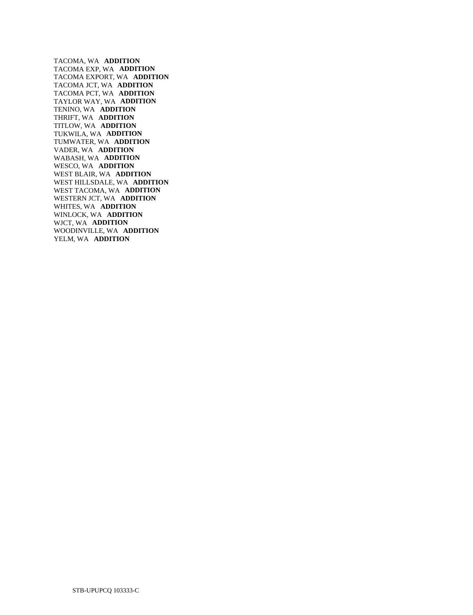TACOMA, WA **ADDITION**  TACOMA EXP, WA **ADDITION**  TACOMA EXPORT, WA **ADDITION**  TACOMA JCT, WA **ADDITION**  TACOMA PCT, WA **ADDITION**  TAYLOR WAY, WA **ADDITION**  TENINO, WA **ADDITION**  THRIFT, WA **ADDITION**  TITLOW, WA **ADDITION**  TUKWILA, WA **ADDITION**  TUMWATER, WA **ADDITION**  VADER, WA **ADDITION**  WABASH, WA **ADDITION**  WESCO, WA **ADDITION**  WEST BLAIR, WA **ADDITION**  WEST HILLSDALE, WA **ADDITION**  WEST TACOMA, WA **ADDITION**  WESTERN JCT, WA **ADDITION**  WHITES, WA **ADDITION**  WINLOCK, WA **ADDITION**  WJCT, WA **ADDITION**  WOODINVILLE, WA **ADDITION**  YELM, WA **ADDITION**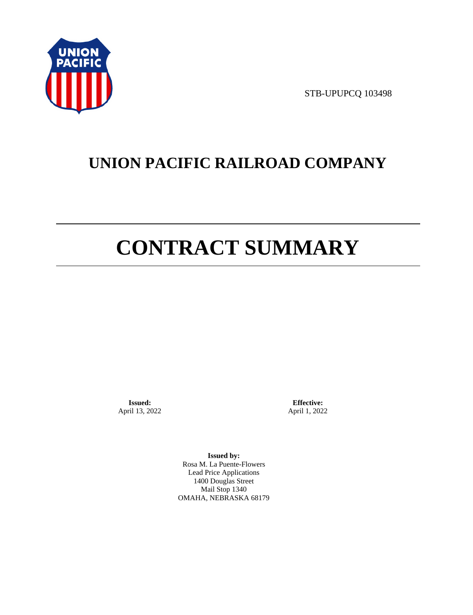

STB-UPUPCQ 103498

# **UNION PACIFIC RAILROAD COMPANY**

# **CONTRACT SUMMARY**

**Issued:**  April 13, 2022

**Effective:** April 1, 2022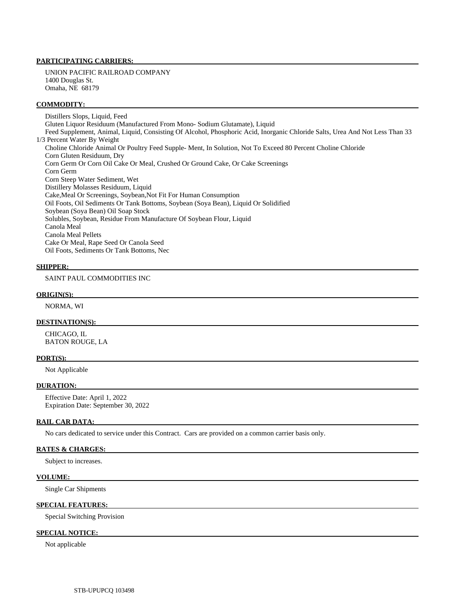UNION PACIFIC RAILROAD COMPANY 1400 Douglas St. Omaha, NE 68179

#### **COMMODITY:**

 Distillers Slops, Liquid, Feed Gluten Liquor Residuum (Manufactured From Mono- Sodium Glutamate), Liquid Feed Supplement, Animal, Liquid, Consisting Of Alcohol, Phosphoric Acid, Inorganic Chloride Salts, Urea And Not Less Than 33 1/3 Percent Water By Weight Choline Chloride Animal Or Poultry Feed Supple- Ment, In Solution, Not To Exceed 80 Percent Choline Chloride Corn Gluten Residuum, Dry Corn Germ Or Corn Oil Cake Or Meal, Crushed Or Ground Cake, Or Cake Screenings Corn Germ Corn Steep Water Sediment, Wet Distillery Molasses Residuum, Liquid Cake,Meal Or Screenings, Soybean,Not Fit For Human Consumption Oil Foots, Oil Sediments Or Tank Bottoms, Soybean (Soya Bean), Liquid Or Solidified Soybean (Soya Bean) Oil Soap Stock Solubles, Soybean, Residue From Manufacture Of Soybean Flour, Liquid Canola Meal Canola Meal Pellets Cake Or Meal, Rape Seed Or Canola Seed Oil Foots, Sediments Or Tank Bottoms, Nec

#### **SHIPPER:**

SAINT PAUL COMMODITIES INC

#### **ORIGIN(S):**

NORMA, WI

## **DESTINATION(S):**

 CHICAGO, IL BATON ROUGE, LA

#### **PORT(S):**

Not Applicable

# **DURATION:**

 Effective Date: April 1, 2022 Expiration Date: September 30, 2022

#### **RAIL CAR DATA:**

No cars dedicated to service under this Contract. Cars are provided on a common carrier basis only.

# **RATES & CHARGES:**

Subject to increases.

#### **VOLUME:**

Single Car Shipments

#### **SPECIAL FEATURES:**

Special Switching Provision

#### **SPECIAL NOTICE:**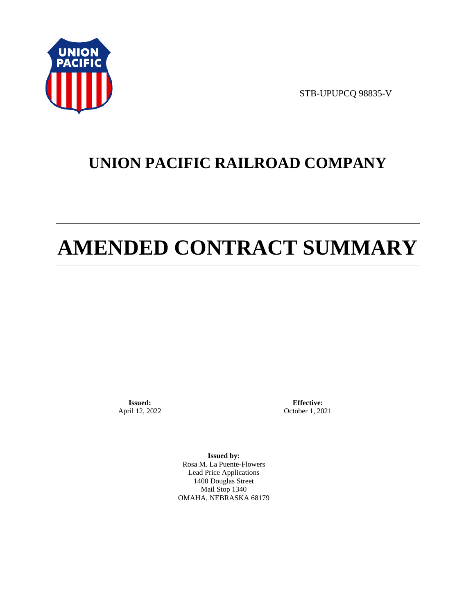

STB-UPUPCQ 98835-V

# **UNION PACIFIC RAILROAD COMPANY**

# **AMENDED CONTRACT SUMMARY**

**Issued:**  April 12, 2022

**Effective:** October 1, 2021